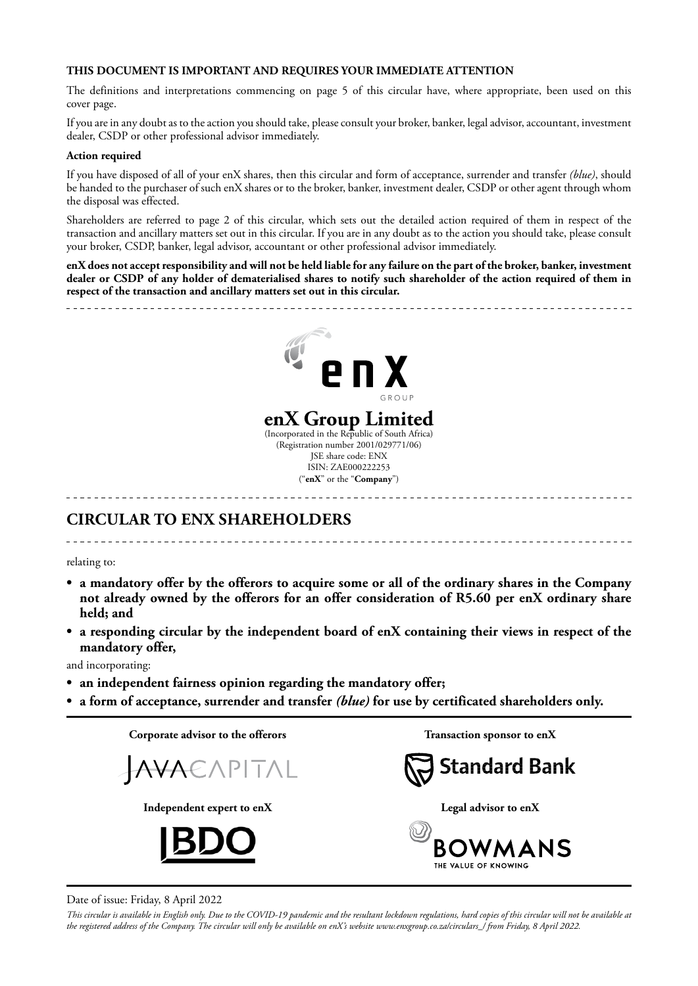### **THIS DOCUMENT IS IMPORTANT AND REQUIRES YOUR IMMEDIATE ATTENTION**

The definitions and interpretations commencing on page 5 of this circular have, where appropriate, been used on this cover page.

If you are in any doubt as to the action you should take, please consult your broker, banker, legal advisor, accountant, investment dealer, CSDP or other professional advisor immediately.

#### **Action required**

If you have disposed of all of your enX shares, then this circular and form of acceptance, surrender and transfer *(blue)*, should be handed to the purchaser of such enX shares or to the broker, banker, investment dealer, CSDP or other agent through whom the disposal was effected.

Shareholders are referred to page 2 of this circular, which sets out the detailed action required of them in respect of the transaction and ancillary matters set out in this circular. If you are in any doubt as to the action you should take, please consult your broker, CSDP, banker, legal advisor, accountant or other professional advisor immediately.

**enX does not accept responsibility and will not be held liable for any failure on the part of the broker, banker, investment dealer or CSDP of any holder of dematerialised shares to notify such shareholder of the action required of them in respect of the transaction and ancillary matters set out in this circular.**



# **CIRCULAR TO ENX SHAREHOLDERS**

relating to:

**• a mandatory offer by the offerors to acquire some or all of the ordinary shares in the Company not already owned by the offerors for an offer consideration of R5.60 per enX ordinary share held; and**

**• a responding circular by the independent board of enX containing their views in respect of the mandatory offer,**

and incorporating:

- **• an independent fairness opinion regarding the mandatory offer;**
- **• a form of acceptance, surrender and transfer** *(blue)* **for use by certificated shareholders only.**



Date of issue: Friday, 8 April 2022

*This circular is available in English only. Due to the COVID-19 pandemic and the resultant lockdown regulations, hard copies of this circular will not be available at the registered address of the Company. The circular will only be available on enX's website www.enxgroup.co.za/circulars\_/ from Friday, 8 April 2022.*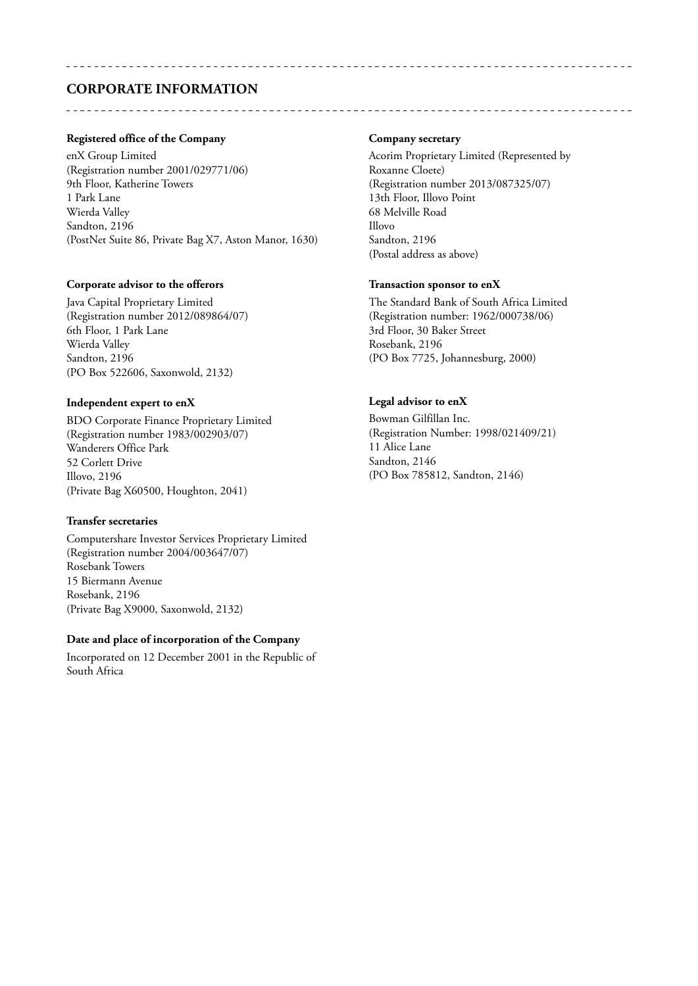# **CORPORATE INFORMATION**

### **Registered office of the Company**

enX Group Limited (Registration number 2001/029771/06) 9th Floor, Katherine Towers 1 Park Lane Wierda Valley Sandton, 2196 (PostNet Suite 86, Private Bag X7, Aston Manor, 1630)

#### **Corporate advisor to the offerors**

Java Capital Proprietary Limited (Registration number 2012/089864/07) 6th Floor, 1 Park Lane Wierda Valley Sandton, 2196 (PO Box 522606, Saxonwold, 2132)

#### **Independent expert to enX**

BDO Corporate Finance Proprietary Limited (Registration number 1983/002903/07) Wanderers Office Park 52 Corlett Drive Illovo, 2196 (Private Bag X60500, Houghton, 2041)

#### **Transfer secretaries**

Computershare Investor Services Proprietary Limited (Registration number 2004/003647/07) Rosebank Towers 15 Biermann Avenue Rosebank, 2196 (Private Bag X9000, Saxonwold, 2132)

#### **Date and place of incorporation of the Company**

Incorporated on 12 December 2001 in the Republic of South Africa

#### **Company secretary**

Acorim Proprietary Limited (Represented by Roxanne Cloete) (Registration number 2013/087325/07) 13th Floor, Illovo Point 68 Melville Road Illovo Sandton, 2196 (Postal address as above)

#### **Transaction sponsor to enX**

The Standard Bank of South Africa Limited (Registration number: 1962/000738/06) 3rd Floor, 30 Baker Street Rosebank, 2196 (PO Box 7725, Johannesburg, 2000)

# **Legal advisor to enX**

Bowman Gilfillan Inc. (Registration Number: 1998/021409/21) 11 Alice Lane Sandton, 2146 (PO Box 785812, Sandton, 2146)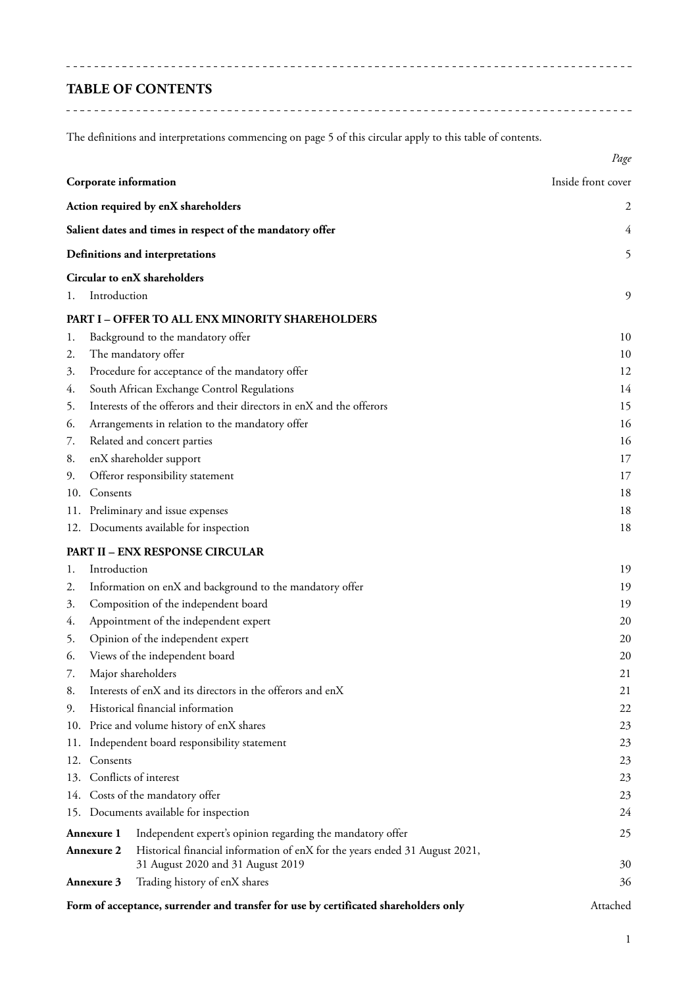# **TABLE OF CONTENTS**

The definitions and interpretations commencing on page 5 of this circular apply to this table of contents.

|     |                       |                                                                                      | Page               |
|-----|-----------------------|--------------------------------------------------------------------------------------|--------------------|
|     | Corporate information |                                                                                      | Inside front cover |
|     |                       | Action required by enX shareholders                                                  | 2                  |
|     |                       | Salient dates and times in respect of the mandatory offer                            | 4                  |
|     |                       | Definitions and interpretations                                                      | 5                  |
|     |                       | Circular to enX shareholders                                                         |                    |
| 1.  | Introduction          |                                                                                      | 9                  |
|     |                       | <b>PART I - OFFER TO ALL ENX MINORITY SHAREHOLDERS</b>                               |                    |
| 1.  |                       | Background to the mandatory offer                                                    | 10                 |
| 2.  |                       | The mandatory offer                                                                  | 10                 |
| 3.  |                       | Procedure for acceptance of the mandatory offer                                      | 12                 |
| 4.  |                       | South African Exchange Control Regulations                                           | 14                 |
| 5.  |                       | Interests of the offerors and their directors in enX and the offerors                | 15                 |
| 6.  |                       | Arrangements in relation to the mandatory offer                                      | 16                 |
| 7.  |                       | Related and concert parties                                                          | 16                 |
| 8.  |                       | enX shareholder support                                                              | 17                 |
| 9.  |                       | Offeror responsibility statement                                                     | 17                 |
| 10. | Consents              |                                                                                      | 18                 |
|     |                       | 11. Preliminary and issue expenses                                                   | 18                 |
|     |                       | 12. Documents available for inspection                                               | 18                 |
|     |                       | <b>PART II - ENX RESPONSE CIRCULAR</b>                                               |                    |
| l.  | Introduction          |                                                                                      | 19                 |
| 2.  |                       | Information on enX and background to the mandatory offer                             | 19                 |
| 3.  |                       | Composition of the independent board                                                 | 19                 |
| 4.  |                       | Appointment of the independent expert                                                | 20                 |
| 5.  |                       | Opinion of the independent expert                                                    | 20                 |
| 6.  |                       | Views of the independent board                                                       | 20                 |
| 7.  |                       | Major shareholders                                                                   | 21                 |
| 8.  |                       | Interests of enX and its directors in the offerors and enX                           | 21                 |
| 9.  |                       | Historical financial information                                                     | 22                 |
|     |                       | 10. Price and volume history of enX shares                                           | 23                 |
| 11. |                       | Independent board responsibility statement                                           | 23                 |
| 12. | Consents              |                                                                                      | 23                 |
|     |                       | 13. Conflicts of interest                                                            | 23                 |
|     |                       | 14. Costs of the mandatory offer                                                     | 23                 |
|     |                       | 15. Documents available for inspection                                               | 24                 |
|     | <b>Annexure 1</b>     | Independent expert's opinion regarding the mandatory offer                           | 25                 |
|     | Annexure 2            | Historical financial information of enX for the years ended 31 August 2021,          |                    |
|     |                       | 31 August 2020 and 31 August 2019                                                    | 30                 |
|     | Annexure 3            | Trading history of enX shares                                                        | 36                 |
|     |                       | Form of acceptance, surrender and transfer for use by certificated shareholders only | Attached           |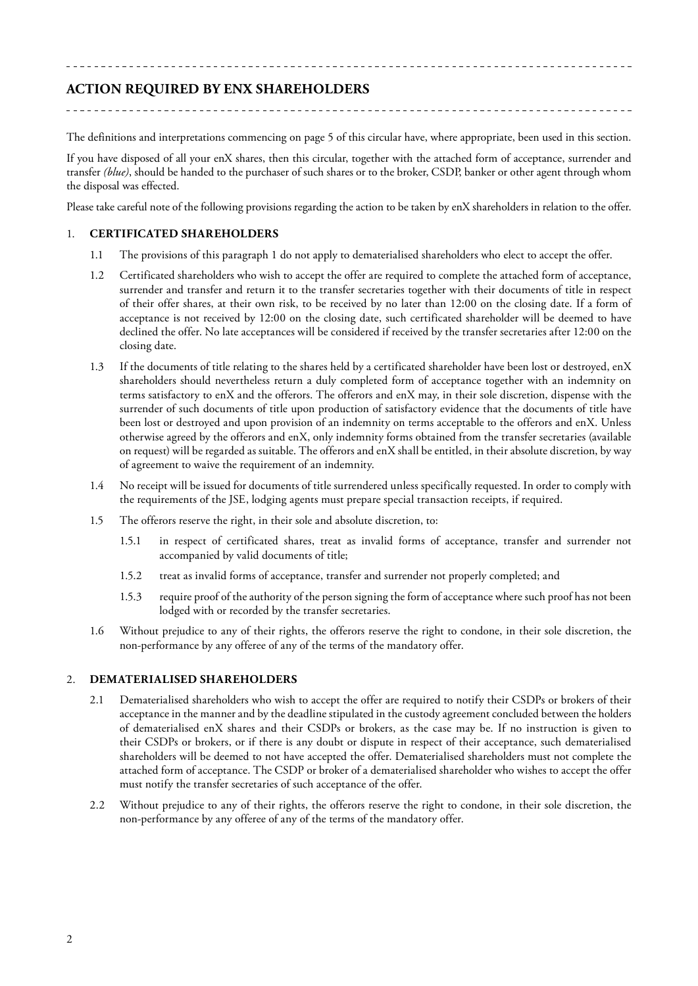# **ACTION REQUIRED BY ENX SHAREHOLDERS**

The definitions and interpretations commencing on page 5 of this circular have, where appropriate, been used in this section.

If you have disposed of all your enX shares, then this circular, together with the attached form of acceptance, surrender and transfer *(blue)*, should be handed to the purchaser of such shares or to the broker, CSDP, banker or other agent through whom the disposal was effected.

Please take careful note of the following provisions regarding the action to be taken by enX shareholders in relation to the offer.

# 1. **CERTIFICATED SHAREHOLDERS**

- 1.1 The provisions of this paragraph 1 do not apply to dematerialised shareholders who elect to accept the offer.
- 1.2 Certificated shareholders who wish to accept the offer are required to complete the attached form of acceptance, surrender and transfer and return it to the transfer secretaries together with their documents of title in respect of their offer shares, at their own risk, to be received by no later than 12:00 on the closing date. If a form of acceptance is not received by 12:00 on the closing date, such certificated shareholder will be deemed to have declined the offer. No late acceptances will be considered if received by the transfer secretaries after 12:00 on the closing date.
- 1.3 If the documents of title relating to the shares held by a certificated shareholder have been lost or destroyed, enX shareholders should nevertheless return a duly completed form of acceptance together with an indemnity on terms satisfactory to enX and the offerors. The offerors and enX may, in their sole discretion, dispense with the surrender of such documents of title upon production of satisfactory evidence that the documents of title have been lost or destroyed and upon provision of an indemnity on terms acceptable to the offerors and enX. Unless otherwise agreed by the offerors and enX, only indemnity forms obtained from the transfer secretaries (available on request) will be regarded as suitable. The offerors and enX shall be entitled, in their absolute discretion, by way of agreement to waive the requirement of an indemnity.
- 1.4 No receipt will be issued for documents of title surrendered unless specifically requested. In order to comply with the requirements of the JSE, lodging agents must prepare special transaction receipts, if required.
- 1.5 The offerors reserve the right, in their sole and absolute discretion, to:
	- 1.5.1 in respect of certificated shares, treat as invalid forms of acceptance, transfer and surrender not accompanied by valid documents of title;
	- 1.5.2 treat as invalid forms of acceptance, transfer and surrender not properly completed; and
	- 1.5.3 require proof of the authority of the person signing the form of acceptance where such proof has not been lodged with or recorded by the transfer secretaries.
- 1.6 Without prejudice to any of their rights, the offerors reserve the right to condone, in their sole discretion, the non-performance by any offeree of any of the terms of the mandatory offer.

#### 2. **DEMATERIALISED SHAREHOLDERS**

- 2.1 Dematerialised shareholders who wish to accept the offer are required to notify their CSDPs or brokers of their acceptance in the manner and by the deadline stipulated in the custody agreement concluded between the holders of dematerialised enX shares and their CSDPs or brokers, as the case may be. If no instruction is given to their CSDPs or brokers, or if there is any doubt or dispute in respect of their acceptance, such dematerialised shareholders will be deemed to not have accepted the offer. Dematerialised shareholders must not complete the attached form of acceptance. The CSDP or broker of a dematerialised shareholder who wishes to accept the offer must notify the transfer secretaries of such acceptance of the offer.
- 2.2 Without prejudice to any of their rights, the offerors reserve the right to condone, in their sole discretion, the non-performance by any offeree of any of the terms of the mandatory offer.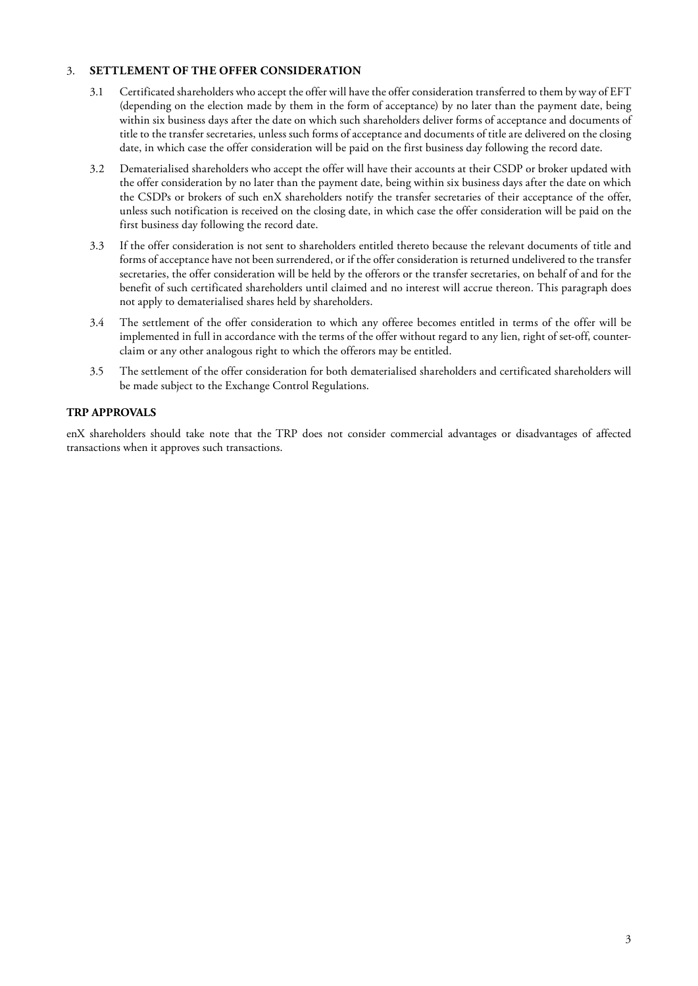# 3. **SETTLEMENT OF THE OFFER CONSIDERATION**

- 3.1 Certificated shareholders who accept the offer will have the offer consideration transferred to them by way of EFT (depending on the election made by them in the form of acceptance) by no later than the payment date, being within six business days after the date on which such shareholders deliver forms of acceptance and documents of title to the transfer secretaries, unless such forms of acceptance and documents of title are delivered on the closing date, in which case the offer consideration will be paid on the first business day following the record date.
- 3.2 Dematerialised shareholders who accept the offer will have their accounts at their CSDP or broker updated with the offer consideration by no later than the payment date, being within six business days after the date on which the CSDPs or brokers of such enX shareholders notify the transfer secretaries of their acceptance of the offer, unless such notification is received on the closing date, in which case the offer consideration will be paid on the first business day following the record date.
- 3.3 If the offer consideration is not sent to shareholders entitled thereto because the relevant documents of title and forms of acceptance have not been surrendered, or if the offer consideration is returned undelivered to the transfer secretaries, the offer consideration will be held by the offerors or the transfer secretaries, on behalf of and for the benefit of such certificated shareholders until claimed and no interest will accrue thereon. This paragraph does not apply to dematerialised shares held by shareholders.
- 3.4 The settlement of the offer consideration to which any offeree becomes entitled in terms of the offer will be implemented in full in accordance with the terms of the offer without regard to any lien, right of set-off, counterclaim or any other analogous right to which the offerors may be entitled.
- 3.5 The settlement of the offer consideration for both dematerialised shareholders and certificated shareholders will be made subject to the Exchange Control Regulations.

# **TRP APPROVALS**

enX shareholders should take note that the TRP does not consider commercial advantages or disadvantages of affected transactions when it approves such transactions.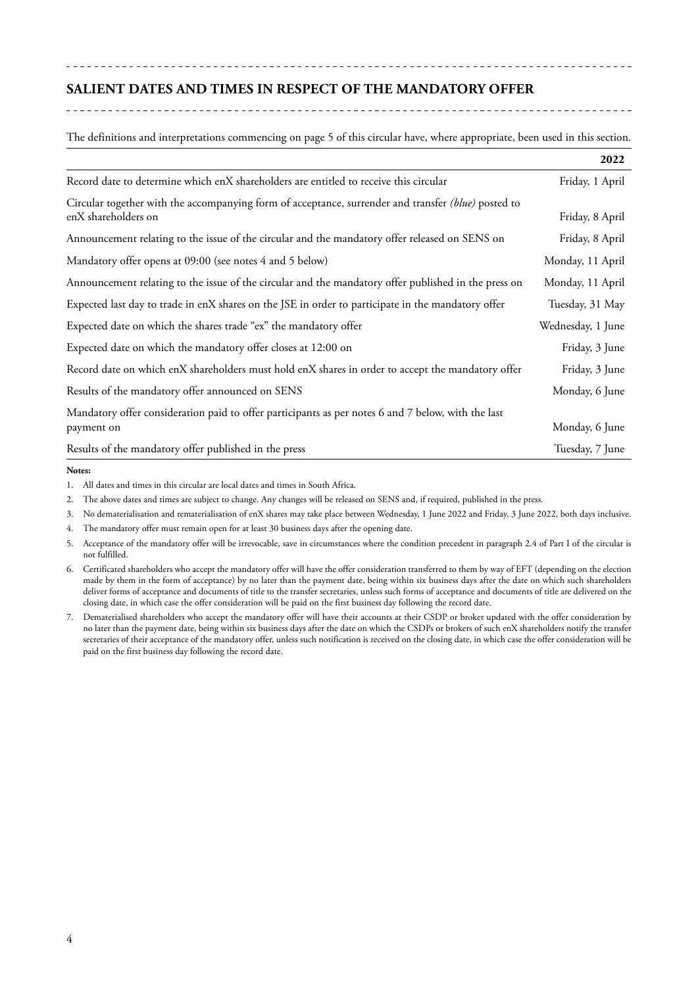# **SALIENT DATES AND TIMES IN RESPECT OF THE MANDATORY OFFER**

The definitions and interpretations commencing on page 5 of this circular have, where appropriate, been used in this section.

|                                                                                                                            | 2022              |
|----------------------------------------------------------------------------------------------------------------------------|-------------------|
| Record date to determine which enX shareholders are entitled to receive this circular                                      | Friday, 1 April   |
| Circular together with the accompanying form of acceptance, surrender and transfer (blue) posted to<br>enX shareholders on | Friday, 8 April   |
| Announcement relating to the issue of the circular and the mandatory offer released on SENS on                             | Friday, 8 April   |
| Mandatory offer opens at 09:00 (see notes 4 and 5 below)                                                                   | Monday, 11 April  |
| Announcement relating to the issue of the circular and the mandatory offer published in the press on                       | Monday, 11 April  |
| Expected last day to trade in enX shares on the JSE in order to participate in the mandatory offer                         | Tuesday, 31 May   |
| Expected date on which the shares trade "ex" the mandatory offer                                                           | Wednesday, 1 June |
| Expected date on which the mandatory offer closes at 12:00 on                                                              | Friday, 3 June    |
| Record date on which enX shareholders must hold enX shares in order to accept the mandatory offer                          | Friday, 3 June    |
| Results of the mandatory offer announced on SENS                                                                           | Monday, 6 June    |
| Mandatory offer consideration paid to offer participants as per notes 6 and 7 below, with the last<br>payment on           | Monday, 6 June    |
| Results of the mandatory offer published in the press                                                                      | Tuesday, 7 June   |

#### **Notes:**

1. All dates and times in this circular are local dates and times in South Africa.

2. The above dates and times are subject to change. Any changes will be released on SENS and, if required, published in the press.

3. No dematerialisation and rematerialisation of enX shares may take place between Wednesday, 1 June 2022 and Friday, 3 June 2022, both days inclusive.

4. The mandatory offer must remain open for at least 30 business days after the opening date.

- 5. Acceptance of the mandatory offer will be irrevocable, save in circumstances where the condition precedent in paragraph 2.4 of Part I of the circular is not fulfilled.
- 6. Certificated shareholders who accept the mandatory offer will have the offer consideration transferred to them by way of EFT (depending on the election made by them in the form of acceptance) by no later than the payment date, being within six business days after the date on which such shareholders deliver forms of acceptance and documents of title to the transfer secretaries, unless such forms of acceptance and documents of title are delivered on the closing date, in which case the offer consideration will be paid on the first business day following the record date.
- 7. Dematerialised shareholders who accept the mandatory offer will have their accounts at their CSDP or broker updated with the offer consideration by no later than the payment date, being within six business days after the date on which the CSDPs or brokers of such enX shareholders notify the transfer secretaries of their acceptance of the mandatory offer, unless such notification is received on the closing date, in which case the offer consideration will be paid on the first business day following the record date.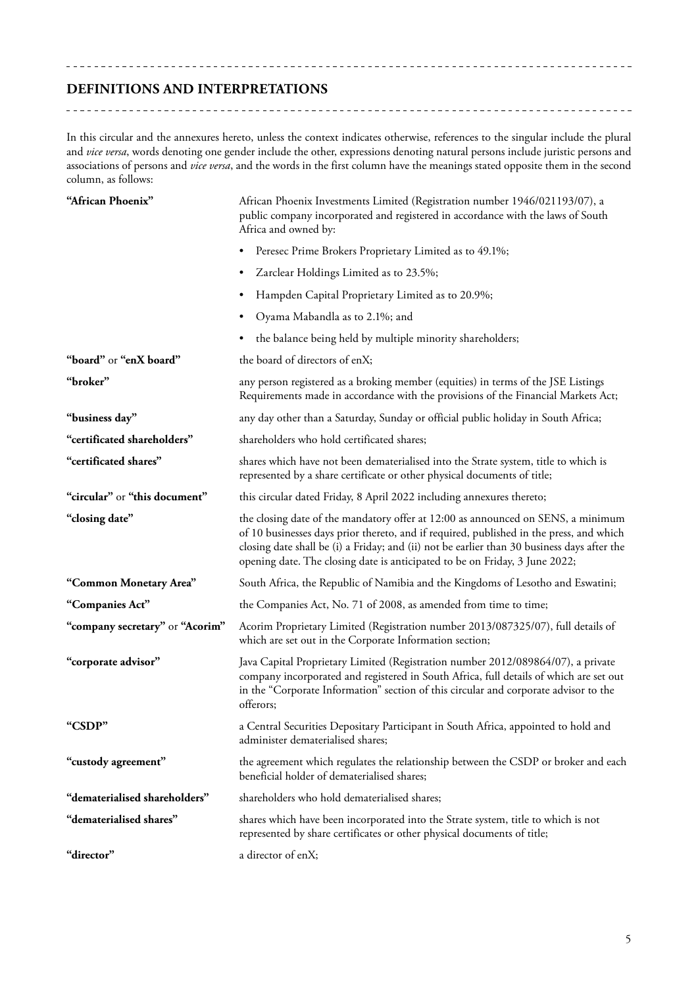# **DEFINITIONS AND INTERPRETATIONS**

In this circular and the annexures hereto, unless the context indicates otherwise, references to the singular include the plural and *vice versa*, words denoting one gender include the other, expressions denoting natural persons include juristic persons and associations of persons and *vice versa*, and the words in the first column have the meanings stated opposite them in the second column, as follows:

| "African Phoenix"               | African Phoenix Investments Limited (Registration number 1946/021193/07), a<br>public company incorporated and registered in accordance with the laws of South<br>Africa and owned by:                                                                                                                                                                    |
|---------------------------------|-----------------------------------------------------------------------------------------------------------------------------------------------------------------------------------------------------------------------------------------------------------------------------------------------------------------------------------------------------------|
|                                 | Peresec Prime Brokers Proprietary Limited as to 49.1%;<br>$\bullet$                                                                                                                                                                                                                                                                                       |
|                                 | Zarclear Holdings Limited as to 23.5%;<br>٠                                                                                                                                                                                                                                                                                                               |
|                                 | Hampden Capital Proprietary Limited as to 20.9%;<br>$\bullet$                                                                                                                                                                                                                                                                                             |
|                                 | Oyama Mabandla as to 2.1%; and<br>٠                                                                                                                                                                                                                                                                                                                       |
|                                 | the balance being held by multiple minority shareholders;<br>٠                                                                                                                                                                                                                                                                                            |
| "board" or "enX board"          | the board of directors of enX;                                                                                                                                                                                                                                                                                                                            |
| "broker"                        | any person registered as a broking member (equities) in terms of the JSE Listings<br>Requirements made in accordance with the provisions of the Financial Markets Act;                                                                                                                                                                                    |
| "business day"                  | any day other than a Saturday, Sunday or official public holiday in South Africa;                                                                                                                                                                                                                                                                         |
| "certificated shareholders"     | shareholders who hold certificated shares;                                                                                                                                                                                                                                                                                                                |
| "certificated shares"           | shares which have not been dematerialised into the Strate system, title to which is<br>represented by a share certificate or other physical documents of title;                                                                                                                                                                                           |
| "circular" or "this document"   | this circular dated Friday, 8 April 2022 including annexures thereto;                                                                                                                                                                                                                                                                                     |
| "closing date"                  | the closing date of the mandatory offer at 12:00 as announced on SENS, a minimum<br>of 10 businesses days prior thereto, and if required, published in the press, and which<br>closing date shall be (i) a Friday; and (ii) not be earlier than 30 business days after the<br>opening date. The closing date is anticipated to be on Friday, 3 June 2022; |
| "Common Monetary Area"          | South Africa, the Republic of Namibia and the Kingdoms of Lesotho and Eswatini;                                                                                                                                                                                                                                                                           |
| "Companies Act"                 | the Companies Act, No. 71 of 2008, as amended from time to time;                                                                                                                                                                                                                                                                                          |
| "company secretary" or "Acorim" | Acorim Proprietary Limited (Registration number 2013/087325/07), full details of<br>which are set out in the Corporate Information section;                                                                                                                                                                                                               |
| "corporate advisor"             | Java Capital Proprietary Limited (Registration number 2012/089864/07), a private<br>company incorporated and registered in South Africa, full details of which are set out<br>in the "Corporate Information" section of this circular and corporate advisor to the<br>offerors;                                                                           |
| "CSDP"                          | a Central Securities Depositary Participant in South Africa, appointed to hold and<br>administer dematerialised shares;                                                                                                                                                                                                                                   |
| "custody agreement"             | the agreement which regulates the relationship between the CSDP or broker and each<br>beneficial holder of dematerialised shares;                                                                                                                                                                                                                         |
| "dematerialised shareholders"   | shareholders who hold dematerialised shares;                                                                                                                                                                                                                                                                                                              |
| "dematerialised shares"         | shares which have been incorporated into the Strate system, title to which is not<br>represented by share certificates or other physical documents of title;                                                                                                                                                                                              |
| "director"                      | a director of enX;                                                                                                                                                                                                                                                                                                                                        |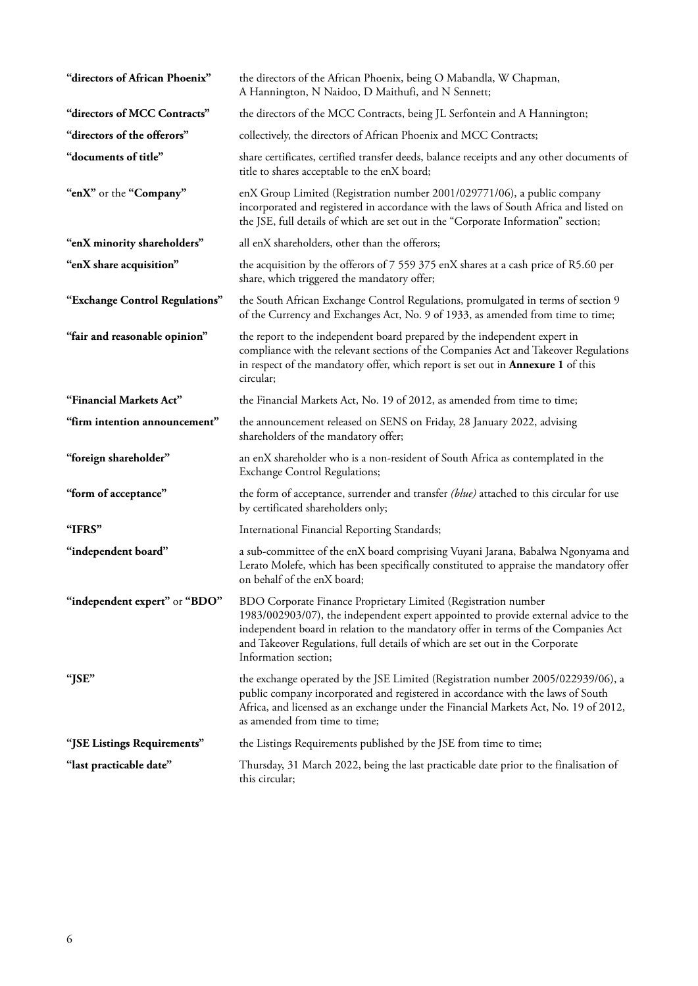| "directors of African Phoenix" | the directors of the African Phoenix, being O Mabandla, W Chapman,<br>A Hannington, N Naidoo, D Maithufi, and N Sennett;                                                                                                                                                                                                                            |
|--------------------------------|-----------------------------------------------------------------------------------------------------------------------------------------------------------------------------------------------------------------------------------------------------------------------------------------------------------------------------------------------------|
| "directors of MCC Contracts"   | the directors of the MCC Contracts, being JL Serfontein and A Hannington;                                                                                                                                                                                                                                                                           |
| "directors of the offerors"    | collectively, the directors of African Phoenix and MCC Contracts;                                                                                                                                                                                                                                                                                   |
| "documents of title"           | share certificates, certified transfer deeds, balance receipts and any other documents of<br>title to shares acceptable to the enX board;                                                                                                                                                                                                           |
| "enX" or the "Company"         | enX Group Limited (Registration number 2001/029771/06), a public company<br>incorporated and registered in accordance with the laws of South Africa and listed on<br>the JSE, full details of which are set out in the "Corporate Information" section;                                                                                             |
| "enX minority shareholders"    | all enX shareholders, other than the offerors;                                                                                                                                                                                                                                                                                                      |
| "enX share acquisition"        | the acquisition by the offerors of 7 559 375 enX shares at a cash price of R5.60 per<br>share, which triggered the mandatory offer;                                                                                                                                                                                                                 |
| "Exchange Control Regulations" | the South African Exchange Control Regulations, promulgated in terms of section 9<br>of the Currency and Exchanges Act, No. 9 of 1933, as amended from time to time;                                                                                                                                                                                |
| "fair and reasonable opinion"  | the report to the independent board prepared by the independent expert in<br>compliance with the relevant sections of the Companies Act and Takeover Regulations<br>in respect of the mandatory offer, which report is set out in <b>Annexure 1</b> of this<br>circular;                                                                            |
| "Financial Markets Act"        | the Financial Markets Act, No. 19 of 2012, as amended from time to time;                                                                                                                                                                                                                                                                            |
| "firm intention announcement"  | the announcement released on SENS on Friday, 28 January 2022, advising<br>shareholders of the mandatory offer;                                                                                                                                                                                                                                      |
| "foreign shareholder"          | an enX shareholder who is a non-resident of South Africa as contemplated in the<br><b>Exchange Control Regulations;</b>                                                                                                                                                                                                                             |
| "form of acceptance"           | the form of acceptance, surrender and transfer (blue) attached to this circular for use<br>by certificated shareholders only;                                                                                                                                                                                                                       |
| "IFRS"                         | International Financial Reporting Standards;                                                                                                                                                                                                                                                                                                        |
| "independent board"            | a sub-committee of the enX board comprising Vuyani Jarana, Babalwa Ngonyama and<br>Lerato Molefe, which has been specifically constituted to appraise the mandatory offer<br>on behalf of the enX board;                                                                                                                                            |
| "independent expert" or "BDO"  | BDO Corporate Finance Proprietary Limited (Registration number<br>1983/002903/07), the independent expert appointed to provide external advice to the<br>independent board in relation to the mandatory offer in terms of the Companies Act<br>and Takeover Regulations, full details of which are set out in the Corporate<br>Information section; |
| "JSE"                          | the exchange operated by the JSE Limited (Registration number 2005/022939/06), a<br>public company incorporated and registered in accordance with the laws of South<br>Africa, and licensed as an exchange under the Financial Markets Act, No. 19 of 2012,<br>as amended from time to time;                                                        |
| "JSE Listings Requirements"    | the Listings Requirements published by the JSE from time to time;                                                                                                                                                                                                                                                                                   |
| "last practicable date"        | Thursday, 31 March 2022, being the last practicable date prior to the finalisation of<br>this circular;                                                                                                                                                                                                                                             |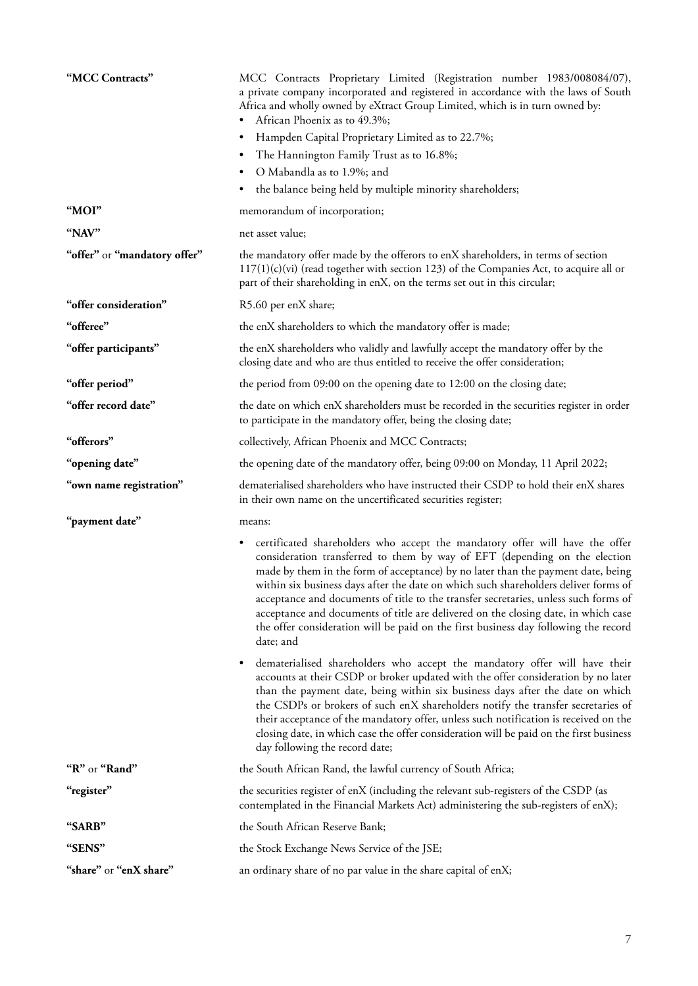| "MCC Contracts"              | MCC Contracts Proprietary Limited (Registration number 1983/008084/07),<br>a private company incorporated and registered in accordance with the laws of South<br>Africa and wholly owned by eXtract Group Limited, which is in turn owned by:<br>African Phoenix as to 49.3%;<br>٠<br>Hampden Capital Proprietary Limited as to 22.7%;<br>٠<br>The Hannington Family Trust as to 16.8%;<br>٠<br>O Mabandla as to 1.9%; and<br>the balance being held by multiple minority shareholders;<br>٠                                                                  |
|------------------------------|---------------------------------------------------------------------------------------------------------------------------------------------------------------------------------------------------------------------------------------------------------------------------------------------------------------------------------------------------------------------------------------------------------------------------------------------------------------------------------------------------------------------------------------------------------------|
| "MOI"                        | memorandum of incorporation;                                                                                                                                                                                                                                                                                                                                                                                                                                                                                                                                  |
| "NAV"                        | net asset value;                                                                                                                                                                                                                                                                                                                                                                                                                                                                                                                                              |
| "offer" or "mandatory offer" | the mandatory offer made by the offerors to enX shareholders, in terms of section<br>$117(1)(c)(vi)$ (read together with section 123) of the Companies Act, to acquire all or<br>part of their shareholding in enX, on the terms set out in this circular;                                                                                                                                                                                                                                                                                                    |
| "offer consideration"        | R5.60 per enX share;                                                                                                                                                                                                                                                                                                                                                                                                                                                                                                                                          |
| "offeree"                    | the enX shareholders to which the mandatory offer is made;                                                                                                                                                                                                                                                                                                                                                                                                                                                                                                    |
| "offer participants"         | the enX shareholders who validly and lawfully accept the mandatory offer by the<br>closing date and who are thus entitled to receive the offer consideration;                                                                                                                                                                                                                                                                                                                                                                                                 |
| "offer period"               | the period from 09:00 on the opening date to 12:00 on the closing date;                                                                                                                                                                                                                                                                                                                                                                                                                                                                                       |
| "offer record date"          | the date on which enX shareholders must be recorded in the securities register in order<br>to participate in the mandatory offer, being the closing date;                                                                                                                                                                                                                                                                                                                                                                                                     |
| "offerors"                   | collectively, African Phoenix and MCC Contracts;                                                                                                                                                                                                                                                                                                                                                                                                                                                                                                              |
| "opening date"               | the opening date of the mandatory offer, being 09:00 on Monday, 11 April 2022;                                                                                                                                                                                                                                                                                                                                                                                                                                                                                |
| "own name registration"      | dematerialised shareholders who have instructed their CSDP to hold their enX shares<br>in their own name on the uncertificated securities register;                                                                                                                                                                                                                                                                                                                                                                                                           |
| "payment date"               | means:                                                                                                                                                                                                                                                                                                                                                                                                                                                                                                                                                        |
|                              | certificated shareholders who accept the mandatory offer will have the offer<br>٠<br>consideration transferred to them by way of EFT (depending on the election<br>made by them in the form of acceptance) by no later than the payment date, being<br>within six business days after the date on which such shareholders deliver forms of<br>acceptance and documents of title to the transfer secretaries, unless such forms of                                                                                                                             |
|                              | acceptance and documents of title are delivered on the closing date, in which case<br>the offer consideration will be paid on the first business day following the record<br>date; and                                                                                                                                                                                                                                                                                                                                                                        |
|                              | dematerialised shareholders who accept the mandatory offer will have their<br>٠<br>accounts at their CSDP or broker updated with the offer consideration by no later<br>than the payment date, being within six business days after the date on which<br>the CSDPs or brokers of such enX shareholders notify the transfer secretaries of<br>their acceptance of the mandatory offer, unless such notification is received on the<br>closing date, in which case the offer consideration will be paid on the first business<br>day following the record date; |
| "R" or "Rand"                | the South African Rand, the lawful currency of South Africa;                                                                                                                                                                                                                                                                                                                                                                                                                                                                                                  |
| "register"                   | the securities register of enX (including the relevant sub-registers of the CSDP (as<br>contemplated in the Financial Markets Act) administering the sub-registers of enX);                                                                                                                                                                                                                                                                                                                                                                                   |
| "SARB"                       | the South African Reserve Bank;                                                                                                                                                                                                                                                                                                                                                                                                                                                                                                                               |
| "SENS"                       | the Stock Exchange News Service of the JSE;                                                                                                                                                                                                                                                                                                                                                                                                                                                                                                                   |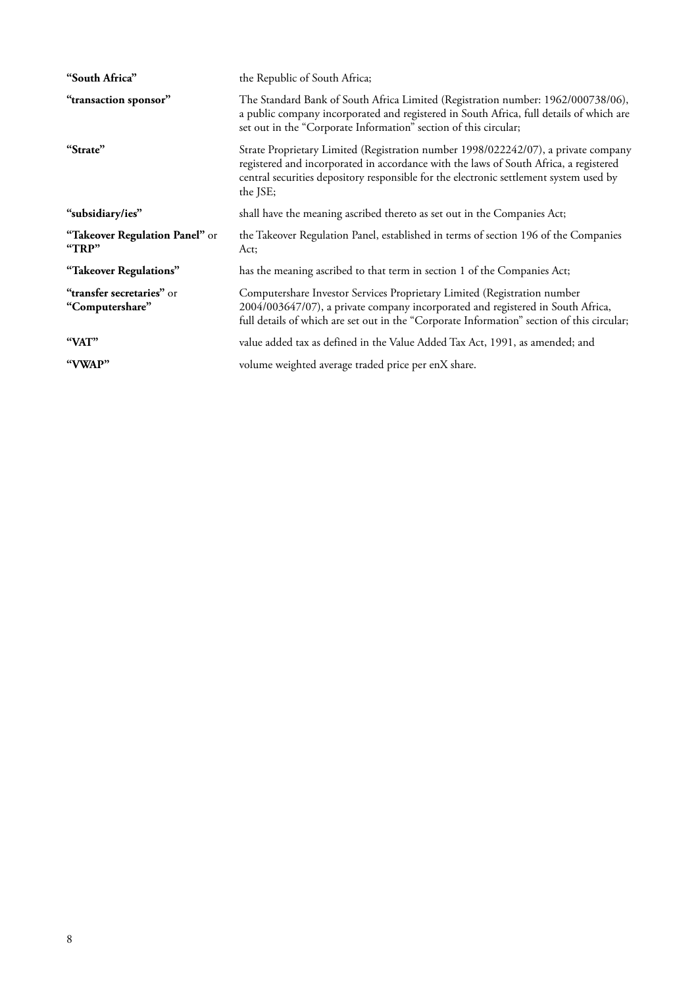| "South Africa"                               | the Republic of South Africa;                                                                                                                                                                                                                                                     |  |  |
|----------------------------------------------|-----------------------------------------------------------------------------------------------------------------------------------------------------------------------------------------------------------------------------------------------------------------------------------|--|--|
| "transaction sponsor"                        | The Standard Bank of South Africa Limited (Registration number: 1962/000738/06),<br>a public company incorporated and registered in South Africa, full details of which are<br>set out in the "Corporate Information" section of this circular;                                   |  |  |
| "Strate"                                     | Strate Proprietary Limited (Registration number 1998/022242/07), a private company<br>registered and incorporated in accordance with the laws of South Africa, a registered<br>central securities depository responsible for the electronic settlement system used by<br>the JSE; |  |  |
| "subsidiary/ies"                             | shall have the meaning ascribed thereto as set out in the Companies Act;                                                                                                                                                                                                          |  |  |
| "Takeover Regulation Panel" or<br>"TRP"      | the Takeover Regulation Panel, established in terms of section 196 of the Companies<br>Act;                                                                                                                                                                                       |  |  |
| "Takeover Regulations"                       | has the meaning ascribed to that term in section 1 of the Companies Act;                                                                                                                                                                                                          |  |  |
| "transfer secretaries" or<br>"Computershare" | Computershare Investor Services Proprietary Limited (Registration number<br>2004/003647/07), a private company incorporated and registered in South Africa,<br>full details of which are set out in the "Corporate Information" section of this circular;                         |  |  |
| "VAT"                                        | value added tax as defined in the Value Added Tax Act, 1991, as amended; and                                                                                                                                                                                                      |  |  |
| "VWAP"                                       | volume weighted average traded price per enX share.                                                                                                                                                                                                                               |  |  |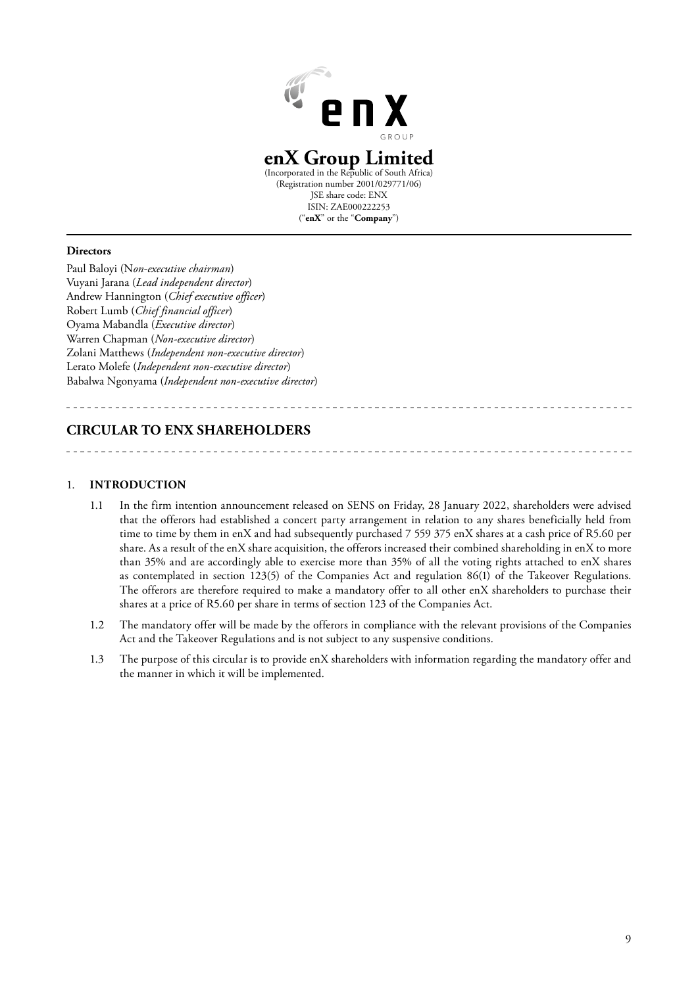

# **enX Group Limited**

(Incorporated in the Republic of South Africa) (Registration number 2001/029771/06) JSE share code: ENX ISIN: ZAE000222253 ("**enX**" or the "**Company**")

#### **Directors**

Paul Baloyi (N*on-executive chairman*) Vuyani Jarana (*Lead independent director*) Andrew Hannington (*Chief executive officer*) Robert Lumb (*Chief financial officer*) Oyama Mabandla (*Executive director*) Warren Chapman (*Non-executive director*) Zolani Matthews (*Independent non-executive director*) Lerato Molefe (*Independent non-executive director*) Babalwa Ngonyama (*Independent non-executive director*)

# **CIRCULAR TO ENX SHAREHOLDERS**

### 1. **INTRODUCTION**

- 1.1 In the firm intention announcement released on SENS on Friday, 28 January 2022, shareholders were advised that the offerors had established a concert party arrangement in relation to any shares beneficially held from time to time by them in enX and had subsequently purchased 7 559 375 enX shares at a cash price of R5.60 per share. As a result of the enX share acquisition, the offerors increased their combined shareholding in enX to more than 35% and are accordingly able to exercise more than 35% of all the voting rights attached to enX shares as contemplated in section 123(5) of the Companies Act and regulation 86(1) of the Takeover Regulations. The offerors are therefore required to make a mandatory offer to all other enX shareholders to purchase their shares at a price of R5.60 per share in terms of section 123 of the Companies Act.
- 1.2 The mandatory offer will be made by the offerors in compliance with the relevant provisions of the Companies Act and the Takeover Regulations and is not subject to any suspensive conditions.
- 1.3 The purpose of this circular is to provide enX shareholders with information regarding the mandatory offer and the manner in which it will be implemented.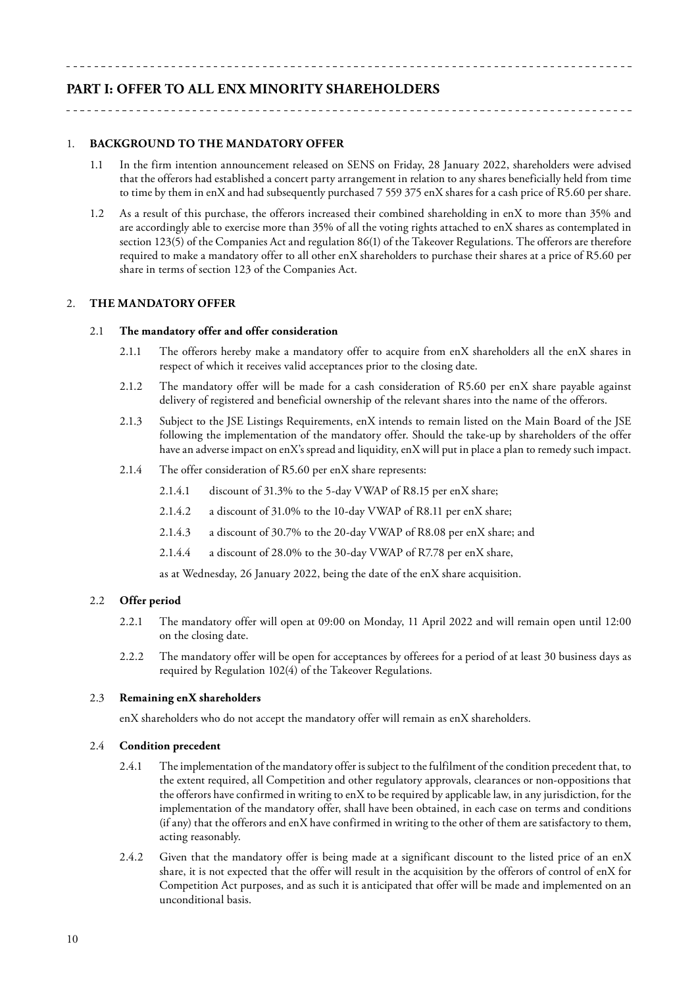# **PART I: OFFER TO ALL ENX MINORITY SHAREHOLDERS**

# 1. **BACKGROUND TO THE MANDATORY OFFER**

- 1.1 In the firm intention announcement released on SENS on Friday, 28 January 2022, shareholders were advised that the offerors had established a concert party arrangement in relation to any shares beneficially held from time to time by them in enX and had subsequently purchased 7 559 375 enX shares for a cash price of R5.60 per share.
- 1.2 As a result of this purchase, the offerors increased their combined shareholding in enX to more than 35% and are accordingly able to exercise more than 35% of all the voting rights attached to enX shares as contemplated in section 123(5) of the Companies Act and regulation 86(1) of the Takeover Regulations. The offerors are therefore required to make a mandatory offer to all other enX shareholders to purchase their shares at a price of R5.60 per share in terms of section 123 of the Companies Act.

#### 2. **THE MANDATORY OFFER**

#### 2.1 **The mandatory offer and offer consideration**

- 2.1.1 The offerors hereby make a mandatory offer to acquire from enX shareholders all the enX shares in respect of which it receives valid acceptances prior to the closing date.
- 2.1.2 The mandatory offer will be made for a cash consideration of R5.60 per enX share payable against delivery of registered and beneficial ownership of the relevant shares into the name of the offerors.
- 2.1.3 Subject to the JSE Listings Requirements, enX intends to remain listed on the Main Board of the JSE following the implementation of the mandatory offer. Should the take-up by shareholders of the offer have an adverse impact on enX's spread and liquidity, enX will put in place a plan to remedy such impact.
- 2.1.4 The offer consideration of R5.60 per enX share represents:
	- 2.1.4.1 discount of 31.3% to the 5-day VWAP of R8.15 per enX share;
	- 2.1.4.2 a discount of 31.0% to the 10-day VWAP of R8.11 per enX share;
	- 2.1.4.3 a discount of 30.7% to the 20-day VWAP of R8.08 per enX share; and
	- 2.1.4.4 a discount of 28.0% to the 30-day VWAP of R7.78 per enX share,

as at Wednesday, 26 January 2022, being the date of the enX share acquisition.

#### 2.2 **Offer period**

- 2.2.1 The mandatory offer will open at 09:00 on Monday, 11 April 2022 and will remain open until 12:00 on the closing date.
- 2.2.2 The mandatory offer will be open for acceptances by offerees for a period of at least 30 business days as required by Regulation 102(4) of the Takeover Regulations.

#### 2.3 **Remaining enX shareholders**

enX shareholders who do not accept the mandatory offer will remain as enX shareholders.

#### 2.4 **Condition precedent**

- 2.4.1 The implementation of the mandatory offer is subject to the fulfilment of the condition precedent that, to the extent required, all Competition and other regulatory approvals, clearances or non-oppositions that the offerors have confirmed in writing to enX to be required by applicable law, in any jurisdiction, for the implementation of the mandatory offer, shall have been obtained, in each case on terms and conditions (if any) that the offerors and enX have confirmed in writing to the other of them are satisfactory to them, acting reasonably.
- 2.4.2 Given that the mandatory offer is being made at a significant discount to the listed price of an enX share, it is not expected that the offer will result in the acquisition by the offerors of control of enX for Competition Act purposes, and as such it is anticipated that offer will be made and implemented on an unconditional basis.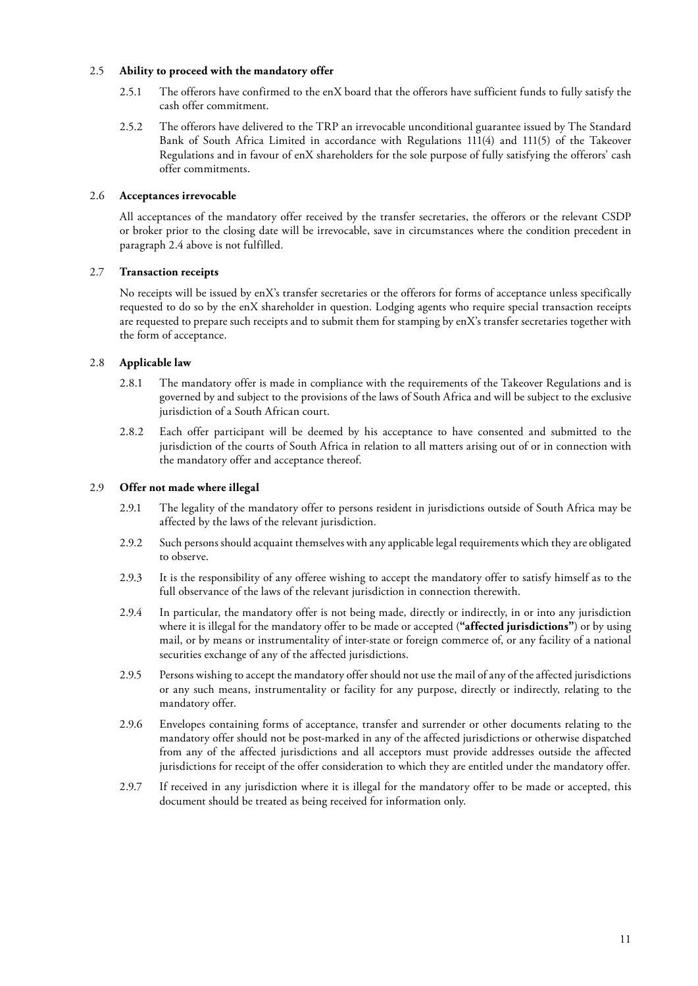### 2.5 **Ability to proceed with the mandatory offer**

- 2.5.1 The offerors have confirmed to the enX board that the offerors have sufficient funds to fully satisfy the cash offer commitment.
- 2.5.2 The offerors have delivered to the TRP an irrevocable unconditional guarantee issued by The Standard Bank of South Africa Limited in accordance with Regulations 111(4) and 111(5) of the Takeover Regulations and in favour of enX shareholders for the sole purpose of fully satisfying the offerors' cash offer commitments.

# 2.6 **Acceptances irrevocable**

All acceptances of the mandatory offer received by the transfer secretaries, the offerors or the relevant CSDP or broker prior to the closing date will be irrevocable, save in circumstances where the condition precedent in paragraph 2.4 above is not fulfilled.

# 2.7 **Transaction receipts**

No receipts will be issued by enX's transfer secretaries or the offerors for forms of acceptance unless specifically requested to do so by the enX shareholder in question. Lodging agents who require special transaction receipts are requested to prepare such receipts and to submit them for stamping by enX's transfer secretaries together with the form of acceptance.

# 2.8 **Applicable law**

- 2.8.1 The mandatory offer is made in compliance with the requirements of the Takeover Regulations and is governed by and subject to the provisions of the laws of South Africa and will be subject to the exclusive jurisdiction of a South African court.
- 2.8.2 Each offer participant will be deemed by his acceptance to have consented and submitted to the jurisdiction of the courts of South Africa in relation to all matters arising out of or in connection with the mandatory offer and acceptance thereof.

# 2.9 **Offer not made where illegal**

- 2.9.1 The legality of the mandatory offer to persons resident in jurisdictions outside of South Africa may be affected by the laws of the relevant jurisdiction.
- 2.9.2 Such persons should acquaint themselves with any applicable legal requirements which they are obligated to observe.
- 2.9.3 It is the responsibility of any offeree wishing to accept the mandatory offer to satisfy himself as to the full observance of the laws of the relevant jurisdiction in connection therewith.
- 2.9.4 In particular, the mandatory offer is not being made, directly or indirectly, in or into any jurisdiction where it is illegal for the mandatory offer to be made or accepted (**"affected jurisdictions"**) or by using mail, or by means or instrumentality of inter-state or foreign commerce of, or any facility of a national securities exchange of any of the affected jurisdictions.
- 2.9.5 Persons wishing to accept the mandatory offer should not use the mail of any of the affected jurisdictions or any such means, instrumentality or facility for any purpose, directly or indirectly, relating to the mandatory offer.
- 2.9.6 Envelopes containing forms of acceptance, transfer and surrender or other documents relating to the mandatory offer should not be post-marked in any of the affected jurisdictions or otherwise dispatched from any of the affected jurisdictions and all acceptors must provide addresses outside the affected jurisdictions for receipt of the offer consideration to which they are entitled under the mandatory offer.
- 2.9.7 If received in any jurisdiction where it is illegal for the mandatory offer to be made or accepted, this document should be treated as being received for information only.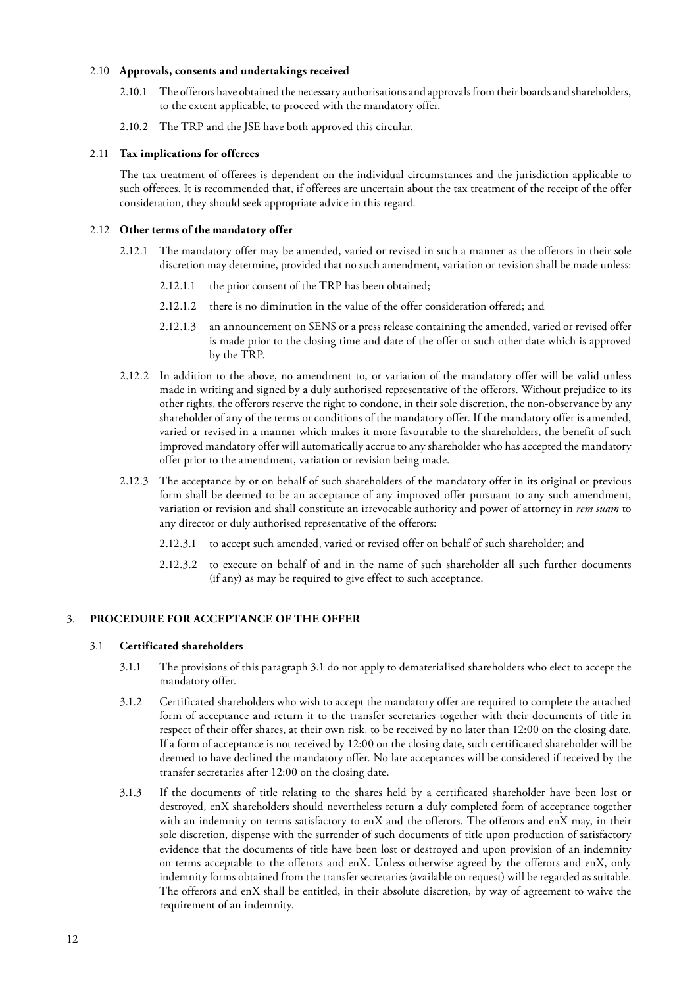#### 2.10 **Approvals, consents and undertakings received**

- The offerors have obtained the necessary authorisations and approvals from their boards and shareholders, to the extent applicable, to proceed with the mandatory offer.
- 2.10.2 The TRP and the JSE have both approved this circular.

#### 2.11 **Tax implications for offerees**

The tax treatment of offerees is dependent on the individual circumstances and the jurisdiction applicable to such offerees. It is recommended that, if offerees are uncertain about the tax treatment of the receipt of the offer consideration, they should seek appropriate advice in this regard.

#### 2.12 **Other terms of the mandatory offer**

- 2.12.1 The mandatory offer may be amended, varied or revised in such a manner as the offerors in their sole discretion may determine, provided that no such amendment, variation or revision shall be made unless:
	- 2.12.1.1 the prior consent of the TRP has been obtained;
	- 2.12.1.2 there is no diminution in the value of the offer consideration offered; and
	- 2.12.1.3 an announcement on SENS or a press release containing the amended, varied or revised offer is made prior to the closing time and date of the offer or such other date which is approved by the TRP.
- 2.12.2 In addition to the above, no amendment to, or variation of the mandatory offer will be valid unless made in writing and signed by a duly authorised representative of the offerors. Without prejudice to its other rights, the offerors reserve the right to condone, in their sole discretion, the non-observance by any shareholder of any of the terms or conditions of the mandatory offer. If the mandatory offer is amended, varied or revised in a manner which makes it more favourable to the shareholders, the benefit of such improved mandatory offer will automatically accrue to any shareholder who has accepted the mandatory offer prior to the amendment, variation or revision being made.
- 2.12.3 The acceptance by or on behalf of such shareholders of the mandatory offer in its original or previous form shall be deemed to be an acceptance of any improved offer pursuant to any such amendment, variation or revision and shall constitute an irrevocable authority and power of attorney in *rem suam* to any director or duly authorised representative of the offerors:
	- 2.12.3.1 to accept such amended, varied or revised offer on behalf of such shareholder; and
	- 2.12.3.2 to execute on behalf of and in the name of such shareholder all such further documents (if any) as may be required to give effect to such acceptance.

#### 3. **PROCEDURE FOR ACCEPTANCE OF THE OFFER**

### 3.1 **Certificated shareholders**

- 3.1.1 The provisions of this paragraph 3.1 do not apply to dematerialised shareholders who elect to accept the mandatory offer.
- 3.1.2 Certificated shareholders who wish to accept the mandatory offer are required to complete the attached form of acceptance and return it to the transfer secretaries together with their documents of title in respect of their offer shares, at their own risk, to be received by no later than 12:00 on the closing date. If a form of acceptance is not received by 12:00 on the closing date, such certificated shareholder will be deemed to have declined the mandatory offer. No late acceptances will be considered if received by the transfer secretaries after 12:00 on the closing date.
- 3.1.3 If the documents of title relating to the shares held by a certificated shareholder have been lost or destroyed, enX shareholders should nevertheless return a duly completed form of acceptance together with an indemnity on terms satisfactory to enX and the offerors. The offerors and enX may, in their sole discretion, dispense with the surrender of such documents of title upon production of satisfactory evidence that the documents of title have been lost or destroyed and upon provision of an indemnity on terms acceptable to the offerors and enX. Unless otherwise agreed by the offerors and enX, only indemnity forms obtained from the transfer secretaries (available on request) will be regarded as suitable. The offerors and enX shall be entitled, in their absolute discretion, by way of agreement to waive the requirement of an indemnity.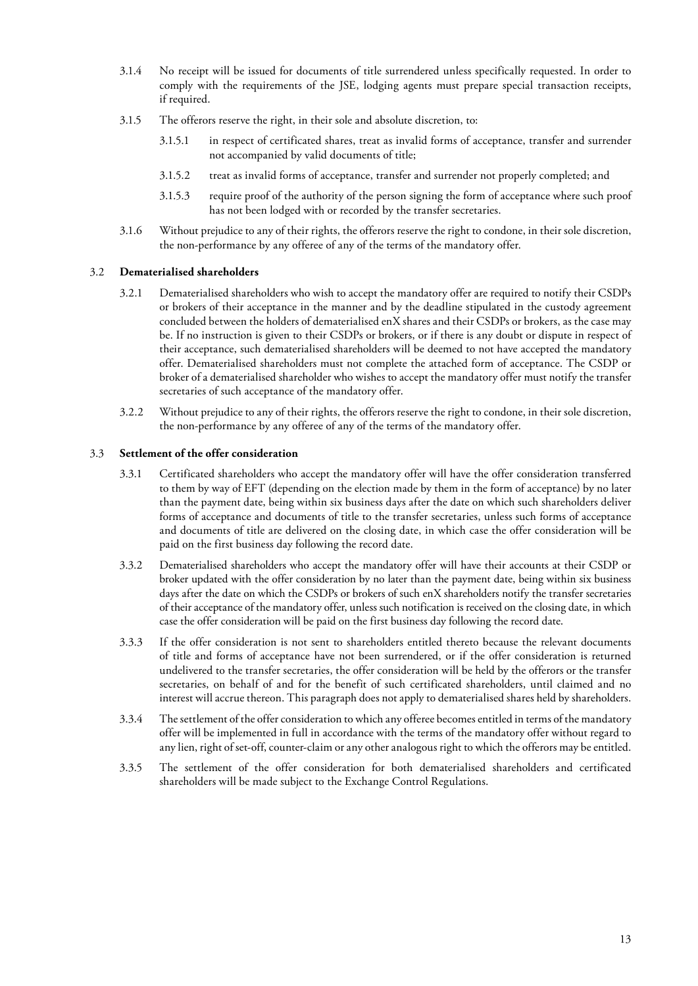- 3.1.4 No receipt will be issued for documents of title surrendered unless specifically requested. In order to comply with the requirements of the JSE, lodging agents must prepare special transaction receipts, if required.
- 3.1.5 The offerors reserve the right, in their sole and absolute discretion, to:
	- 3.1.5.1 in respect of certificated shares, treat as invalid forms of acceptance, transfer and surrender not accompanied by valid documents of title;
	- 3.1.5.2 treat as invalid forms of acceptance, transfer and surrender not properly completed; and
	- 3.1.5.3 require proof of the authority of the person signing the form of acceptance where such proof has not been lodged with or recorded by the transfer secretaries.
- 3.1.6 Without prejudice to any of their rights, the offerors reserve the right to condone, in their sole discretion, the non-performance by any offeree of any of the terms of the mandatory offer.

# 3.2 **Dematerialised shareholders**

- 3.2.1 Dematerialised shareholders who wish to accept the mandatory offer are required to notify their CSDPs or brokers of their acceptance in the manner and by the deadline stipulated in the custody agreement concluded between the holders of dematerialised enX shares and their CSDPs or brokers, as the case may be. If no instruction is given to their CSDPs or brokers, or if there is any doubt or dispute in respect of their acceptance, such dematerialised shareholders will be deemed to not have accepted the mandatory offer. Dematerialised shareholders must not complete the attached form of acceptance. The CSDP or broker of a dematerialised shareholder who wishes to accept the mandatory offer must notify the transfer secretaries of such acceptance of the mandatory offer.
- 3.2.2 Without prejudice to any of their rights, the offerors reserve the right to condone, in their sole discretion, the non-performance by any offeree of any of the terms of the mandatory offer.

#### 3.3 **Settlement of the offer consideration**

- 3.3.1 Certificated shareholders who accept the mandatory offer will have the offer consideration transferred to them by way of EFT (depending on the election made by them in the form of acceptance) by no later than the payment date, being within six business days after the date on which such shareholders deliver forms of acceptance and documents of title to the transfer secretaries, unless such forms of acceptance and documents of title are delivered on the closing date, in which case the offer consideration will be paid on the first business day following the record date.
- 3.3.2 Dematerialised shareholders who accept the mandatory offer will have their accounts at their CSDP or broker updated with the offer consideration by no later than the payment date, being within six business days after the date on which the CSDPs or brokers of such enX shareholders notify the transfer secretaries of their acceptance of the mandatory offer, unless such notification is received on the closing date, in which case the offer consideration will be paid on the first business day following the record date.
- 3.3.3 If the offer consideration is not sent to shareholders entitled thereto because the relevant documents of title and forms of acceptance have not been surrendered, or if the offer consideration is returned undelivered to the transfer secretaries, the offer consideration will be held by the offerors or the transfer secretaries, on behalf of and for the benefit of such certificated shareholders, until claimed and no interest will accrue thereon. This paragraph does not apply to dematerialised shares held by shareholders.
- 3.3.4 The settlement of the offer consideration to which any offeree becomes entitled in terms of the mandatory offer will be implemented in full in accordance with the terms of the mandatory offer without regard to any lien, right of set-off, counter-claim or any other analogous right to which the offerors may be entitled.
- 3.3.5 The settlement of the offer consideration for both dematerialised shareholders and certificated shareholders will be made subject to the Exchange Control Regulations.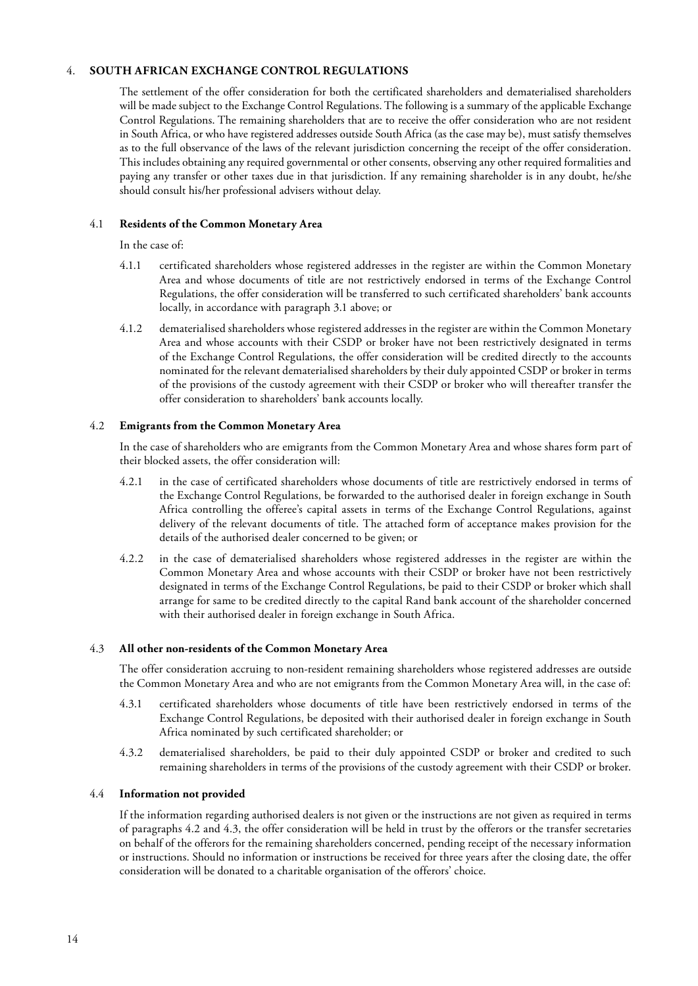# 4. **SOUTH AFRICAN EXCHANGE CONTROL REGULATIONS**

The settlement of the offer consideration for both the certificated shareholders and dematerialised shareholders will be made subject to the Exchange Control Regulations. The following is a summary of the applicable Exchange Control Regulations. The remaining shareholders that are to receive the offer consideration who are not resident in South Africa, or who have registered addresses outside South Africa (as the case may be), must satisfy themselves as to the full observance of the laws of the relevant jurisdiction concerning the receipt of the offer consideration. This includes obtaining any required governmental or other consents, observing any other required formalities and paying any transfer or other taxes due in that jurisdiction. If any remaining shareholder is in any doubt, he/she should consult his/her professional advisers without delay.

# 4.1 **Residents of the Common Monetary Area**

In the case of:

- 4.1.1 certificated shareholders whose registered addresses in the register are within the Common Monetary Area and whose documents of title are not restrictively endorsed in terms of the Exchange Control Regulations, the offer consideration will be transferred to such certificated shareholders' bank accounts locally, in accordance with paragraph 3.1 above; or
- 4.1.2 dematerialised shareholders whose registered addresses in the register are within the Common Monetary Area and whose accounts with their CSDP or broker have not been restrictively designated in terms of the Exchange Control Regulations, the offer consideration will be credited directly to the accounts nominated for the relevant dematerialised shareholders by their duly appointed CSDP or broker in terms of the provisions of the custody agreement with their CSDP or broker who will thereafter transfer the offer consideration to shareholders' bank accounts locally.

# 4.2 **Emigrants from the Common Monetary Area**

In the case of shareholders who are emigrants from the Common Monetary Area and whose shares form part of their blocked assets, the offer consideration will:

- 4.2.1 in the case of certificated shareholders whose documents of title are restrictively endorsed in terms of the Exchange Control Regulations, be forwarded to the authorised dealer in foreign exchange in South Africa controlling the offeree's capital assets in terms of the Exchange Control Regulations, against delivery of the relevant documents of title. The attached form of acceptance makes provision for the details of the authorised dealer concerned to be given; or
- 4.2.2 in the case of dematerialised shareholders whose registered addresses in the register are within the Common Monetary Area and whose accounts with their CSDP or broker have not been restrictively designated in terms of the Exchange Control Regulations, be paid to their CSDP or broker which shall arrange for same to be credited directly to the capital Rand bank account of the shareholder concerned with their authorised dealer in foreign exchange in South Africa.

# 4.3 **All other non-residents of the Common Monetary Area**

The offer consideration accruing to non-resident remaining shareholders whose registered addresses are outside the Common Monetary Area and who are not emigrants from the Common Monetary Area will, in the case of:

- 4.3.1 certificated shareholders whose documents of title have been restrictively endorsed in terms of the Exchange Control Regulations, be deposited with their authorised dealer in foreign exchange in South Africa nominated by such certificated shareholder; or
- 4.3.2 dematerialised shareholders, be paid to their duly appointed CSDP or broker and credited to such remaining shareholders in terms of the provisions of the custody agreement with their CSDP or broker.

#### 4.4 **Information not provided**

If the information regarding authorised dealers is not given or the instructions are not given as required in terms of paragraphs 4.2 and 4.3, the offer consideration will be held in trust by the offerors or the transfer secretaries on behalf of the offerors for the remaining shareholders concerned, pending receipt of the necessary information or instructions. Should no information or instructions be received for three years after the closing date, the offer consideration will be donated to a charitable organisation of the offerors' choice.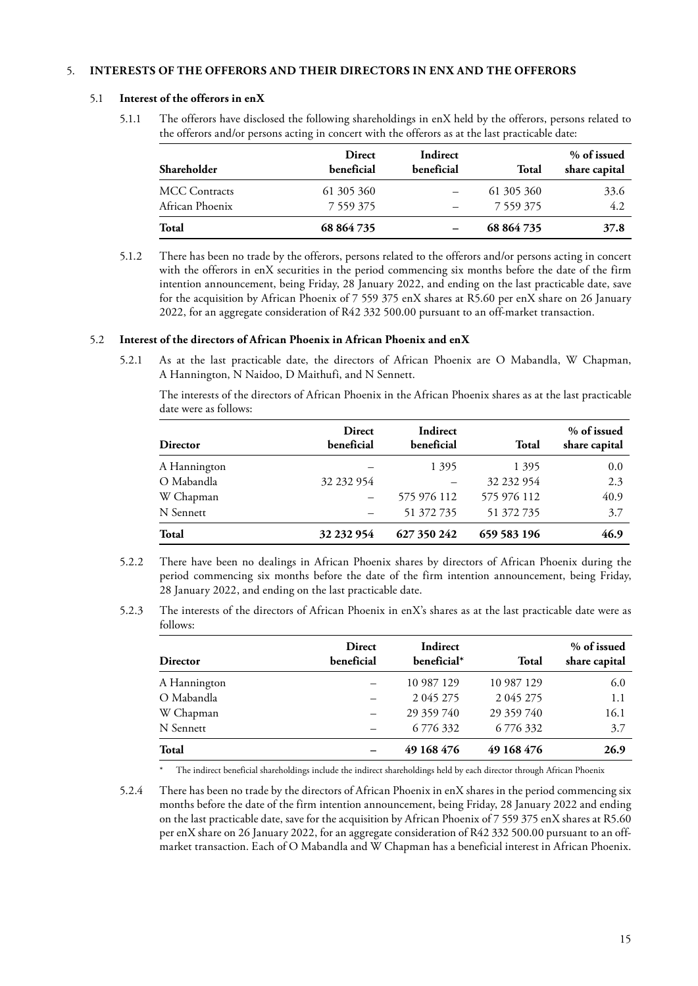# 5. **INTERESTS OF THE OFFERORS AND THEIR DIRECTORS IN ENX AND THE OFFERORS**

#### 5.1 **Interest of the offerors in enX**

5.1.1 The offerors have disclosed the following shareholdings in enX held by the offerors, persons related to the offerors and/or persons acting in concert with the offerors as at the last practicable date:

| <b>Shareholder</b>   | <b>Direct</b><br>beneficial | Indirect<br>beneficial | Total      | % of issued<br>share capital |
|----------------------|-----------------------------|------------------------|------------|------------------------------|
| <b>MCC Contracts</b> | 61 305 360                  |                        | 61 305 360 | 33.6                         |
| African Phoenix      | 7 559 375                   |                        | 7 559 375  | 4.2                          |
| Total                | 68 864 735                  |                        | 68 864 735 | 37.8                         |

5.1.2 There has been no trade by the offerors, persons related to the offerors and/or persons acting in concert with the offerors in enX securities in the period commencing six months before the date of the firm intention announcement, being Friday, 28 January 2022, and ending on the last practicable date, save for the acquisition by African Phoenix of 7 559 375 enX shares at R5.60 per enX share on 26 January 2022, for an aggregate consideration of R42 332 500.00 pursuant to an off-market transaction.

#### 5.2 **Interest of the directors of African Phoenix in African Phoenix and enX**

5.2.1 As at the last practicable date, the directors of African Phoenix are O Mabandla, W Chapman, A Hannington, N Naidoo, D Maithufi, and N Sennett.

The interests of the directors of African Phoenix in the African Phoenix shares as at the last practicable date were as follows:

| <b>Director</b> | <b>Direct</b><br>beneficial | Indirect<br>beneficial | <b>Total</b> | % of issued<br>share capital |
|-----------------|-----------------------------|------------------------|--------------|------------------------------|
| A Hannington    |                             | 1 3 9 5                | 1 3 9 5      | 0.0                          |
| O Mabandla      | 32 232 954                  |                        | 32 232 954   | 2.3                          |
| W Chapman       |                             | 575 976 112            | 575 976 112  | 40.9                         |
| N Sennett       |                             | 51 372 735             | 51 372 735   | 3.7                          |
| Total           | 32 232 954                  | 627 350 242            | 659 583 196  | 46.9                         |

- 5.2.2 There have been no dealings in African Phoenix shares by directors of African Phoenix during the period commencing six months before the date of the firm intention announcement, being Friday, 28 January 2022, and ending on the last practicable date.
- 5.2.3 The interests of the directors of African Phoenix in enX's shares as at the last practicable date were as follows:

| <b>Director</b> | <b>Direct</b><br>beneficial | Indirect<br>beneficial* | Total      | % of issued<br>share capital |
|-----------------|-----------------------------|-------------------------|------------|------------------------------|
| A Hannington    |                             | 10 987 129              | 10 987 129 | 6.0                          |
| O Mabandla      |                             | 2 0 4 5 2 7 5           | 2 045 275  | 1.1                          |
| W Chapman       |                             | 29 359 740              | 29 359 740 | 16.1                         |
| N Sennett       |                             | 6 776 332               | 6776332    | 3.7                          |
| <b>Total</b>    |                             | 49 168 476              | 49 168 476 | 26.9                         |

The indirect beneficial shareholdings include the indirect shareholdings held by each director through African Phoenix

5.2.4 There has been no trade by the directors of African Phoenix in enX shares in the period commencing six months before the date of the firm intention announcement, being Friday, 28 January 2022 and ending on the last practicable date, save for the acquisition by African Phoenix of 7 559 375 enX shares at R5.60 per enX share on 26 January 2022, for an aggregate consideration of R42 332 500.00 pursuant to an offmarket transaction. Each of O Mabandla and W Chapman has a beneficial interest in African Phoenix.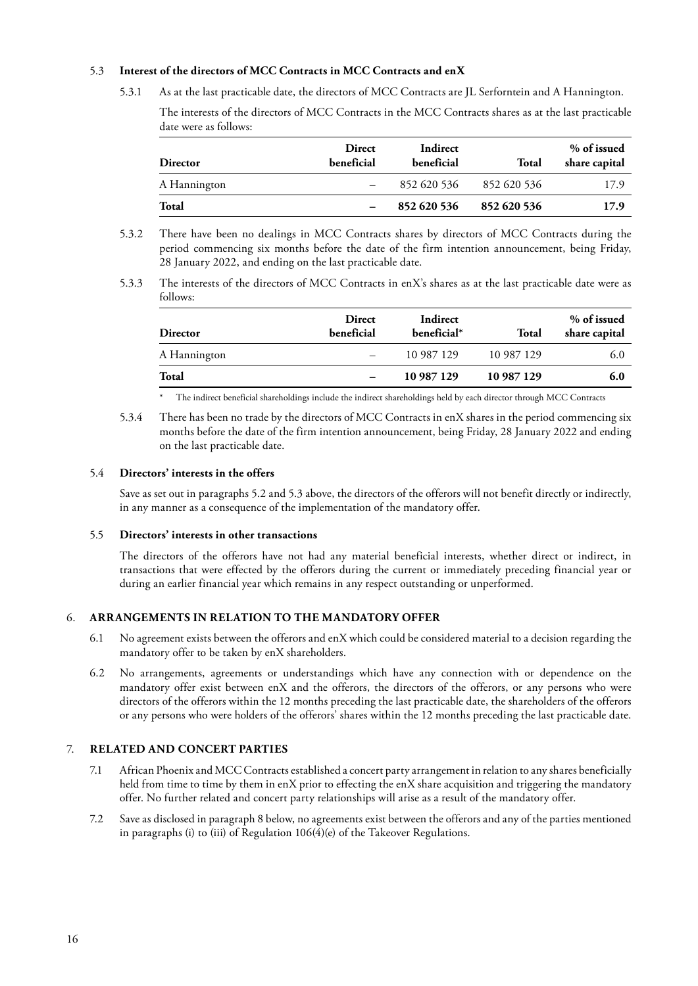# 5.3 **Interest of the directors of MCC Contracts in MCC Contracts and enX**

5.3.1 As at the last practicable date, the directors of MCC Contracts are JL Serforntein and A Hannington.

The interests of the directors of MCC Contracts in the MCC Contracts shares as at the last practicable date were as follows:

| Director     | <b>Direct</b><br>beneficial | Indirect<br>beneficial | Total       | % of issued<br>share capital |
|--------------|-----------------------------|------------------------|-------------|------------------------------|
| A Hannington |                             | 852 620 536            | 852 620 536 | 17.9                         |
| <b>Total</b> |                             | 852 620 536            | 852 620 536 | 17.9                         |

- 5.3.2 There have been no dealings in MCC Contracts shares by directors of MCC Contracts during the period commencing six months before the date of the firm intention announcement, being Friday, 28 January 2022, and ending on the last practicable date.
- 5.3.3 The interests of the directors of MCC Contracts in enX's shares as at the last practicable date were as follows:

| Director     | <b>Direct</b><br>beneficial | Indirect<br>beneficial* | Total      | % of issued<br>share capital |
|--------------|-----------------------------|-------------------------|------------|------------------------------|
| A Hannington |                             | 10 987 129              | 10 987 129 | 6.0                          |
| Total        |                             | 10 987 129              | 10 987 129 | 6.0                          |

\* The indirect beneficial shareholdings include the indirect shareholdings held by each director through MCC Contracts

5.3.4 There has been no trade by the directors of MCC Contracts in enX shares in the period commencing six months before the date of the firm intention announcement, being Friday, 28 January 2022 and ending on the last practicable date.

#### 5.4 **Directors' interests in the offers**

Save as set out in paragraphs 5.2 and 5.3 above, the directors of the offerors will not benefit directly or indirectly, in any manner as a consequence of the implementation of the mandatory offer.

#### 5.5 **Directors' interests in other transactions**

The directors of the offerors have not had any material beneficial interests, whether direct or indirect, in transactions that were effected by the offerors during the current or immediately preceding financial year or during an earlier financial year which remains in any respect outstanding or unperformed.

#### 6. **ARRANGEMENTS IN RELATION TO THE MANDATORY OFFER**

- 6.1 No agreement exists between the offerors and enX which could be considered material to a decision regarding the mandatory offer to be taken by enX shareholders.
- 6.2 No arrangements, agreements or understandings which have any connection with or dependence on the mandatory offer exist between enX and the offerors, the directors of the offerors, or any persons who were directors of the offerors within the 12 months preceding the last practicable date, the shareholders of the offerors or any persons who were holders of the offerors' shares within the 12 months preceding the last practicable date.

# 7. **RELATED AND CONCERT PARTIES**

- 7.1 African Phoenix and MCC Contracts established a concert party arrangement in relation to any shares beneficially held from time to time by them in enX prior to effecting the enX share acquisition and triggering the mandatory offer. No further related and concert party relationships will arise as a result of the mandatory offer.
- 7.2 Save as disclosed in paragraph 8 below, no agreements exist between the offerors and any of the parties mentioned in paragraphs (i) to (iii) of Regulation 106(4)(e) of the Takeover Regulations.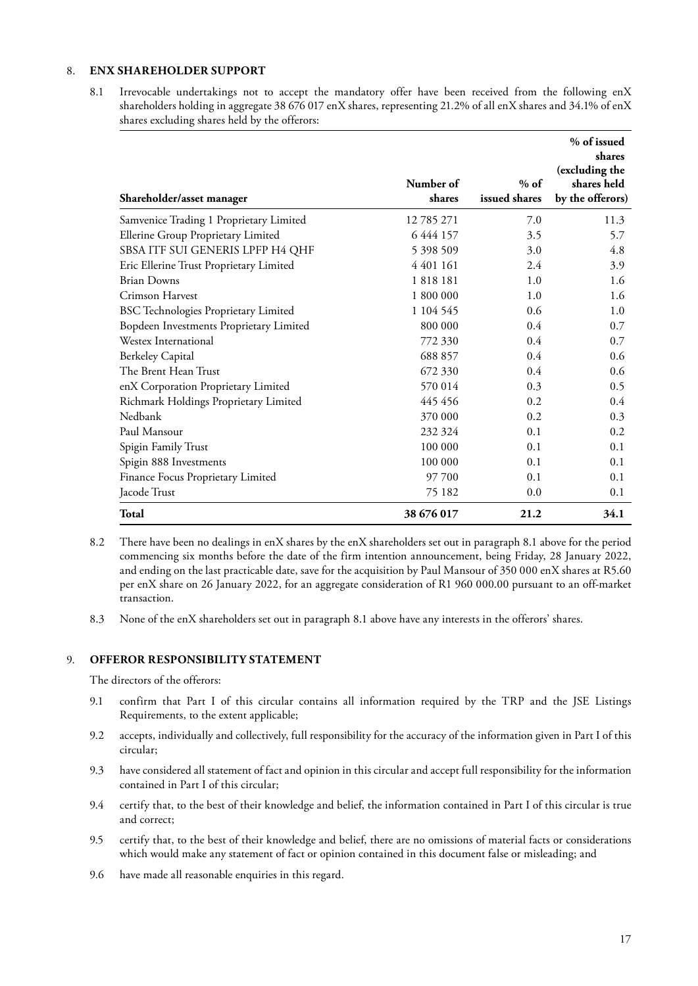# 8. **ENX SHAREHOLDER SUPPORT**

8.1 Irrevocable undertakings not to accept the mandatory offer have been received from the following enX shareholders holding in aggregate 38 676 017 enX shares, representing 21.2% of all enX shares and 34.1% of enX shares excluding shares held by the offerors:

| Shareholder/asset manager                   | Number of<br>shares | $%$ of<br>issued shares | % of issued<br>shares<br>(excluding the<br>shares held<br>by the offerors) |
|---------------------------------------------|---------------------|-------------------------|----------------------------------------------------------------------------|
| Samvenice Trading 1 Proprietary Limited     | 12785271            | 7.0                     | 11.3                                                                       |
| Ellerine Group Proprietary Limited          | 6 4 4 4 1 5 7       | 3.5                     | 5.7                                                                        |
| SBSA ITF SUI GENERIS LPFP H4 QHF            | 5 398 509           | 3.0                     | 4.8                                                                        |
| Eric Ellerine Trust Proprietary Limited     | 4 401 161           | 2.4                     | 3.9                                                                        |
| <b>Brian Downs</b>                          | 1818181             | 1.0                     | 1.6                                                                        |
| Crimson Harvest                             | 1 800 000           | 1.0                     | 1.6                                                                        |
| <b>BSC Technologies Proprietary Limited</b> | 1 104 545           | $0.6^{\circ}$           | 1.0                                                                        |
| Bopdeen Investments Proprietary Limited     | 800 000             | 0.4                     | 0.7                                                                        |
| Westex International                        | 772 330             | 0.4                     | 0.7                                                                        |
| <b>Berkeley Capital</b>                     | 688 857             | 0.4                     | 0.6                                                                        |
| The Brent Hean Trust                        | 672 330             | $0.4^{\circ}$           | 0.6                                                                        |
| enX Corporation Proprietary Limited         | 570 014             | 0.3                     | 0.5                                                                        |
| Richmark Holdings Proprietary Limited       | 445 456             | 0.2                     | $0.4^{\circ}$                                                              |
| Nedbank                                     | 370 000             | 0.2                     | 0.3                                                                        |
| Paul Mansour                                | 232 324             | 0.1                     | 0.2                                                                        |
| Spigin Family Trust                         | 100 000             | 0.1                     | 0.1                                                                        |
| Spigin 888 Investments                      | 100 000             | 0.1                     | 0.1                                                                        |
| Finance Focus Proprietary Limited           | 97 700              | 0.1                     | 0.1                                                                        |
| Jacode Trust                                | 75 182              | 0.0                     | 0.1                                                                        |
| <b>Total</b>                                | 38 676 017          | 21.2                    | 34.1                                                                       |

- 8.2 There have been no dealings in enX shares by the enX shareholders set out in paragraph 8.1 above for the period commencing six months before the date of the firm intention announcement, being Friday, 28 January 2022, and ending on the last practicable date, save for the acquisition by Paul Mansour of 350 000 enX shares at R5.60 per enX share on 26 January 2022, for an aggregate consideration of R1 960 000.00 pursuant to an off-market transaction.
- 8.3 None of the enX shareholders set out in paragraph 8.1 above have any interests in the offerors' shares.

# 9. **OFFEROR RESPONSIBILITY STATEMENT**

The directors of the offerors:

- 9.1 confirm that Part I of this circular contains all information required by the TRP and the JSE Listings Requirements, to the extent applicable;
- 9.2 accepts, individually and collectively, full responsibility for the accuracy of the information given in Part I of this circular;
- 9.3 have considered all statement of fact and opinion in this circular and accept full responsibility for the information contained in Part I of this circular;
- 9.4 certify that, to the best of their knowledge and belief, the information contained in Part I of this circular is true and correct;
- 9.5 certify that, to the best of their knowledge and belief, there are no omissions of material facts or considerations which would make any statement of fact or opinion contained in this document false or misleading; and
- 9.6 have made all reasonable enquiries in this regard.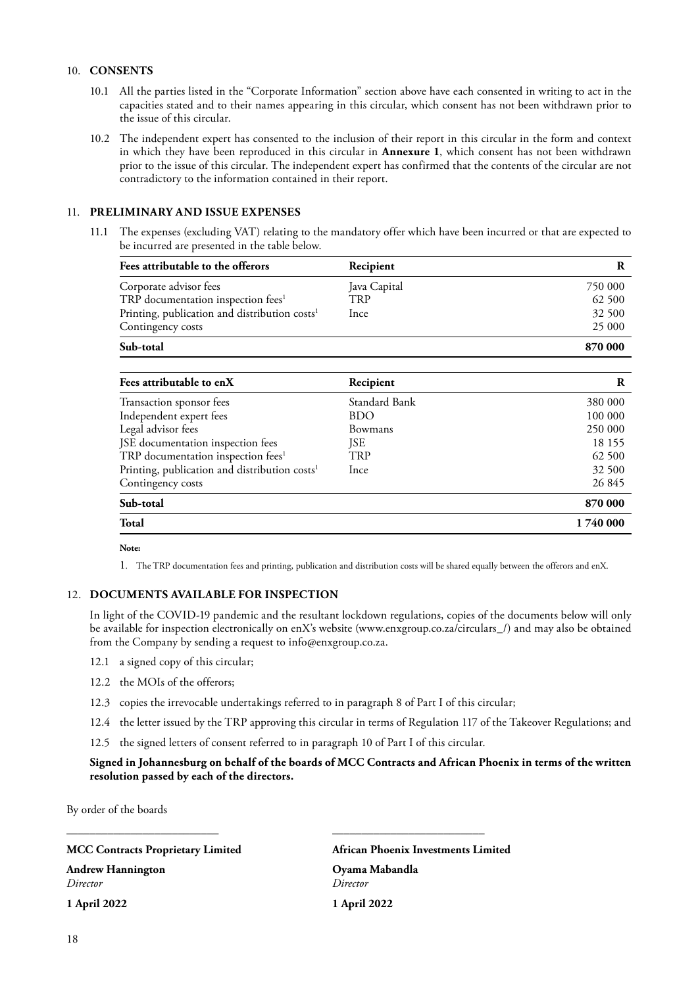# 10. **CONSENTS**

- 10.1 All the parties listed in the "Corporate Information" section above have each consented in writing to act in the capacities stated and to their names appearing in this circular, which consent has not been withdrawn prior to the issue of this circular.
- 10.2 The independent expert has consented to the inclusion of their report in this circular in the form and context in which they have been reproduced in this circular in **Annexure 1**, which consent has not been withdrawn prior to the issue of this circular. The independent expert has confirmed that the contents of the circular are not contradictory to the information contained in their report.

#### 11. **PRELIMINARY AND ISSUE EXPENSES**

11.1 The expenses (excluding VAT) relating to the mandatory offer which have been incurred or that are expected to be incurred are presented in the table below.

| Fees attributable to the offerors                         | Recipient    |         |
|-----------------------------------------------------------|--------------|---------|
| Corporate advisor fees                                    | Java Capital | 750 000 |
| TRP documentation inspection fees <sup>1</sup>            | TRP          | 62 500  |
| Printing, publication and distribution costs <sup>1</sup> | Ince         | 32 500  |
| Contingency costs                                         |              | 25 000  |
| Sub-total                                                 |              | 870 000 |

| Fees attributable to enX                                  | Recipient      | R        |
|-----------------------------------------------------------|----------------|----------|
| Transaction sponsor fees                                  | Standard Bank  | 380 000  |
| Independent expert fees                                   | <b>BDO</b>     | 100 000  |
| Legal advisor fees                                        | <b>Bowmans</b> | 250 000  |
| JSE documentation inspection fees                         | JSE            | 18 155   |
| TRP documentation inspection fees <sup>1</sup>            | TRP            | 62 500   |
| Printing, publication and distribution costs <sup>1</sup> | Ince           | 32 500   |
| Contingency costs                                         |                | 26 845   |
| Sub-total                                                 |                | 870 000  |
| <b>Total</b>                                              |                | 1740 000 |

#### **Note:**

1. The TRP documentation fees and printing, publication and distribution costs will be shared equally between the offerors and enX.

#### 12. **DOCUMENTS AVAILABLE FOR INSPECTION**

In light of the COVID-19 pandemic and the resultant lockdown regulations, copies of the documents below will only be available for inspection electronically on enX's website (www.enxgroup.co.za/circulars\_/) and may also be obtained from the Company by sending a request to info@enxgroup.co.za.

- 12.1 a signed copy of this circular;
- 12.2 the MOIs of the offerors;
- 12.3 copies the irrevocable undertakings referred to in paragraph 8 of Part I of this circular;
- 12.4 the letter issued by the TRP approving this circular in terms of Regulation 117 of the Takeover Regulations; and
- 12.5 the signed letters of consent referred to in paragraph 10 of Part I of this circular.

\_\_\_\_\_\_\_\_\_\_\_\_\_\_\_\_\_\_\_\_\_\_\_\_\_\_ \_\_\_\_\_\_\_\_\_\_\_\_\_\_\_\_\_\_\_\_\_\_\_\_\_\_

# **Signed in Johannesburg on behalf of the boards of MCC Contracts and African Phoenix in terms of the written resolution passed by each of the directors.**

By order of the boards

#### **MCC Contracts Proprietary Limited African Phoenix Investments Limited**

**Andrew Hannington Oyama Mabandla** *Director Director*

**1 April 2022 1 April 2022**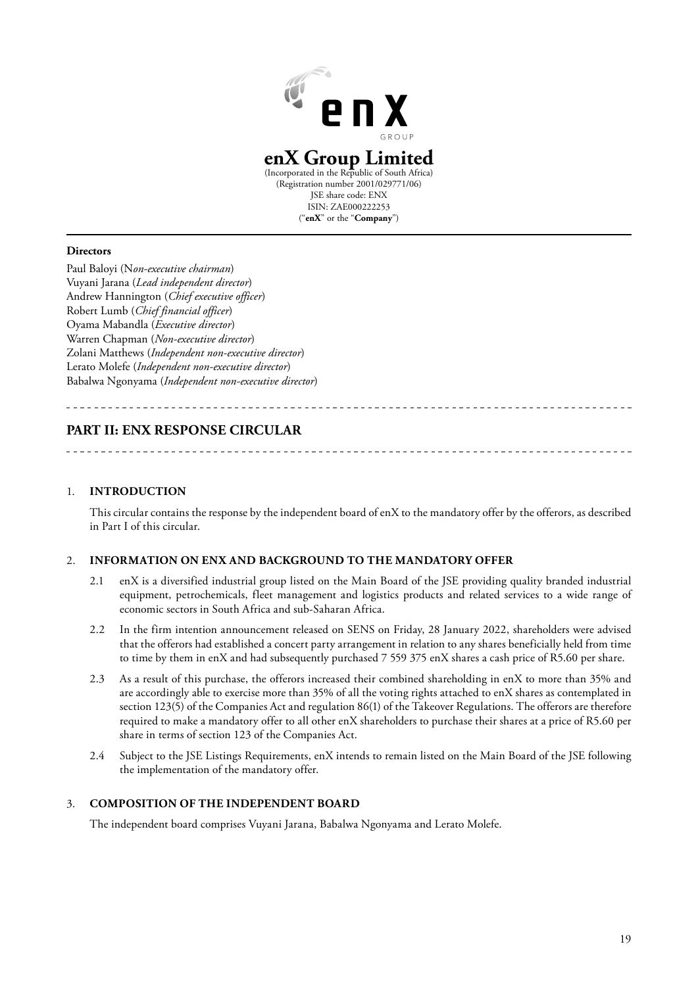

# **enX Group Limited**

(Incorporated in the Republic of South Africa) (Registration number 2001/029771/06) JSE share code: ENX ISIN: ZAE000222253 ("**enX**" or the "**Company**")

#### **Directors**

Paul Baloyi (N*on-executive chairman*) Vuyani Jarana (*Lead independent director*) Andrew Hannington (*Chief executive officer*) Robert Lumb (*Chief financial officer*) Oyama Mabandla (*Executive director*) Warren Chapman (*Non-executive director*) Zolani Matthews (*Independent non-executive director*) Lerato Molefe (*Independent non-executive director*) Babalwa Ngonyama (*Independent non-executive director*)

# **PART II: ENX RESPONSE CIRCULAR**

#### 1. **INTRODUCTION**

This circular contains the response by the independent board of enX to the mandatory offer by the offerors, as described in Part I of this circular.

### 2. **INFORMATION ON ENX AND BACKGROUND TO THE MANDATORY OFFER**

- 2.1 enX is a diversified industrial group listed on the Main Board of the JSE providing quality branded industrial equipment, petrochemicals, fleet management and logistics products and related services to a wide range of economic sectors in South Africa and sub-Saharan Africa.
- 2.2 In the firm intention announcement released on SENS on Friday, 28 January 2022, shareholders were advised that the offerors had established a concert party arrangement in relation to any shares beneficially held from time to time by them in enX and had subsequently purchased 7 559 375 enX shares a cash price of R5.60 per share.
- 2.3 As a result of this purchase, the offerors increased their combined shareholding in enX to more than 35% and are accordingly able to exercise more than 35% of all the voting rights attached to enX shares as contemplated in section 123(5) of the Companies Act and regulation 86(1) of the Takeover Regulations. The offerors are therefore required to make a mandatory offer to all other enX shareholders to purchase their shares at a price of R5.60 per share in terms of section 123 of the Companies Act.
- 2.4 Subject to the JSE Listings Requirements, enX intends to remain listed on the Main Board of the JSE following the implementation of the mandatory offer.

#### 3. **COMPOSITION OF THE INDEPENDENT BOARD**

The independent board comprises Vuyani Jarana, Babalwa Ngonyama and Lerato Molefe.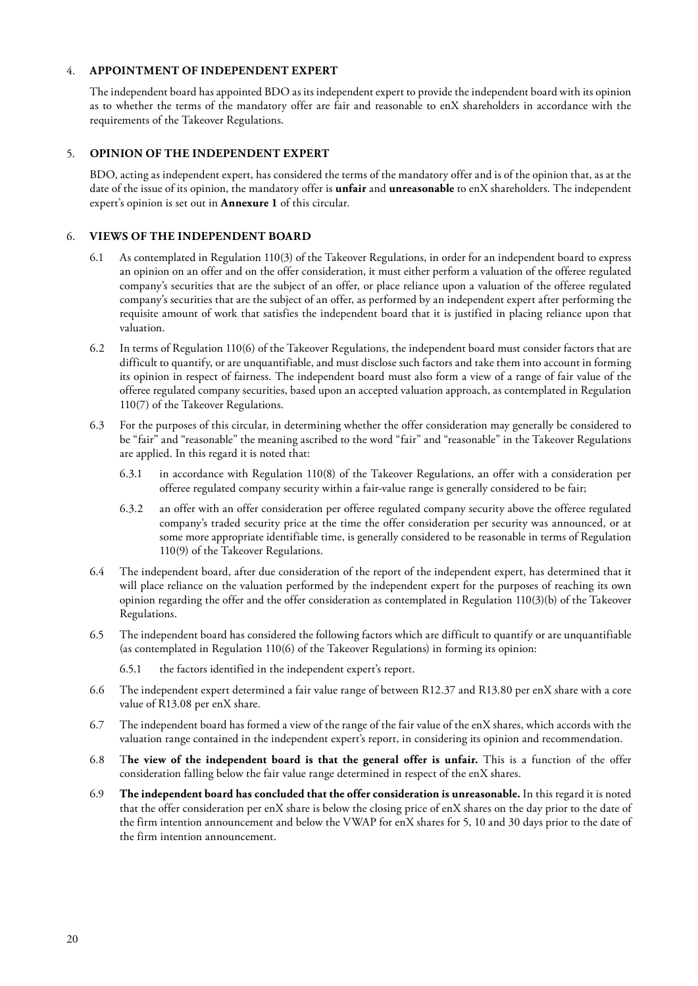# 4. **APPOINTMENT OF INDEPENDENT EXPERT**

The independent board has appointed BDO as its independent expert to provide the independent board with its opinion as to whether the terms of the mandatory offer are fair and reasonable to enX shareholders in accordance with the requirements of the Takeover Regulations.

### 5. **OPINION OF THE INDEPENDENT EXPERT**

BDO, acting as independent expert, has considered the terms of the mandatory offer and is of the opinion that, as at the date of the issue of its opinion, the mandatory offer is **unfair** and **unreasonable** to enX shareholders. The independent expert's opinion is set out in **Annexure 1** of this circular.

# 6. **VIEWS OF THE INDEPENDENT BOARD**

- 6.1 As contemplated in Regulation 110(3) of the Takeover Regulations, in order for an independent board to express an opinion on an offer and on the offer consideration, it must either perform a valuation of the offeree regulated company's securities that are the subject of an offer, or place reliance upon a valuation of the offeree regulated company's securities that are the subject of an offer, as performed by an independent expert after performing the requisite amount of work that satisfies the independent board that it is justified in placing reliance upon that valuation.
- 6.2 In terms of Regulation 110(6) of the Takeover Regulations, the independent board must consider factors that are difficult to quantify, or are unquantifiable, and must disclose such factors and take them into account in forming its opinion in respect of fairness. The independent board must also form a view of a range of fair value of the offeree regulated company securities, based upon an accepted valuation approach, as contemplated in Regulation 110(7) of the Takeover Regulations.
- 6.3 For the purposes of this circular, in determining whether the offer consideration may generally be considered to be "fair" and "reasonable" the meaning ascribed to the word "fair" and "reasonable" in the Takeover Regulations are applied. In this regard it is noted that:
	- 6.3.1 in accordance with Regulation 110(8) of the Takeover Regulations, an offer with a consideration per offeree regulated company security within a fair-value range is generally considered to be fair;
	- 6.3.2 an offer with an offer consideration per offeree regulated company security above the offeree regulated company's traded security price at the time the offer consideration per security was announced, or at some more appropriate identifiable time, is generally considered to be reasonable in terms of Regulation 110(9) of the Takeover Regulations.
- 6.4 The independent board, after due consideration of the report of the independent expert, has determined that it will place reliance on the valuation performed by the independent expert for the purposes of reaching its own opinion regarding the offer and the offer consideration as contemplated in Regulation 110(3)(b) of the Takeover Regulations.
- 6.5 The independent board has considered the following factors which are difficult to quantify or are unquantifiable (as contemplated in Regulation 110(6) of the Takeover Regulations) in forming its opinion:
	- 6.5.1 the factors identified in the independent expert's report.
- 6.6 The independent expert determined a fair value range of between R12.37 and R13.80 per enX share with a core value of R13.08 per enX share.
- 6.7 The independent board has formed a view of the range of the fair value of the enX shares, which accords with the valuation range contained in the independent expert's report, in considering its opinion and recommendation.
- 6.8 T**he view of the independent board is that the general offer is unfair.** This is a function of the offer consideration falling below the fair value range determined in respect of the enX shares.
- 6.9 **The independent board has concluded that the offer consideration is unreasonable.** In this regard it is noted that the offer consideration per enX share is below the closing price of enX shares on the day prior to the date of the firm intention announcement and below the VWAP for enX shares for 5, 10 and 30 days prior to the date of the firm intention announcement.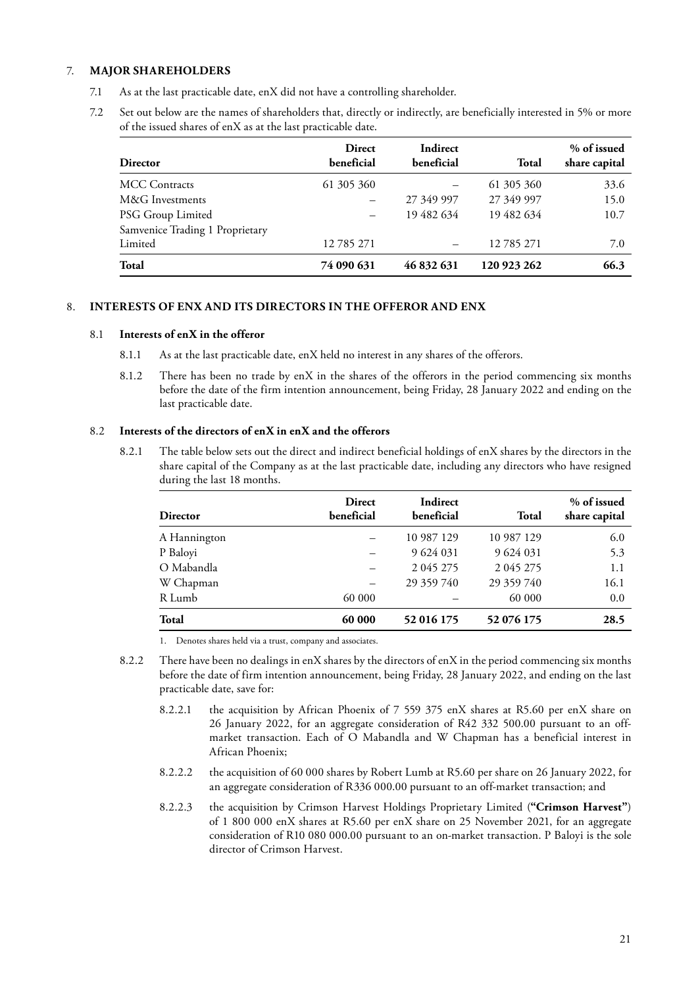# 7. **MAJOR SHAREHOLDERS**

- 7.1 As at the last practicable date, enX did not have a controlling shareholder.
- 7.2 Set out below are the names of shareholders that, directly or indirectly, are beneficially interested in 5% or more of the issued shares of enX as at the last practicable date.

| <b>Director</b>                 | <b>Direct</b><br>beneficial | Indirect<br>beneficial | Total       | % of issued<br>share capital |
|---------------------------------|-----------------------------|------------------------|-------------|------------------------------|
| <b>MCC</b> Contracts            | 61 305 360                  |                        | 61 305 360  | 33.6                         |
| M&G Investments                 |                             | 27 349 997             | 27 349 997  | 15.0                         |
| PSG Group Limited               |                             | 19 482 634             | 19 482 634  | 10.7                         |
| Samvenice Trading 1 Proprietary |                             |                        |             |                              |
| Limited                         | 12785271                    |                        | 12785271    | 7.0                          |
| Total                           | 74 090 631                  | 46 832 631             | 120 923 262 | 66.3                         |

# 8. **INTERESTS OF ENX AND ITS DIRECTORS IN THE OFFEROR AND ENX**

#### 8.1 **Interests of enX in the offeror**

- 8.1.1 As at the last practicable date, enX held no interest in any shares of the offerors.
- 8.1.2 There has been no trade by enX in the shares of the offerors in the period commencing six months before the date of the firm intention announcement, being Friday, 28 January 2022 and ending on the last practicable date.

### 8.2 **Interests of the directors of enX in enX and the offerors**

8.2.1 The table below sets out the direct and indirect beneficial holdings of enX shares by the directors in the share capital of the Company as at the last practicable date, including any directors who have resigned during the last 18 months.

| Director     | <b>Direct</b><br>beneficial | Indirect<br>beneficial | Total      | % of issued<br>share capital |
|--------------|-----------------------------|------------------------|------------|------------------------------|
| A Hannington |                             | 10 987 129             | 10 987 129 | 6.0                          |
| P Baloyi     |                             | 9 624 031              | 9 624 031  | 5.3                          |
| O Mabandla   |                             | 2 0 4 5 2 7 5          | 2 045 275  | 1.1                          |
| W Chapman    |                             | 29 359 740             | 29 359 740 | 16.1                         |
| R Lumb       | 60 000                      |                        | 60 000     | 0.0                          |
| Total        | 60 000                      | 52 016 175             | 52 076 175 | 28.5                         |

1. Denotes shares held via a trust, company and associates.

- 8.2.2 There have been no dealings in enX shares by the directors of enX in the period commencing six months before the date of firm intention announcement, being Friday, 28 January 2022, and ending on the last practicable date, save for:
	- 8.2.2.1 the acquisition by African Phoenix of 7 559 375 enX shares at R5.60 per enX share on 26 January 2022, for an aggregate consideration of R42 332 500.00 pursuant to an offmarket transaction. Each of O Mabandla and W Chapman has a beneficial interest in African Phoenix;
	- 8.2.2.2 the acquisition of 60 000 shares by Robert Lumb at R5.60 per share on 26 January 2022, for an aggregate consideration of R336 000.00 pursuant to an off-market transaction; and
	- 8.2.2.3 the acquisition by Crimson Harvest Holdings Proprietary Limited (**"Crimson Harvest"**) of 1 800 000 enX shares at R5.60 per enX share on 25 November 2021, for an aggregate consideration of R10 080 000.00 pursuant to an on-market transaction. P Baloyi is the sole director of Crimson Harvest.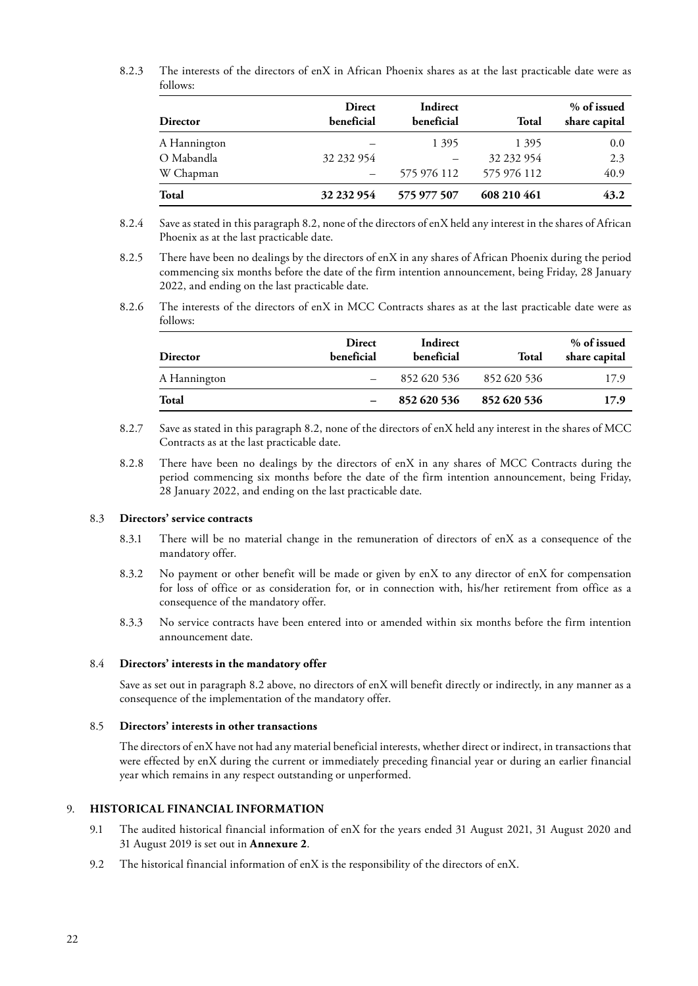8.2.3 The interests of the directors of enX in African Phoenix shares as at the last practicable date were as follows:

| <b>Director</b> | <b>Direct</b><br>beneficial | Indirect<br>beneficial | Total       | % of issued<br>share capital |
|-----------------|-----------------------------|------------------------|-------------|------------------------------|
| A Hannington    |                             | 1 3 9 5                | 1395        | 0.0                          |
| O Mabandla      | 32 232 954                  |                        | 32 232 954  | 2.3                          |
| W Chapman       |                             | 575 976 112            | 575 976 112 | 40.9                         |
| <b>Total</b>    | 32 232 954                  | 575 977 507            | 608 210 461 | 43.2                         |

- 8.2.4 Save as stated in this paragraph 8.2, none of the directors of enX held any interest in the shares of African Phoenix as at the last practicable date.
- 8.2.5 There have been no dealings by the directors of enX in any shares of African Phoenix during the period commencing six months before the date of the firm intention announcement, being Friday, 28 January 2022, and ending on the last practicable date.
- 8.2.6 The interests of the directors of enX in MCC Contracts shares as at the last practicable date were as follows:

| <b>Director</b> | <b>Direct</b><br>beneficial | Indirect<br>beneficial | Total       | % of issued<br>share capital |
|-----------------|-----------------------------|------------------------|-------------|------------------------------|
| A Hannington    |                             | 852 620 536            | 852 620 536 | 17.9                         |
| Total           |                             | 852 620 536            | 852 620 536 | 17.9                         |

- 8.2.7 Save as stated in this paragraph 8.2, none of the directors of enX held any interest in the shares of MCC Contracts as at the last practicable date.
- 8.2.8 There have been no dealings by the directors of enX in any shares of MCC Contracts during the period commencing six months before the date of the firm intention announcement, being Friday, 28 January 2022, and ending on the last practicable date.

#### 8.3 **Directors' service contracts**

- 8.3.1 There will be no material change in the remuneration of directors of enX as a consequence of the mandatory offer.
- 8.3.2 No payment or other benefit will be made or given by enX to any director of enX for compensation for loss of office or as consideration for, or in connection with, his/her retirement from office as a consequence of the mandatory offer.
- 8.3.3 No service contracts have been entered into or amended within six months before the firm intention announcement date.

#### 8.4 **Directors' interests in the mandatory offer**

Save as set out in paragraph 8.2 above, no directors of enX will benefit directly or indirectly, in any manner as a consequence of the implementation of the mandatory offer.

#### 8.5 **Directors' interests in other transactions**

The directors of enX have not had any material beneficial interests, whether direct or indirect, in transactions that were effected by enX during the current or immediately preceding financial year or during an earlier financial year which remains in any respect outstanding or unperformed.

### 9. **HISTORICAL FINANCIAL INFORMATION**

- 9.1 The audited historical financial information of enX for the years ended 31 August 2021, 31 August 2020 and 31 August 2019 is set out in **Annexure 2**.
- 9.2 The historical financial information of enX is the responsibility of the directors of enX.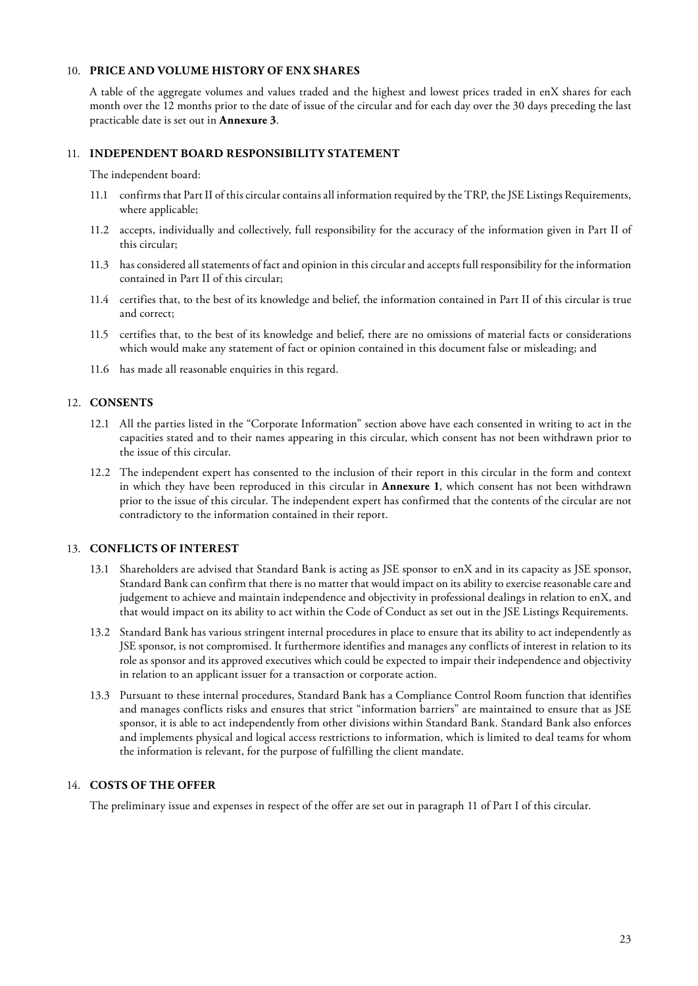# 10. **PRICE AND VOLUME HISTORY OF ENX SHARES**

A table of the aggregate volumes and values traded and the highest and lowest prices traded in enX shares for each month over the 12 months prior to the date of issue of the circular and for each day over the 30 days preceding the last practicable date is set out in **Annexure 3**.

### 11. **INDEPENDENT BOARD RESPONSIBILITY STATEMENT**

The independent board:

- 11.1 confirms that Part II of this circular contains all information required by the TRP, the JSE Listings Requirements, where applicable;
- 11.2 accepts, individually and collectively, full responsibility for the accuracy of the information given in Part II of this circular;
- 11.3 has considered all statements of fact and opinion in this circular and accepts full responsibility for the information contained in Part II of this circular;
- 11.4 certifies that, to the best of its knowledge and belief, the information contained in Part II of this circular is true and correct;
- 11.5 certifies that, to the best of its knowledge and belief, there are no omissions of material facts or considerations which would make any statement of fact or opinion contained in this document false or misleading; and
- 11.6 has made all reasonable enquiries in this regard.

# 12. **CONSENTS**

- 12.1 All the parties listed in the "Corporate Information" section above have each consented in writing to act in the capacities stated and to their names appearing in this circular, which consent has not been withdrawn prior to the issue of this circular.
- 12.2 The independent expert has consented to the inclusion of their report in this circular in the form and context in which they have been reproduced in this circular in **Annexure 1**, which consent has not been withdrawn prior to the issue of this circular. The independent expert has confirmed that the contents of the circular are not contradictory to the information contained in their report.

#### 13. **CONFLICTS OF INTEREST**

- 13.1 Shareholders are advised that Standard Bank is acting as JSE sponsor to enX and in its capacity as JSE sponsor, Standard Bank can confirm that there is no matter that would impact on its ability to exercise reasonable care and judgement to achieve and maintain independence and objectivity in professional dealings in relation to enX, and that would impact on its ability to act within the Code of Conduct as set out in the JSE Listings Requirements.
- 13.2 Standard Bank has various stringent internal procedures in place to ensure that its ability to act independently as JSE sponsor, is not compromised. It furthermore identifies and manages any conflicts of interest in relation to its role as sponsor and its approved executives which could be expected to impair their independence and objectivity in relation to an applicant issuer for a transaction or corporate action.
- 13.3 Pursuant to these internal procedures, Standard Bank has a Compliance Control Room function that identifies and manages conflicts risks and ensures that strict "information barriers" are maintained to ensure that as JSE sponsor, it is able to act independently from other divisions within Standard Bank. Standard Bank also enforces and implements physical and logical access restrictions to information, which is limited to deal teams for whom the information is relevant, for the purpose of fulfilling the client mandate.

#### 14. **COSTS OF THE OFFER**

The preliminary issue and expenses in respect of the offer are set out in paragraph 11 of Part I of this circular.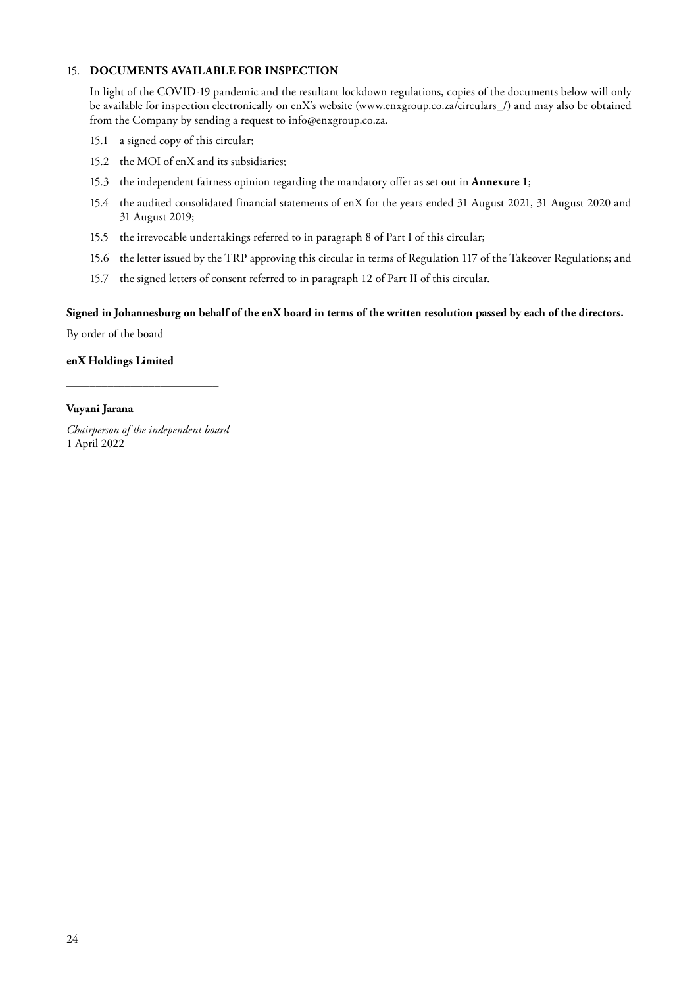# 15. **DOCUMENTS AVAILABLE FOR INSPECTION**

In light of the COVID-19 pandemic and the resultant lockdown regulations, copies of the documents below will only be available for inspection electronically on enX's website (www.enxgroup.co.za/circulars\_/) and may also be obtained from the Company by sending a request to info@enxgroup.co.za.

- 15.1 a signed copy of this circular;
- 15.2 the MOI of enX and its subsidiaries;
- 15.3 the independent fairness opinion regarding the mandatory offer as set out in **Annexure 1**;
- 15.4 the audited consolidated financial statements of enX for the years ended 31 August 2021, 31 August 2020 and 31 August 2019;
- 15.5 the irrevocable undertakings referred to in paragraph 8 of Part I of this circular;
- 15.6 the letter issued by the TRP approving this circular in terms of Regulation 117 of the Takeover Regulations; and
- 15.7 the signed letters of consent referred to in paragraph 12 of Part II of this circular.

#### **Signed in Johannesburg on behalf of the enX board in terms of the written resolution passed by each of the directors.**

By order of the board

# **enX Holdings Limited**

# **Vuyani Jarana**

*Chairperson of the independent board* 1 April 2022

\_\_\_\_\_\_\_\_\_\_\_\_\_\_\_\_\_\_\_\_\_\_\_\_\_\_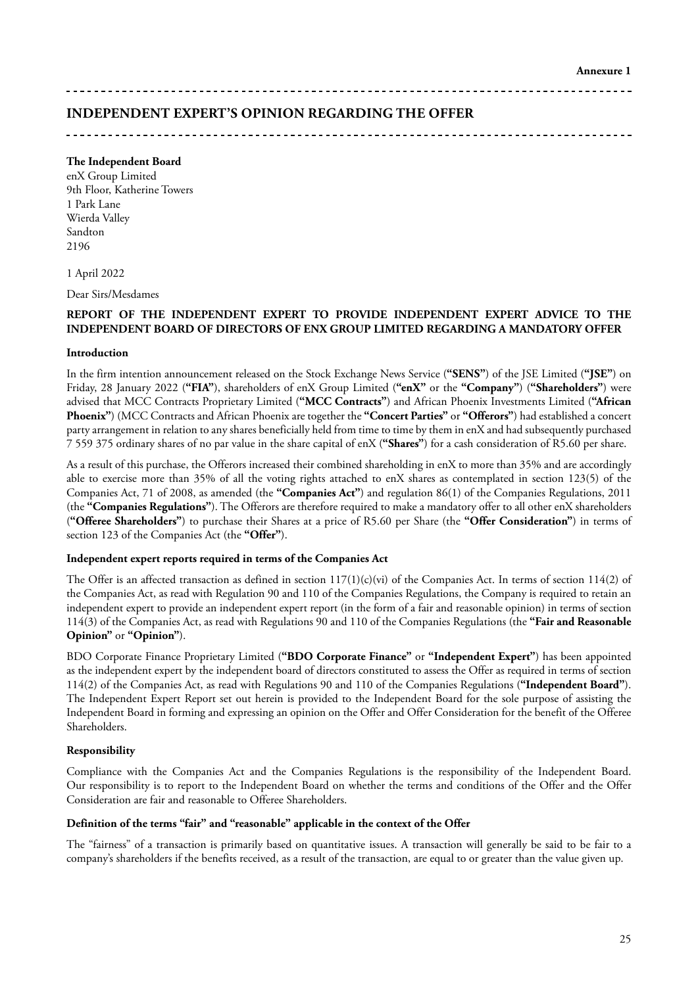#### 

# **INDEPENDENT EXPERT'S OPINION REGARDING THE OFFER**

# **The Independent Board**

enX Group Limited 9th Floor, Katherine Towers 1 Park Lane Wierda Valley Sandton 2196

1 April 2022

Dear Sirs/Mesdames

### **REPORT OF THE INDEPENDENT EXPERT TO PROVIDE INDEPENDENT EXPERT ADVICE TO THE INDEPENDENT BOARD OF DIRECTORS OF ENX GROUP LIMITED REGARDING A MANDATORY OFFER**

#### **Introduction**

In the firm intention announcement released on the Stock Exchange News Service (**"SENS"**) of the JSE Limited (**"JSE"**) on Friday, 28 January 2022 (**"FIA"**), shareholders of enX Group Limited (**"enX"** or the **"Company"**) (**"Shareholders"**) were advised that MCC Contracts Proprietary Limited (**"MCC Contracts"**) and African Phoenix Investments Limited (**"African Phoenix"**) (MCC Contracts and African Phoenix are together the **"Concert Parties"** or **"Offerors"**) had established a concert party arrangement in relation to any shares beneficially held from time to time by them in enX and had subsequently purchased 7 559 375 ordinary shares of no par value in the share capital of enX (**"Shares"**) for a cash consideration of R5.60 per share.

As a result of this purchase, the Offerors increased their combined shareholding in enX to more than 35% and are accordingly able to exercise more than 35% of all the voting rights attached to enX shares as contemplated in section 123(5) of the Companies Act, 71 of 2008, as amended (the **"Companies Act"**) and regulation 86(1) of the Companies Regulations, 2011 (the **"Companies Regulations"**). The Offerors are therefore required to make a mandatory offer to all other enX shareholders (**"Offeree Shareholders"**) to purchase their Shares at a price of R5.60 per Share (the **"Offer Consideration"**) in terms of section 123 of the Companies Act (the **"Offer"**).

#### **Independent expert reports required in terms of the Companies Act**

The Offer is an affected transaction as defined in section  $117(1)(c)(vi)$  of the Companies Act. In terms of section  $114(2)$  of the Companies Act, as read with Regulation 90 and 110 of the Companies Regulations, the Company is required to retain an independent expert to provide an independent expert report (in the form of a fair and reasonable opinion) in terms of section 114(3) of the Companies Act, as read with Regulations 90 and 110 of the Companies Regulations (the **"Fair and Reasonable Opinion"** or **"Opinion"**).

BDO Corporate Finance Proprietary Limited (**"BDO Corporate Finance"** or **"Independent Expert"**) has been appointed as the independent expert by the independent board of directors constituted to assess the Offer as required in terms of section 114(2) of the Companies Act, as read with Regulations 90 and 110 of the Companies Regulations (**"Independent Board"**). The Independent Expert Report set out herein is provided to the Independent Board for the sole purpose of assisting the Independent Board in forming and expressing an opinion on the Offer and Offer Consideration for the benefit of the Offeree Shareholders.

#### **Responsibility**

Compliance with the Companies Act and the Companies Regulations is the responsibility of the Independent Board. Our responsibility is to report to the Independent Board on whether the terms and conditions of the Offer and the Offer Consideration are fair and reasonable to Offeree Shareholders.

#### **Definition of the terms "fair" and "reasonable" applicable in the context of the Offer**

The "fairness" of a transaction is primarily based on quantitative issues. A transaction will generally be said to be fair to a company's shareholders if the benefits received, as a result of the transaction, are equal to or greater than the value given up.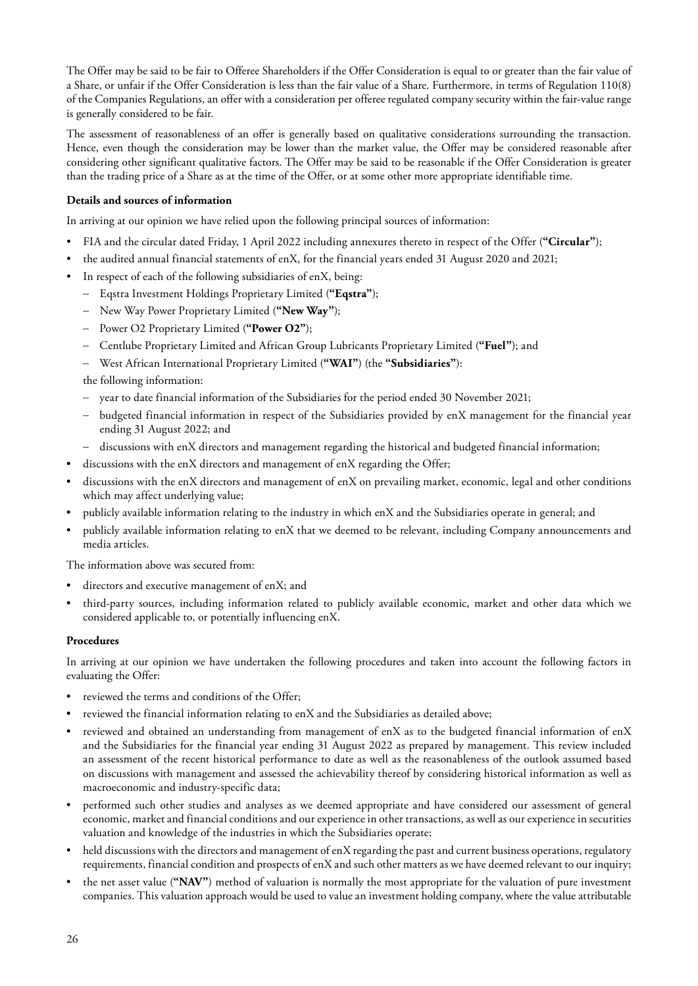The Offer may be said to be fair to Offeree Shareholders if the Offer Consideration is equal to or greater than the fair value of a Share, or unfair if the Offer Consideration is less than the fair value of a Share. Furthermore, in terms of Regulation 110(8) of the Companies Regulations, an offer with a consideration per offeree regulated company security within the fair-value range is generally considered to be fair.

The assessment of reasonableness of an offer is generally based on qualitative considerations surrounding the transaction. Hence, even though the consideration may be lower than the market value, the Offer may be considered reasonable after considering other significant qualitative factors. The Offer may be said to be reasonable if the Offer Consideration is greater than the trading price of a Share as at the time of the Offer, or at some other more appropriate identifiable time.

# **Details and sources of information**

In arriving at our opinion we have relied upon the following principal sources of information:

- FIA and the circular dated Friday, 1 April 2022 including annexures thereto in respect of the Offer (**"Circular"**);
- the audited annual financial statements of enX, for the financial years ended 31 August 2020 and 2021;
- In respect of each of the following subsidiaries of enX, being:
	- Eqstra Investment Holdings Proprietary Limited (**"Eqstra"**);
	- New Way Power Proprietary Limited (**"New Way"**);
	- Power O2 Proprietary Limited (**"Power O2"**);
	- Centlube Proprietary Limited and African Group Lubricants Proprietary Limited (**"Fuel"**); and
	- West African International Proprietary Limited (**"WAI"**) (the **"Subsidiaries"**):

the following information:

- year to date financial information of the Subsidiaries for the period ended 30 November 2021;
- budgeted financial information in respect of the Subsidiaries provided by enX management for the financial year ending 31 August 2022; and
- discussions with enX directors and management regarding the historical and budgeted financial information;
- discussions with the enX directors and management of enX regarding the Offer;
- discussions with the enX directors and management of enX on prevailing market, economic, legal and other conditions which may affect underlying value;
- publicly available information relating to the industry in which enX and the Subsidiaries operate in general; and
- publicly available information relating to enX that we deemed to be relevant, including Company announcements and media articles.

The information above was secured from:

- directors and executive management of enX; and
- third-party sources, including information related to publicly available economic, market and other data which we considered applicable to, or potentially influencing enX.

#### **Procedures**

In arriving at our opinion we have undertaken the following procedures and taken into account the following factors in evaluating the Offer:

- reviewed the terms and conditions of the Offer;
- reviewed the financial information relating to enX and the Subsidiaries as detailed above;
- reviewed and obtained an understanding from management of enX as to the budgeted financial information of enX and the Subsidiaries for the financial year ending 31 August 2022 as prepared by management. This review included an assessment of the recent historical performance to date as well as the reasonableness of the outlook assumed based on discussions with management and assessed the achievability thereof by considering historical information as well as macroeconomic and industry-specific data;
- performed such other studies and analyses as we deemed appropriate and have considered our assessment of general economic, market and financial conditions and our experience in other transactions, as well as our experience in securities valuation and knowledge of the industries in which the Subsidiaries operate;
- held discussions with the directors and management of enX regarding the past and current business operations, regulatory requirements, financial condition and prospects of enX and such other matters as we have deemed relevant to our inquiry;
- the net asset value (**"NAV"**) method of valuation is normally the most appropriate for the valuation of pure investment companies. This valuation approach would be used to value an investment holding company, where the value attributable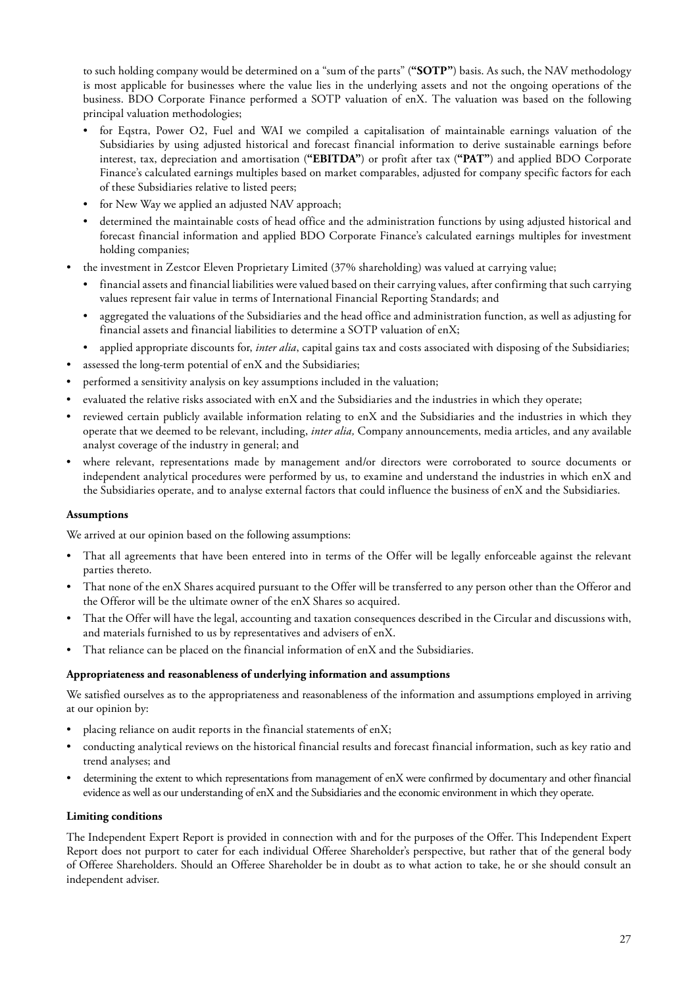to such holding company would be determined on a "sum of the parts" (**"SOTP"**) basis. As such, the NAV methodology is most applicable for businesses where the value lies in the underlying assets and not the ongoing operations of the business. BDO Corporate Finance performed a SOTP valuation of enX. The valuation was based on the following principal valuation methodologies;

- for Eqstra, Power O2, Fuel and WAI we compiled a capitalisation of maintainable earnings valuation of the Subsidiaries by using adjusted historical and forecast financial information to derive sustainable earnings before interest, tax, depreciation and amortisation (**"EBITDA"**) or profit after tax (**"PAT"**) and applied BDO Corporate Finance's calculated earnings multiples based on market comparables, adjusted for company specific factors for each of these Subsidiaries relative to listed peers;
- for New Way we applied an adjusted NAV approach;
- determined the maintainable costs of head office and the administration functions by using adjusted historical and forecast financial information and applied BDO Corporate Finance's calculated earnings multiples for investment holding companies;
- the investment in Zestcor Eleven Proprietary Limited (37% shareholding) was valued at carrying value;
	- financial assets and financial liabilities were valued based on their carrying values, after confirming that such carrying values represent fair value in terms of International Financial Reporting Standards; and
	- aggregated the valuations of the Subsidiaries and the head office and administration function, as well as adjusting for financial assets and financial liabilities to determine a SOTP valuation of enX;
	- applied appropriate discounts for, *inter alia*, capital gains tax and costs associated with disposing of the Subsidiaries;
- assessed the long-term potential of enX and the Subsidiaries;
- performed a sensitivity analysis on key assumptions included in the valuation;
- evaluated the relative risks associated with enX and the Subsidiaries and the industries in which they operate;
- reviewed certain publicly available information relating to enX and the Subsidiaries and the industries in which they operate that we deemed to be relevant, including, *inter alia,* Company announcements, media articles, and any available analyst coverage of the industry in general; and
- where relevant, representations made by management and/or directors were corroborated to source documents or independent analytical procedures were performed by us, to examine and understand the industries in which enX and the Subsidiaries operate, and to analyse external factors that could influence the business of enX and the Subsidiaries.

# **Assumptions**

We arrived at our opinion based on the following assumptions:

- That all agreements that have been entered into in terms of the Offer will be legally enforceable against the relevant parties thereto.
- That none of the enX Shares acquired pursuant to the Offer will be transferred to any person other than the Offeror and the Offeror will be the ultimate owner of the enX Shares so acquired.
- That the Offer will have the legal, accounting and taxation consequences described in the Circular and discussions with, and materials furnished to us by representatives and advisers of enX.
- That reliance can be placed on the financial information of enX and the Subsidiaries.

# **Appropriateness and reasonableness of underlying information and assumptions**

We satisfied ourselves as to the appropriateness and reasonableness of the information and assumptions employed in arriving at our opinion by:

- placing reliance on audit reports in the financial statements of enX;
- conducting analytical reviews on the historical financial results and forecast financial information, such as key ratio and trend analyses; and
- determining the extent to which representations from management of enX were confirmed by documentary and other financial evidence as well as our understanding of enX and the Subsidiaries and the economic environment in which they operate.

# **Limiting conditions**

The Independent Expert Report is provided in connection with and for the purposes of the Offer. This Independent Expert Report does not purport to cater for each individual Offeree Shareholder's perspective, but rather that of the general body of Offeree Shareholders. Should an Offeree Shareholder be in doubt as to what action to take, he or she should consult an independent adviser.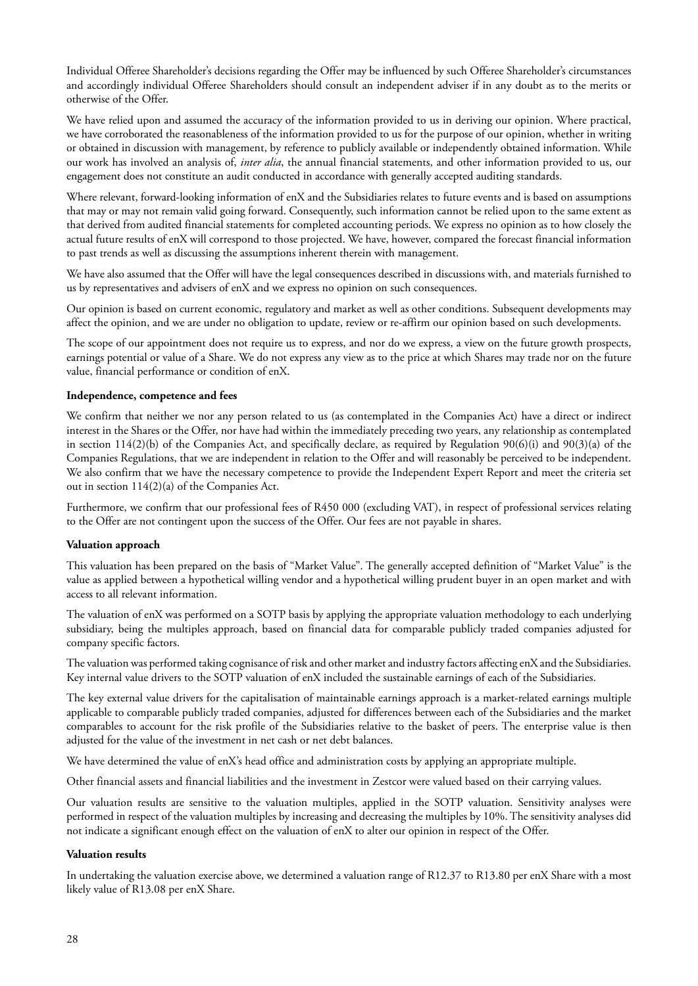Individual Offeree Shareholder's decisions regarding the Offer may be influenced by such Offeree Shareholder's circumstances and accordingly individual Offeree Shareholders should consult an independent adviser if in any doubt as to the merits or otherwise of the Offer.

We have relied upon and assumed the accuracy of the information provided to us in deriving our opinion. Where practical, we have corroborated the reasonableness of the information provided to us for the purpose of our opinion, whether in writing or obtained in discussion with management, by reference to publicly available or independently obtained information. While our work has involved an analysis of, *inter alia*, the annual financial statements, and other information provided to us, our engagement does not constitute an audit conducted in accordance with generally accepted auditing standards.

Where relevant, forward-looking information of enX and the Subsidiaries relates to future events and is based on assumptions that may or may not remain valid going forward. Consequently, such information cannot be relied upon to the same extent as that derived from audited financial statements for completed accounting periods. We express no opinion as to how closely the actual future results of enX will correspond to those projected. We have, however, compared the forecast financial information to past trends as well as discussing the assumptions inherent therein with management.

We have also assumed that the Offer will have the legal consequences described in discussions with, and materials furnished to us by representatives and advisers of enX and we express no opinion on such consequences.

Our opinion is based on current economic, regulatory and market as well as other conditions. Subsequent developments may affect the opinion, and we are under no obligation to update, review or re-affirm our opinion based on such developments.

The scope of our appointment does not require us to express, and nor do we express, a view on the future growth prospects, earnings potential or value of a Share. We do not express any view as to the price at which Shares may trade nor on the future value, financial performance or condition of enX.

#### **Independence, competence and fees**

We confirm that neither we nor any person related to us (as contemplated in the Companies Act) have a direct or indirect interest in the Shares or the Offer, nor have had within the immediately preceding two years, any relationship as contemplated in section  $114(2)(b)$  of the Companies Act, and specifically declare, as required by Regulation  $90(6)(i)$  and  $90(3)(a)$  of the Companies Regulations, that we are independent in relation to the Offer and will reasonably be perceived to be independent. We also confirm that we have the necessary competence to provide the Independent Expert Report and meet the criteria set out in section 114(2)(a) of the Companies Act.

Furthermore, we confirm that our professional fees of R450 000 (excluding VAT), in respect of professional services relating to the Offer are not contingent upon the success of the Offer. Our fees are not payable in shares.

#### **Valuation approach**

This valuation has been prepared on the basis of "Market Value". The generally accepted definition of "Market Value" is the value as applied between a hypothetical willing vendor and a hypothetical willing prudent buyer in an open market and with access to all relevant information.

The valuation of enX was performed on a SOTP basis by applying the appropriate valuation methodology to each underlying subsidiary, being the multiples approach, based on financial data for comparable publicly traded companies adjusted for company specific factors.

The valuation was performed taking cognisance of risk and other market and industry factors affecting enX and the Subsidiaries. Key internal value drivers to the SOTP valuation of enX included the sustainable earnings of each of the Subsidiaries.

The key external value drivers for the capitalisation of maintainable earnings approach is a market-related earnings multiple applicable to comparable publicly traded companies, adjusted for differences between each of the Subsidiaries and the market comparables to account for the risk profile of the Subsidiaries relative to the basket of peers. The enterprise value is then adjusted for the value of the investment in net cash or net debt balances.

We have determined the value of enX's head office and administration costs by applying an appropriate multiple.

Other financial assets and financial liabilities and the investment in Zestcor were valued based on their carrying values.

Our valuation results are sensitive to the valuation multiples, applied in the SOTP valuation. Sensitivity analyses were performed in respect of the valuation multiples by increasing and decreasing the multiples by 10%. The sensitivity analyses did not indicate a significant enough effect on the valuation of enX to alter our opinion in respect of the Offer.

#### **Valuation results**

In undertaking the valuation exercise above, we determined a valuation range of R12.37 to R13.80 per enX Share with a most likely value of R13.08 per enX Share.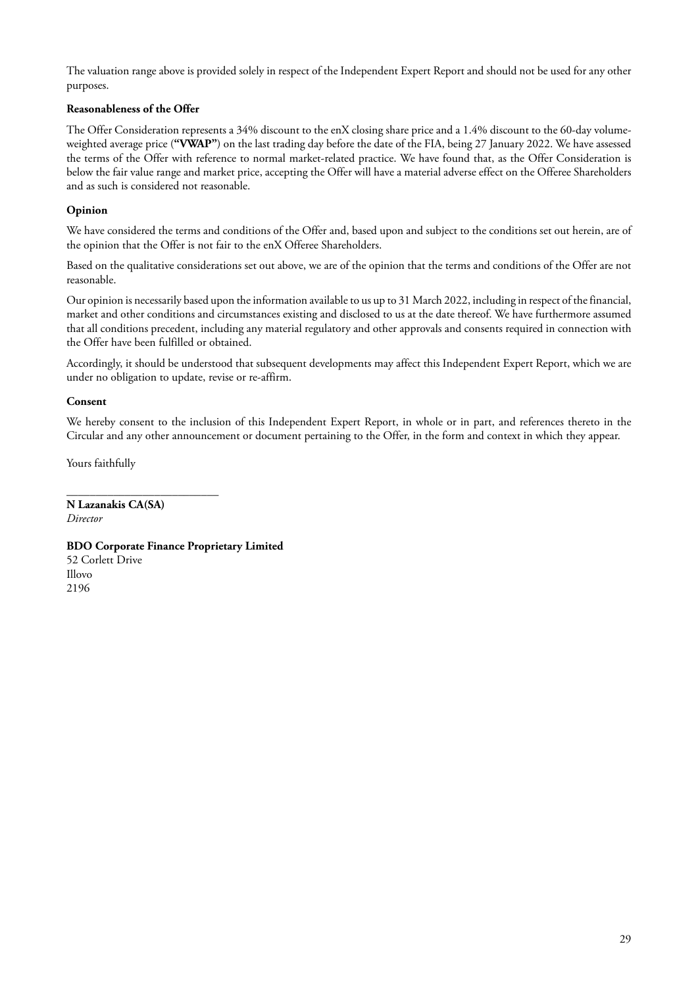The valuation range above is provided solely in respect of the Independent Expert Report and should not be used for any other purposes.

# **Reasonableness of the Offer**

The Offer Consideration represents a 34% discount to the enX closing share price and a 1.4% discount to the 60-day volumeweighted average price (**"VWAP"**) on the last trading day before the date of the FIA, being 27 January 2022. We have assessed the terms of the Offer with reference to normal market-related practice. We have found that, as the Offer Consideration is below the fair value range and market price, accepting the Offer will have a material adverse effect on the Offeree Shareholders and as such is considered not reasonable.

# **Opinion**

We have considered the terms and conditions of the Offer and, based upon and subject to the conditions set out herein, are of the opinion that the Offer is not fair to the enX Offeree Shareholders.

Based on the qualitative considerations set out above, we are of the opinion that the terms and conditions of the Offer are not reasonable.

Our opinion is necessarily based upon the information available to us up to 31 March 2022, including in respect of the financial, market and other conditions and circumstances existing and disclosed to us at the date thereof. We have furthermore assumed that all conditions precedent, including any material regulatory and other approvals and consents required in connection with the Offer have been fulfilled or obtained.

Accordingly, it should be understood that subsequent developments may affect this Independent Expert Report, which we are under no obligation to update, revise or re-affirm.

# **Consent**

We hereby consent to the inclusion of this Independent Expert Report, in whole or in part, and references thereto in the Circular and any other announcement or document pertaining to the Offer, in the form and context in which they appear.

Yours faithfully

\_\_\_\_\_\_\_\_\_\_\_\_\_\_\_\_\_\_\_\_\_\_\_\_\_\_ **N Lazanakis CA(SA)** *Director*

# **BDO Corporate Finance Proprietary Limited**

52 Corlett Drive Illovo 2196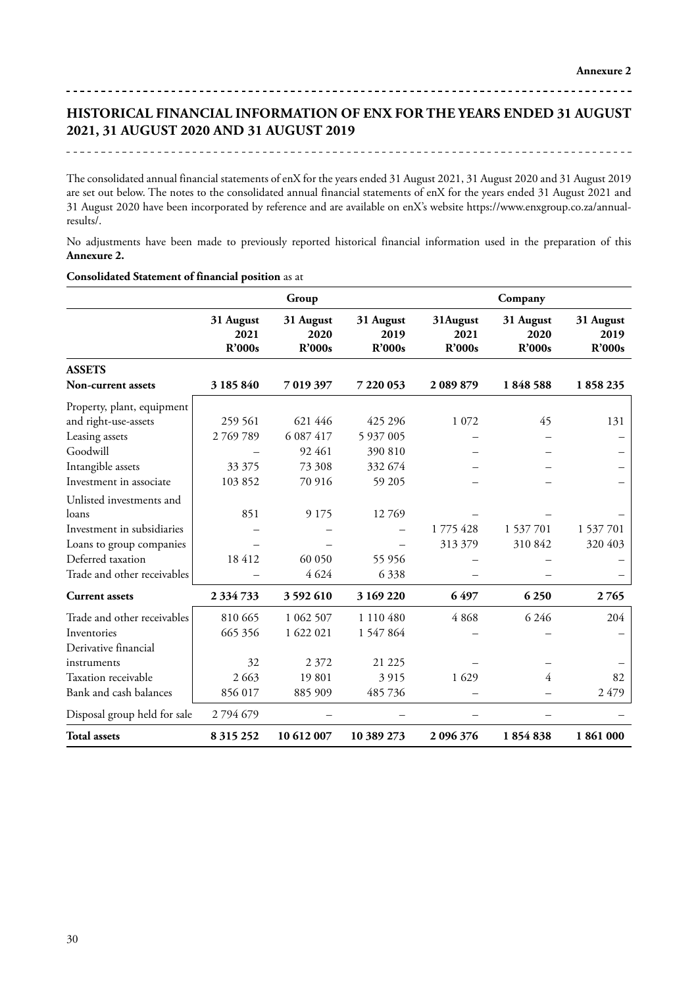# **HISTORICAL FINANCIAL INFORMATION OF ENX FOR THE YEARS ENDED 31 AUGUST 2021, 31 AUGUST 2020 AND 31 AUGUST 2019**

 $- - - - - - -$ 

#### 

The consolidated annual financial statements of enX for the years ended 31 August 2021, 31 August 2020 and 31 August 2019 are set out below. The notes to the consolidated annual financial statements of enX for the years ended 31 August 2021 and 31 August 2020 have been incorporated by reference and are available on enX's website https://www.enxgroup.co.za/annualresults/.

No adjustments have been made to previously reported historical financial information used in the preparation of this **Annexure 2.**

|                              |                             | Group                       |                             |                            | Company                     |                                    |  |  |
|------------------------------|-----------------------------|-----------------------------|-----------------------------|----------------------------|-----------------------------|------------------------------------|--|--|
|                              | 31 August<br>2021<br>R'000s | 31 August<br>2020<br>R'000s | 31 August<br>2019<br>R'000s | 31August<br>2021<br>R'000s | 31 August<br>2020<br>R'000s | 31 August<br>2019<br><b>R'000s</b> |  |  |
| <b>ASSETS</b>                |                             |                             |                             |                            |                             |                                    |  |  |
| <b>Non-current assets</b>    | 3 185 840                   | 7 019 397                   | 7 220 053                   | 2 089 879                  | 1848588                     | 1858235                            |  |  |
| Property, plant, equipment   |                             |                             |                             |                            |                             |                                    |  |  |
| and right-use-assets         | 259 561                     | 621 446                     | 425 296                     | 1 0 7 2                    | 45                          | 131                                |  |  |
| Leasing assets               | 2769789                     | 6 087 417                   | 5 937 005                   |                            |                             |                                    |  |  |
| Goodwill                     |                             | 92 461                      | 390 810                     |                            |                             |                                    |  |  |
| Intangible assets            | 33 375                      | 73 308                      | 332 674                     |                            |                             |                                    |  |  |
| Investment in associate      | 103852                      | 70 916                      | 59 205                      |                            |                             |                                    |  |  |
| Unlisted investments and     |                             |                             |                             |                            |                             |                                    |  |  |
| loans                        | 851                         | 9 1 7 5                     | 12769                       |                            |                             |                                    |  |  |
| Investment in subsidiaries   |                             |                             |                             | 1775428                    | 1 537 701                   | 1 537 701                          |  |  |
| Loans to group companies     |                             |                             |                             | 313 379                    | 310 842                     | 320 403                            |  |  |
| Deferred taxation            | 18412                       | 60 050                      | 55 956                      |                            |                             |                                    |  |  |
| Trade and other receivables  |                             | 4 6 2 4                     | 6338                        |                            |                             |                                    |  |  |
| <b>Current assets</b>        | 2 3 3 4 7 3 3               | 3 592 610                   | 3 169 220                   | 6497                       | 6250                        | 2765                               |  |  |
| Trade and other receivables  | 810 665                     | 1 062 507                   | 1 110 480                   | 4868                       | 6 2 4 6                     | 204                                |  |  |
| Inventories                  | 665 356                     | 1 622 021                   | 1 547 864                   |                            |                             |                                    |  |  |
| Derivative financial         |                             |                             |                             |                            |                             |                                    |  |  |
| instruments                  | 32                          | 2 3 7 2                     | 21 2 25                     |                            |                             |                                    |  |  |
| Taxation receivable          | 2 6 6 3                     | 19801                       | 3915                        | 1 629                      | 4                           | 82                                 |  |  |
| Bank and cash balances       | 856 017                     | 885 909                     | 485736                      |                            |                             | 2479                               |  |  |
| Disposal group held for sale | 2794679                     |                             |                             |                            |                             |                                    |  |  |
| <b>Total assets</b>          | 8 3 1 5 2 5 2               | 10 612 007                  | 10 389 273                  | 2 096 376                  | 1854838                     | 1861000                            |  |  |

#### **Consolidated Statement of financial position** as at

-----------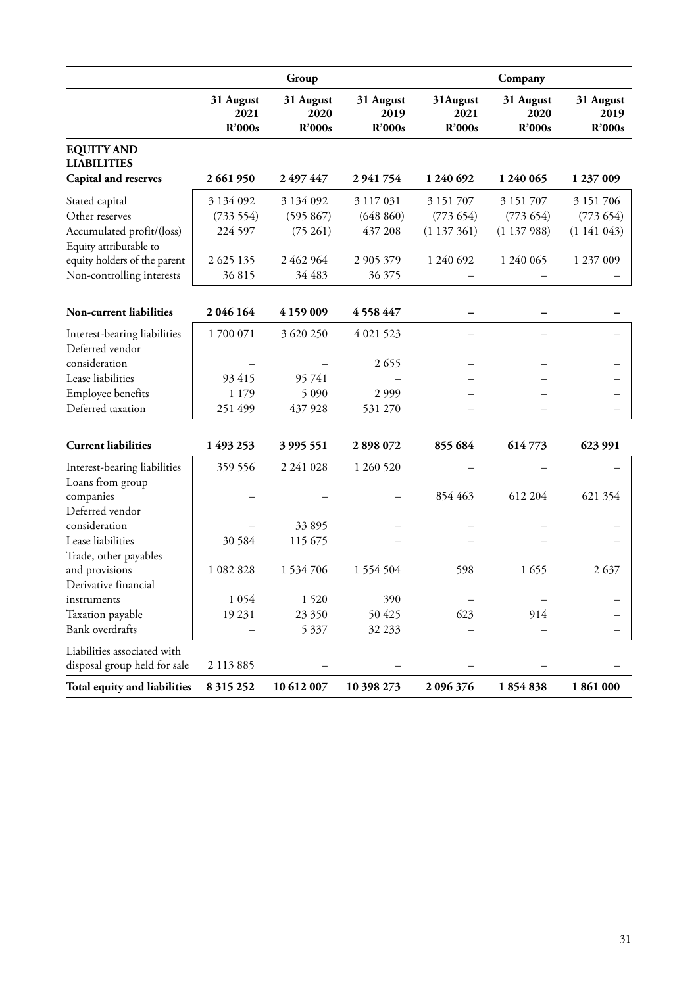|                                                             |                             | Group                       |                             |                            | Company                     |                             |
|-------------------------------------------------------------|-----------------------------|-----------------------------|-----------------------------|----------------------------|-----------------------------|-----------------------------|
|                                                             | 31 August<br>2021<br>R'000s | 31 August<br>2020<br>R'000s | 31 August<br>2019<br>R'000s | 31August<br>2021<br>R'000s | 31 August<br>2020<br>R'000s | 31 August<br>2019<br>R'000s |
| <b>EQUITY AND</b><br><b>LIABILITIES</b>                     |                             |                             |                             |                            |                             |                             |
| Capital and reserves                                        | 2 661 950                   | 2 497 447                   | 2941754                     | 1 240 692                  | 1 240 065                   | 1 237 009                   |
| Stated capital                                              | 3 134 092                   | 3 134 092                   | 3 117 031                   | 3 151 707                  | 3 151 707                   | 3 151 706                   |
| Other reserves                                              | (733 554)                   | (595 867)                   | (648 860)                   | (773654)                   | (773654)                    | (773654)                    |
| Accumulated profit/(loss)<br>Equity attributable to         | 224 597                     | (75261)                     | 437 208                     | (1137361)                  | (1137988)                   | (1141043)                   |
| equity holders of the parent                                | 2 625 135                   | 2 462 964                   | 2 905 379                   | 1 240 692                  | 1 240 065                   | 1 237 009                   |
| Non-controlling interests                                   | 36815                       | 34 483                      | 36 375                      |                            |                             |                             |
| <b>Non-current liabilities</b>                              | 2 046 164                   | 4 159 009                   | 4 5 5 8 4 4 7               |                            |                             |                             |
| Interest-bearing liabilities                                | 1700 071                    | 3 620 250                   | 4 021 523                   |                            |                             |                             |
| Deferred vendor                                             |                             |                             |                             |                            |                             |                             |
| consideration                                               |                             |                             | 2655                        |                            |                             |                             |
| Lease liabilities                                           | 93 415                      | 95 741                      |                             |                            |                             |                             |
| Employee benefits                                           | 1 1 7 9                     | 5 0 9 0                     | 2999                        |                            |                             |                             |
| Deferred taxation                                           | 251 499                     | 437 928                     | 531 270                     |                            |                             |                             |
| <b>Current liabilities</b>                                  | 1 493 253                   | 3 995 551                   | 2898072                     | 855 684                    | 614773                      | 623 991                     |
| Interest-bearing liabilities                                | 359 556                     | 2 2 4 1 0 2 8               | 1 260 520                   |                            |                             |                             |
| Loans from group                                            |                             |                             |                             |                            |                             |                             |
| companies                                                   |                             |                             |                             | 854 463                    | 612 204                     | 621 354                     |
| Deferred vendor                                             |                             |                             |                             |                            |                             |                             |
| consideration                                               |                             | 33 895                      |                             |                            |                             |                             |
| Lease liabilities                                           | 30 5 8 4                    | 115 675                     |                             |                            |                             |                             |
| Trade, other payables                                       |                             |                             |                             |                            |                             |                             |
| and provisions                                              | 1 082 828                   | 1 534 706                   | 1 554 504                   | 598                        | 1655                        | 2637                        |
| Derivative financial                                        |                             |                             |                             |                            |                             |                             |
| instruments                                                 | 1 0 5 4                     | 1520                        | 390                         |                            |                             |                             |
| Taxation payable                                            | 19 231                      | 23 350                      | 50 425                      | 623                        | 914                         |                             |
| Bank overdrafts                                             |                             | 5 3 3 7                     | 32 233                      |                            |                             |                             |
| Liabilities associated with<br>disposal group held for sale | 2 113 885                   |                             |                             |                            |                             |                             |
| Total equity and liabilities                                | 8 3 1 5 2 5 2               | 10 612 007                  | 10 398 273                  | 2 096 376                  | 1854838                     | 1861000                     |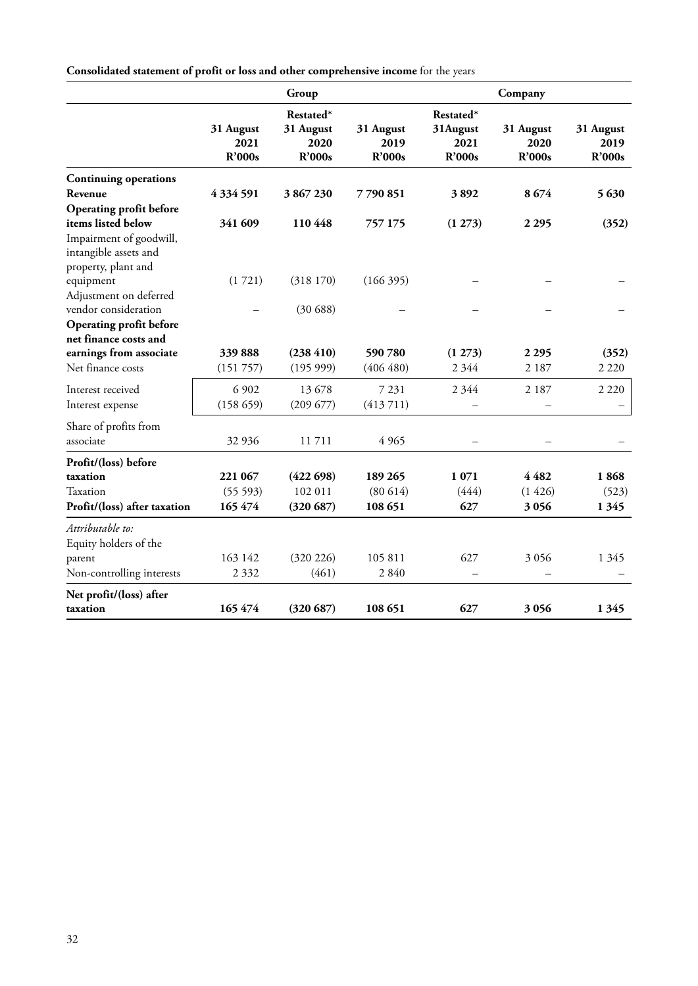**Consolidated statement of profit or loss and other comprehensive income** for the years

|                                                                         |                             | Group                                    |                             |                                         | Company                     |                             |
|-------------------------------------------------------------------------|-----------------------------|------------------------------------------|-----------------------------|-----------------------------------------|-----------------------------|-----------------------------|
|                                                                         | 31 August<br>2021<br>R'000s | Restated*<br>31 August<br>2020<br>R'000s | 31 August<br>2019<br>R'000s | Restated*<br>31August<br>2021<br>R'000s | 31 August<br>2020<br>R'000s | 31 August<br>2019<br>R'000s |
| <b>Continuing operations</b>                                            |                             |                                          |                             |                                         |                             |                             |
| Revenue                                                                 | 4334591                     | 3867230                                  | 7790851                     | 3892                                    | 8674                        | 5630                        |
| Operating profit before                                                 |                             |                                          |                             |                                         |                             |                             |
| items listed below                                                      | 341 609                     | 110448                                   | 757 175                     | (1273)                                  | 2 2 9 5                     | (352)                       |
| Impairment of goodwill,<br>intangible assets and<br>property, plant and |                             |                                          |                             |                                         |                             |                             |
| equipment                                                               | (1721)                      | (318170)                                 | (166395)                    |                                         |                             |                             |
| Adjustment on deferred<br>vendor consideration                          |                             | (30688)                                  |                             |                                         |                             |                             |
| Operating profit before                                                 |                             |                                          |                             |                                         |                             |                             |
| net finance costs and                                                   |                             |                                          |                             |                                         |                             |                             |
| earnings from associate                                                 | 339888                      | (238 410)                                | 590780                      | (1273)                                  | 2 2 9 5                     | (352)                       |
| Net finance costs                                                       | (151 757)                   | (19599)                                  | (406 480)                   | 2 3 4 4                                 | 2 1 8 7                     | 2 2 2 0                     |
| Interest received                                                       | 6 9 0 2                     | 13 678                                   | 7 2 3 1                     | 2 3 4 4                                 | 2 1 8 7                     | 2 2 2 0                     |
| Interest expense                                                        | (158659)                    | (209 677)                                | (413711)                    |                                         |                             |                             |
| Share of profits from<br>associate                                      | 32 936                      | 11711                                    | 4 9 6 5                     |                                         |                             |                             |
| Profit/(loss) before                                                    |                             |                                          |                             |                                         |                             |                             |
| taxation                                                                | 221 067                     | (422698)                                 | 189 265                     | 1071                                    | 4482                        | 1868                        |
| Taxation                                                                | (55593)                     | 102 011                                  | (80614)                     | (444)                                   | (1426)                      | (523)                       |
| Profit/(loss) after taxation                                            | 165 474                     | (320687)                                 | 108 651                     | 627                                     | 3056                        | 1 3 4 5                     |
| Attributable to:<br>Equity holders of the                               |                             |                                          |                             |                                         |                             |                             |
| parent                                                                  | 163 142                     | (320 226)                                | 105 811                     | 627                                     | 3 0 5 6                     | 1 3 4 5                     |
| Non-controlling interests                                               | 2 3 3 2                     | (461)                                    | 2840                        |                                         |                             |                             |
| Net profit/(loss) after                                                 |                             |                                          |                             |                                         |                             |                             |
| taxation                                                                | 165 474                     | (320687)                                 | 108 651                     | 627                                     | 3056                        | 1 3 4 5                     |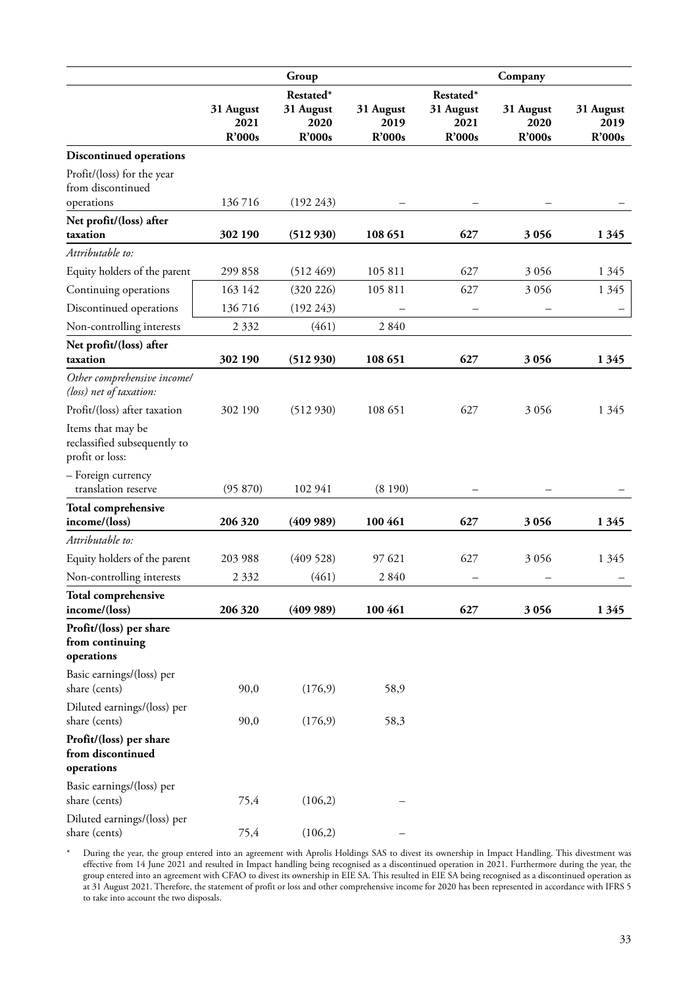|                                                                      |                   | Group                          |                   |                                | Company           |                   |
|----------------------------------------------------------------------|-------------------|--------------------------------|-------------------|--------------------------------|-------------------|-------------------|
|                                                                      | 31 August<br>2021 | Restated*<br>31 August<br>2020 | 31 August<br>2019 | Restated*<br>31 August<br>2021 | 31 August<br>2020 | 31 August<br>2019 |
|                                                                      | <b>R'000s</b>     | <b>R'000s</b>                  | <b>R'000s</b>     | R'000s                         | R'000s            | <b>R'000s</b>     |
| <b>Discontinued operations</b>                                       |                   |                                |                   |                                |                   |                   |
| Profit/(loss) for the year<br>from discontinued                      |                   |                                |                   |                                |                   |                   |
| operations                                                           | 136716            | (192 243)                      |                   |                                |                   |                   |
| Net profit/(loss) after<br>taxation                                  | 302 190           | (512930)                       | 108 651           | 627                            | 3056              | 1 3 4 5           |
| Attributable to:                                                     |                   |                                |                   |                                |                   |                   |
| Equity holders of the parent                                         | 299 858           | (512 469)                      | 105 811           | 627                            | 3 0 5 6           | 1 3 4 5           |
| Continuing operations                                                | 163 142           | (320 226)                      | 105 811           | 627                            | 3 0 5 6           | 1 3 4 5           |
| Discontinued operations                                              | 136716            | (192 243)                      |                   |                                |                   |                   |
| Non-controlling interests                                            | 2 3 3 2           | (461)                          | 2 8 4 0           |                                |                   |                   |
| Net profit/(loss) after                                              |                   |                                |                   |                                |                   |                   |
| taxation                                                             | 302 190           | (512930)                       | 108 651           | 627                            | 3056              | 1 3 4 5           |
| Other comprehensive incomel<br>(loss) net of taxation:               |                   |                                |                   |                                |                   |                   |
| Profit/(loss) after taxation                                         | 302 190           | (512930)                       | 108 651           | 627                            | 3 0 5 6           | 1 3 4 5           |
| Items that may be<br>reclassified subsequently to<br>profit or loss: |                   |                                |                   |                                |                   |                   |
| - Foreign currency<br>translation reserve                            | (95 870)          | 102 941                        | (8190)            |                                |                   |                   |
| <b>Total comprehensive</b><br>income/(loss)                          | 206 320           | (409989)                       | 100 461           | 627                            | 3 0 5 6           | 1 3 4 5           |
| Attributable to:                                                     |                   |                                |                   |                                |                   |                   |
| Equity holders of the parent                                         | 203 988           | (409528)                       | 97 621            | 627                            | 3 0 5 6           | 1 3 4 5           |
| Non-controlling interests                                            | 2 3 3 2           | (461)                          | 2840              |                                |                   |                   |
| Total comprehensive                                                  |                   |                                |                   |                                |                   |                   |
| income/(loss)                                                        | 206 320           | (409989)                       | 100 461           | 627                            | 3056              | 1345              |
| Profit/(loss) per share<br>from continuing<br>operations             |                   |                                |                   |                                |                   |                   |
| Basic earnings/(loss) per<br>share (cents)                           | 90,0              | (176, 9)                       | 58,9              |                                |                   |                   |
| Diluted earnings/(loss) per<br>share (cents)                         | 90,0              | (176, 9)                       | 58,3              |                                |                   |                   |
| Profit/(loss) per share<br>from discontinued<br>operations           |                   |                                |                   |                                |                   |                   |
| Basic earnings/(loss) per<br>share (cents)                           | 75,4              | (106,2)                        |                   |                                |                   |                   |
| Diluted earnings/(loss) per<br>share (cents)                         | 75,4              | (106,2)                        |                   |                                |                   |                   |

\* During the year, the group entered into an agreement with Aprolis Holdings SAS to divest its ownership in Impact Handling. This divestment was effective from 14 June 2021 and resulted in Impact handling being recognised as a discontinued operation in 2021. Furthermore during the year, the group entered into an agreement with CFAO to divest its ownership in EIE SA. This resulted in EIE SA being recognised as a discontinued operation as at 31 August 2021. Therefore, the statement of profit or loss and other comprehensive income for 2020 has been represented in accordance with IFRS 5 to take into account the two disposals.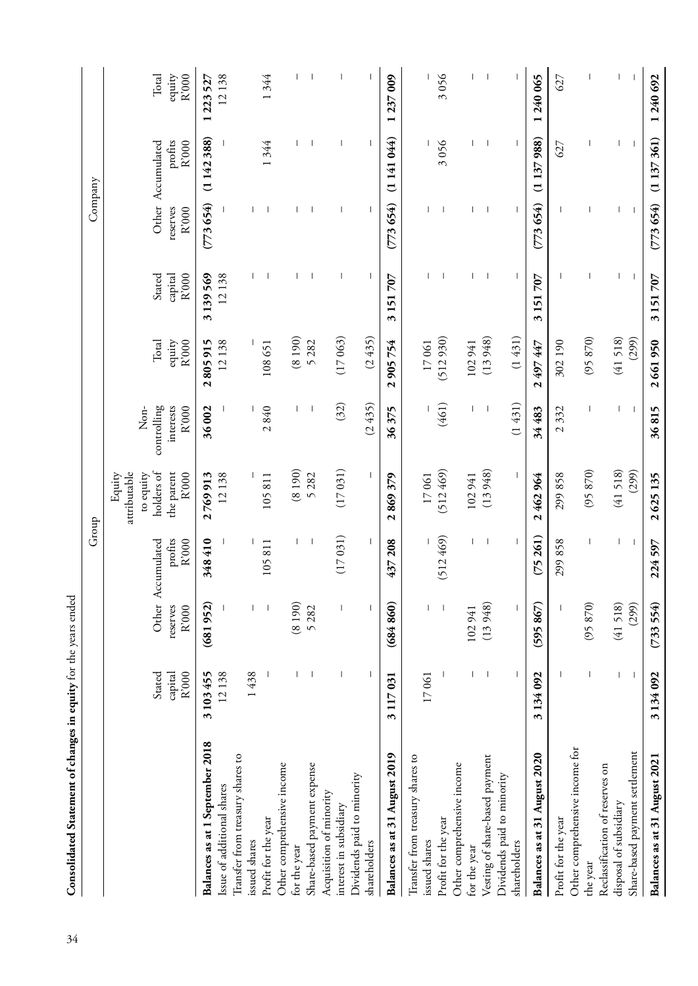|                                  |                            |                          | Group                                 |                                     |                                   |                          |                            | Company           |                                       |                          |
|----------------------------------|----------------------------|--------------------------|---------------------------------------|-------------------------------------|-----------------------------------|--------------------------|----------------------------|-------------------|---------------------------------------|--------------------------|
|                                  |                            |                          |                                       | attributable<br>Equity<br>to equity | Non-                              |                          |                            |                   |                                       |                          |
|                                  | R'000<br>Stated<br>capital | reserves<br>R'000        | profits<br>R'000<br>Other Accumulated | holders of<br>the parent<br>R'000   | interests<br>controlling<br>R'000 | equity<br>Total<br>R'000 | R'000<br>Stated<br>capital | reserves<br>R'000 | profits<br>R'000<br>Other Accumulated | equity<br>R'000<br>Total |
| Balances as at 1 September 2018  | 3103455                    | (681952)                 | 348410                                | 2769913                             | 36002                             | 2805915                  | 3139569                    | (773654)          | (1142388)                             | 1 223 527                |
| Issue of additional shares       | 12138                      |                          |                                       | 12138                               |                                   | 12138                    | 12138                      |                   |                                       | 12138                    |
| Transfer from treasury shares to |                            |                          |                                       |                                     |                                   |                          |                            |                   |                                       |                          |
| issued shares                    | 1438                       |                          |                                       |                                     |                                   |                          |                            |                   |                                       |                          |
| Profit for the year              |                            |                          | 105811                                | 105811                              | 2840                              | 108651                   |                            |                   | 1344                                  | 1344                     |
| Other comprehensive income       |                            |                          |                                       |                                     |                                   |                          |                            |                   |                                       |                          |
| for the year                     |                            | (8190)                   |                                       | (8190)                              |                                   | (8190)                   |                            |                   |                                       |                          |
| Share-based payment expense      |                            | 5282                     |                                       | 5 28 2                              |                                   | 5282                     |                            | H                 | $\overline{\phantom{a}}$              |                          |
| Acquisition of minority          |                            |                          |                                       |                                     |                                   |                          |                            |                   |                                       |                          |
| interest in subsidiary           |                            |                          | (17031)                               | (17031)                             | (32)                              | (17063)                  |                            | I                 |                                       |                          |
| Dividends paid to minority       |                            |                          |                                       |                                     |                                   |                          |                            |                   |                                       |                          |
| shareholders                     |                            | $\overline{\phantom{a}}$ |                                       |                                     | (2435)                            | (2435)                   |                            |                   |                                       |                          |
| Balances as at 31 August 2019    | 3 117 031                  | (684860)                 | 437208                                | 869379<br>$\mathbf{\tilde{c}}$      | 36375                             | 2 905 754                | 3 151 707                  | (773654)          | (1141044)                             | 1237009                  |
| Transfer from treasury shares to |                            |                          |                                       |                                     |                                   |                          |                            |                   |                                       |                          |
| issued shares                    | 17061                      |                          |                                       | 17061                               |                                   | 17061                    |                            |                   |                                       |                          |
| Profit for the year              |                            |                          | (512469)                              | (512469)                            | (461)                             | (512930)                 |                            |                   | 3056                                  | 3056                     |
| Other comprehensive income       |                            |                          |                                       |                                     |                                   |                          |                            |                   |                                       |                          |
| for the year                     | T                          | 102941                   |                                       | 102941                              |                                   | 102941                   |                            |                   |                                       |                          |
| Vesting of share-based payment   |                            | (13948)                  |                                       | (13948)                             |                                   | (13948)                  |                            |                   | $\overline{\phantom{a}}$              |                          |
| Dividends paid to minority       |                            |                          |                                       |                                     |                                   |                          |                            |                   |                                       |                          |
| shareholders                     |                            |                          |                                       |                                     | (1431)                            | (1431)                   |                            |                   |                                       |                          |
| Balances as at 31 August 2020    | 3134092                    | (595867)                 | (75261)                               | 2462964                             | 34483                             | 2 497 447                | 3 151 707                  | (773654)          | (1137988)                             | 1240065                  |
| Profit for the year              |                            |                          | 299858                                | 299858                              | 2332                              | 302190                   |                            |                   | 627                                   | 627                      |
| Other comprehensive income for   |                            |                          |                                       |                                     |                                   |                          |                            |                   |                                       |                          |
| the year                         |                            | (95870)                  |                                       | (95870)                             |                                   | (95870)                  |                            |                   |                                       |                          |
| Reclassification of reserves on  |                            |                          |                                       |                                     |                                   |                          |                            |                   |                                       |                          |
| disposal of subsidiary           | I                          | (41518)                  | T                                     | (41518)                             | L                                 | (41518)                  | I                          | $\mathbf{I}$      | $\mathsf{I}$                          | L                        |
| Share-based payment settlement   |                            | (299)                    |                                       | (299)                               |                                   | (299)                    |                            |                   |                                       |                          |
| Balances as at 31 August 2021    | 3134092                    | (733554)                 | 224597                                | 2625135                             | 36815                             | 2661950                  | 3151707                    | (773654)          | (1 137 361)                           | 1240692                  |

Consolidated Statement of changes in equity for the years ended 34**Consolidated Statement of changes in equity** for the years ended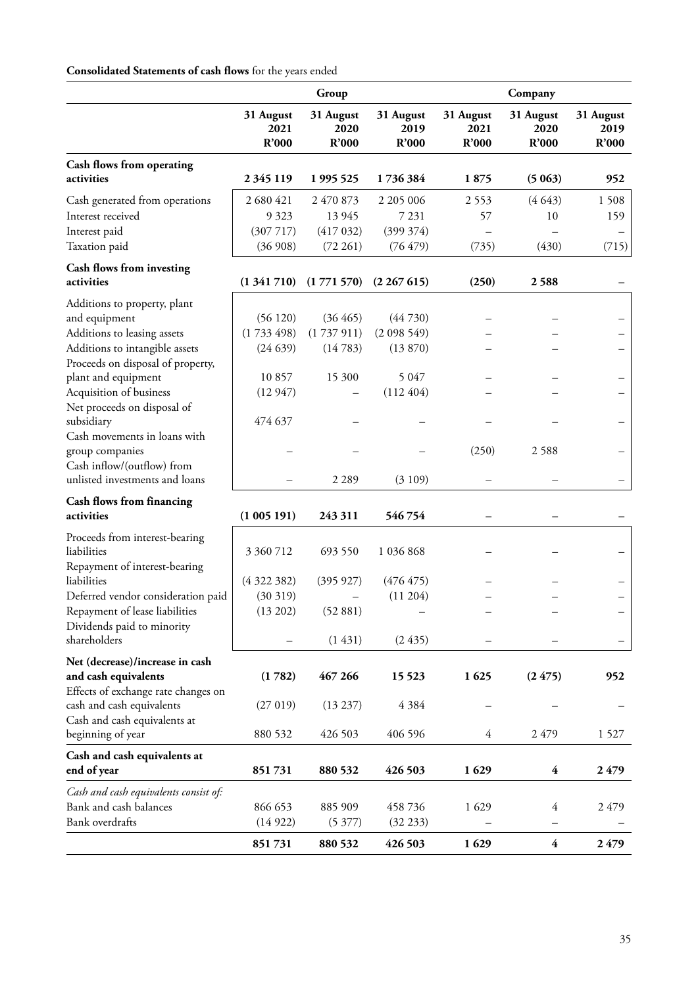# **Consolidated Statements of cash flows** for the years ended

|                                                                                                                                                                                                                                                                                                                                                                                                    |                                                                | Group                                                 |                                                                   |                            | Company                      |                            |
|----------------------------------------------------------------------------------------------------------------------------------------------------------------------------------------------------------------------------------------------------------------------------------------------------------------------------------------------------------------------------------------------------|----------------------------------------------------------------|-------------------------------------------------------|-------------------------------------------------------------------|----------------------------|------------------------------|----------------------------|
|                                                                                                                                                                                                                                                                                                                                                                                                    | 31 August<br>2021<br>R'000                                     | 31 August<br>2020<br>R'000                            | 31 August<br>2019<br>R'000                                        | 31 August<br>2021<br>R'000 | 31 August<br>2020<br>R'000   | 31 August<br>2019<br>R'000 |
| Cash flows from operating<br>activities                                                                                                                                                                                                                                                                                                                                                            | 2 3 45 119                                                     | 1 995 525                                             | 1736384                                                           | 1875                       | (5063)                       | 952                        |
| Cash generated from operations<br>Interest received<br>Interest paid<br>Taxation paid                                                                                                                                                                                                                                                                                                              | 2 680 421<br>9 3 2 3<br>(307717)<br>(36908)                    | 2 470 873<br>13 9 45<br>(417032)<br>(72 261)          | 2 205 006<br>7 2 3 1<br>(399 374)<br>(76 479)                     | 2553<br>57<br>(735)        | (4643)<br>10<br>(430)        | 1508<br>159<br>(715)       |
| Cash flows from investing<br>activities                                                                                                                                                                                                                                                                                                                                                            | (1341710)                                                      | (1771570)                                             | (2267615)                                                         | (250)                      | 2588                         |                            |
| Additions to property, plant<br>and equipment<br>Additions to leasing assets<br>Additions to intangible assets<br>Proceeds on disposal of property,<br>plant and equipment<br>Acquisition of business<br>Net proceeds on disposal of<br>subsidiary<br>Cash movements in loans with<br>group companies<br>Cash inflow/(outflow) from<br>unlisted investments and loans<br>Cash flows from financing | (56120)<br>(1733498)<br>(24639)<br>10857<br>(12947)<br>474 637 | (36 465)<br>(1737911)<br>(14783)<br>15 300<br>2 2 8 9 | (44730)<br>(2098549)<br>(13 870)<br>5 0 4 7<br>(112404)<br>(3109) | (250)                      | 2588                         |                            |
| activities                                                                                                                                                                                                                                                                                                                                                                                         | (1005191)                                                      | 243 311                                               | 546754                                                            |                            |                              |                            |
| Proceeds from interest-bearing<br>liabilities<br>Repayment of interest-bearing<br>liabilities<br>Deferred vendor consideration paid<br>Repayment of lease liabilities<br>Dividends paid to minority<br>shareholders                                                                                                                                                                                | 3 360 712<br>(4322382)<br>(30319)<br>(13 202)                  | 693 550<br>(395927)<br>(52881)<br>(1431)              | 1 036 868<br>(476 475)<br>(11204)<br>(2435)                       |                            |                              |                            |
| Net (decrease)/increase in cash<br>and cash equivalents<br>Effects of exchange rate changes on<br>cash and cash equivalents<br>Cash and cash equivalents at<br>beginning of year                                                                                                                                                                                                                   | (1782)<br>(27019)<br>880 532                                   | 467 266<br>(13 237)<br>426 503                        | 15 5 23<br>4 3 8 4<br>406 596                                     | 1625<br>4                  | (2475)<br>2479               | 952<br>1527                |
| Cash and cash equivalents at<br>end of year                                                                                                                                                                                                                                                                                                                                                        | 851731                                                         | 880 532                                               | 426 503                                                           | 1629                       | $\overline{\mathbf{4}}$      | 2479                       |
| Cash and cash equivalents consist of:<br>Bank and cash balances<br>Bank overdrafts                                                                                                                                                                                                                                                                                                                 | 866 653<br>(14922)<br>851731                                   | 885 909<br>(5377)<br>880 532                          | 458736<br>(32 233)<br>426 503                                     | 1 629<br>1629              | 4<br>$\overline{\mathbf{4}}$ | 2479<br>2479               |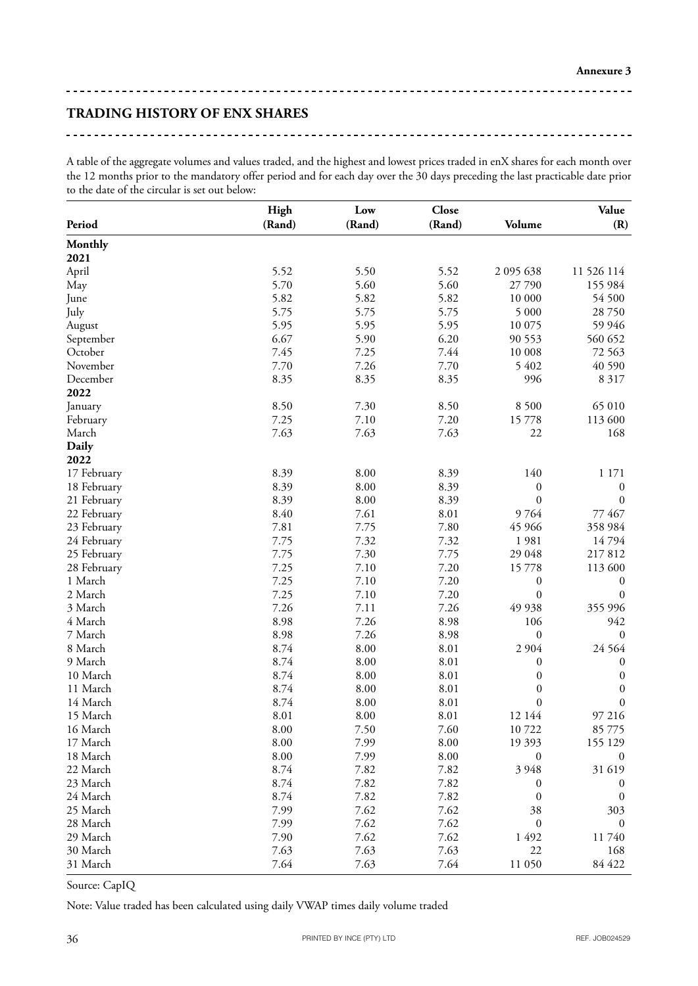\_\_\_\_\_\_\_\_\_\_\_\_\_\_\_

<u>----------------------</u>

# **TRADING HISTORY OF ENX SHARES**

A table of the aggregate volumes and values traded, and the highest and lowest prices traded in enX shares for each month over the 12 months prior to the mandatory offer period and for each day over the 30 days preceding the last practicable date prior to the date of the circular is set out below:

| Period      | High<br>(Rand) | Low<br>(Rand) | Close<br>(Rand) | Volume           | Value<br>(R)     |
|-------------|----------------|---------------|-----------------|------------------|------------------|
| Monthly     |                |               |                 |                  |                  |
| 2021        |                |               |                 |                  |                  |
| April       | 5.52           | 5.50          | 5.52            | 2 095 638        | 11 526 114       |
| May         | 5.70           | 5.60          | 5.60            | 27790            | 155 984          |
| June        | 5.82           | 5.82          | 5.82            | 10 000           | 54 500           |
| July        | 5.75           | 5.75          | 5.75            | 5 000            | 28 750           |
| August      | 5.95           | 5.95          | 5.95            | 10 075           | 59 946           |
| September   | 6.67           | 5.90          | 6.20            | 90 553           | 560 652          |
| October     | 7.45           | 7.25          | 7.44            | 10 008           | 72 563           |
| November    | 7.70           | 7.26          | 7.70            | 5 402            | 40 590           |
| December    | 8.35           | 8.35          | 8.35            | 996              | 8 3 1 7          |
| 2022        |                |               |                 |                  |                  |
| January     | 8.50           | 7.30          | 8.50            | 8 5 0 0          | 65 010           |
| February    | 7.25           | 7.10          | 7.20            | 15778            | 113 600          |
| March       | 7.63           | 7.63          | 7.63            | 22               | 168              |
| Daily       |                |               |                 |                  |                  |
| 2022        |                |               |                 |                  |                  |
| 17 February | 8.39           | 8.00          | 8.39            | 140              | 1 171            |
| 18 February | 8.39           | 8.00          | 8.39            | $\boldsymbol{0}$ | $\boldsymbol{0}$ |
| 21 February | 8.39           | 8.00          | 8.39            | $\boldsymbol{0}$ | $\boldsymbol{0}$ |
| 22 February | 8.40           | 7.61          | 8.01            | 9764             | 77 467           |
| 23 February | 7.81           | 7.75          | 7.80            | 45 966           | 358 984          |
| 24 February | 7.75           | 7.32          | 7.32            | 1981             | 14794            |
| 25 February | 7.75           | 7.30          | 7.75            | 29 048           | 217812           |
| 28 February | 7.25           | 7.10          | 7.20            | 15778            | 113 600          |
| 1 March     | 7.25           | 7.10          | 7.20            | $\boldsymbol{0}$ | $\boldsymbol{0}$ |
| 2 March     | 7.25           | 7.10          | 7.20            | $\boldsymbol{0}$ | $\mathbf{0}$     |
| 3 March     | 7.26           | 7.11          | 7.26            | 49 938           | 355 996          |
| 4 March     | 8.98           | 7.26          | 8.98            | 106              | 942              |
| 7 March     | 8.98           | 7.26          | 8.98            | $\boldsymbol{0}$ | $\boldsymbol{0}$ |
| 8 March     | 8.74           | 8.00          | 8.01            | 2 9 0 4          | 24 5 6 4         |
| 9 March     | 8.74           | 8.00          | 8.01            | $\boldsymbol{0}$ | $\boldsymbol{0}$ |
| 10 March    | 8.74           | 8.00          | 8.01            | $\boldsymbol{0}$ | $\boldsymbol{0}$ |
| 11 March    | 8.74           | 8.00          | 8.01            | $\boldsymbol{0}$ | $\boldsymbol{0}$ |
| 14 March    | 8.74           | 8.00          | 8.01            | $\mathbf{0}$     | $\boldsymbol{0}$ |
| 15 March    | 8.01           | 8.00          | 8.01            | 12 144           | 97 216           |
| 16 March    | 8.00           | 7.50          | 7.60            | 10722            | 85775            |
| 17 March    | 8.00           | 7.99          | 8.00            | 19 393           | 155 129          |
| 18 March    | 8.00           | 7.99          | 8.00            | $\boldsymbol{0}$ | $\mathbf{0}$     |
| 22 March    | 8.74           | 7.82          | 7.82            | 3 9 4 8          | 31 619           |
| 23 March    | 8.74           | 7.82          | 7.82            |                  |                  |
|             |                |               |                 | $\boldsymbol{0}$ | $\mathbf{0}$     |
| 24 March    | 8.74           | 7.82          | 7.82            | $\boldsymbol{0}$ | $\mathbf{0}$     |
| 25 March    | 7.99           | 7.62          | 7.62            | 38               | 303              |
| 28 March    | 7.99           | 7.62          | 7.62            | $\boldsymbol{0}$ | $\boldsymbol{0}$ |
| 29 March    | 7.90           | 7.62          | 7.62            | 1492             | 11740            |
| 30 March    | 7.63           | 7.63          | 7.63            | 22               | 168              |
| 31 March    | 7.64           | 7.63          | 7.64            | 11 050           | 84 422           |

Source: CapIQ

Note: Value traded has been calculated using daily VWAP times daily volume traded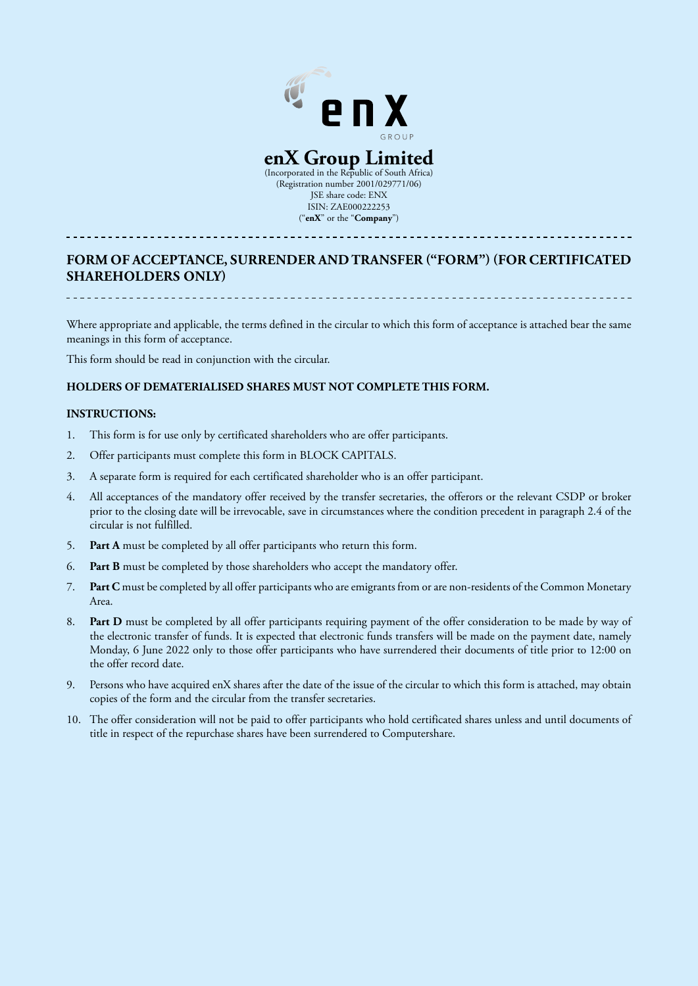

(Incorporated in the Republic of South Africa) (Registration number 2001/029771/06) JSE share code: ENX ISIN: ZAE000222253 ("**enX**" or the "**Company**")

# **FORM OF ACCEPTANCE, SURRENDER AND TRANSFER ("FORM") (FOR CERTIFICATED SHAREHOLDERS ONLY)**

Where appropriate and applicable, the terms defined in the circular to which this form of acceptance is attached bear the same meanings in this form of acceptance.

This form should be read in conjunction with the circular.

# **HOLDERS OF DEMATERIALISED SHARES MUST NOT COMPLETE THIS FORM.**

#### **INSTRUCTIONS:**

- 1. This form is for use only by certificated shareholders who are offer participants.
- 2. Offer participants must complete this form in BLOCK CAPITALS.
- 3. A separate form is required for each certificated shareholder who is an offer participant.
- 4. All acceptances of the mandatory offer received by the transfer secretaries, the offerors or the relevant CSDP or broker prior to the closing date will be irrevocable, save in circumstances where the condition precedent in paragraph 2.4 of the circular is not fulfilled.
- 5. **Part A** must be completed by all offer participants who return this form.
- 6. **Part B** must be completed by those shareholders who accept the mandatory offer.
- 7. **Part C** must be completed by all offer participants who are emigrants from or are non-residents of the Common Monetary Area.
- 8. **Part D** must be completed by all offer participants requiring payment of the offer consideration to be made by way of the electronic transfer of funds. It is expected that electronic funds transfers will be made on the payment date, namely Monday, 6 June 2022 only to those offer participants who have surrendered their documents of title prior to 12:00 on the offer record date.
- 9. Persons who have acquired enX shares after the date of the issue of the circular to which this form is attached, may obtain copies of the form and the circular from the transfer secretaries.
- 10. The offer consideration will not be paid to offer participants who hold certificated shares unless and until documents of title in respect of the repurchase shares have been surrendered to Computershare.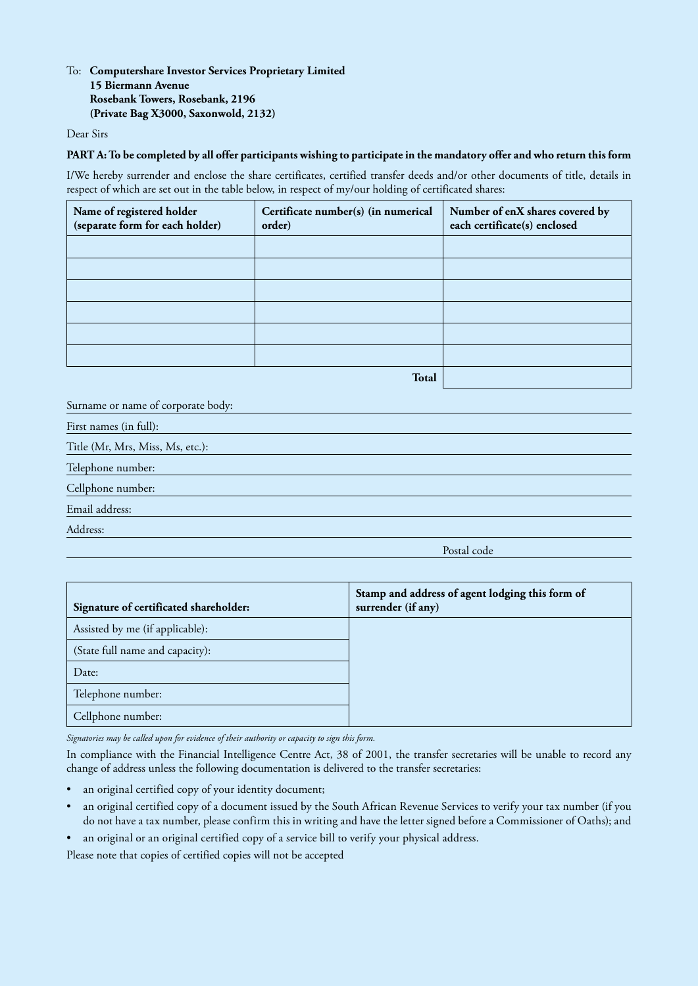# To: **Computershare Investor Services Proprietary Limited 15 Biermann Avenue Rosebank Towers, Rosebank, 2196 (Private Bag X3000, Saxonwold, 2132)**

Dear Sirs

#### **PART A: To be completed by all offer participants wishing to participate in the mandatory offer and who return this form**

I/We hereby surrender and enclose the share certificates, certified transfer deeds and/or other documents of title, details in respect of which are set out in the table below, in respect of my/our holding of certificated shares:

| Name of registered holder<br>(separate form for each holder) | Certificate number(s) (in numerical<br>order) | Number of enX shares covered by<br>each certificate(s) enclosed |
|--------------------------------------------------------------|-----------------------------------------------|-----------------------------------------------------------------|
|                                                              |                                               |                                                                 |
|                                                              |                                               |                                                                 |
|                                                              |                                               |                                                                 |
|                                                              |                                               |                                                                 |
|                                                              |                                               |                                                                 |
|                                                              |                                               |                                                                 |
|                                                              |                                               |                                                                 |

**Total**

Surname or name of corporate body:

First names (in full):

Title (Mr, Mrs, Miss, Ms, etc.):

Telephone number:

Cellphone number:

Email address:

Address:

Postal code

| Signature of certificated shareholder: | Stamp and address of agent lodging this form of<br>surrender (if any) |
|----------------------------------------|-----------------------------------------------------------------------|
| Assisted by me (if applicable):        |                                                                       |
| (State full name and capacity):        |                                                                       |
| Date:                                  |                                                                       |
| Telephone number:                      |                                                                       |
| Cellphone number:                      |                                                                       |

*Signatories may be called upon for evidence of their authority or capacity to sign this form.*

In compliance with the Financial Intelligence Centre Act, 38 of 2001, the transfer secretaries will be unable to record any change of address unless the following documentation is delivered to the transfer secretaries:

- an original certified copy of your identity document;
- an original certified copy of a document issued by the South African Revenue Services to verify your tax number (if you do not have a tax number, please confirm this in writing and have the letter signed before a Commissioner of Oaths); and
- an original or an original certified copy of a service bill to verify your physical address.

Please note that copies of certified copies will not be accepted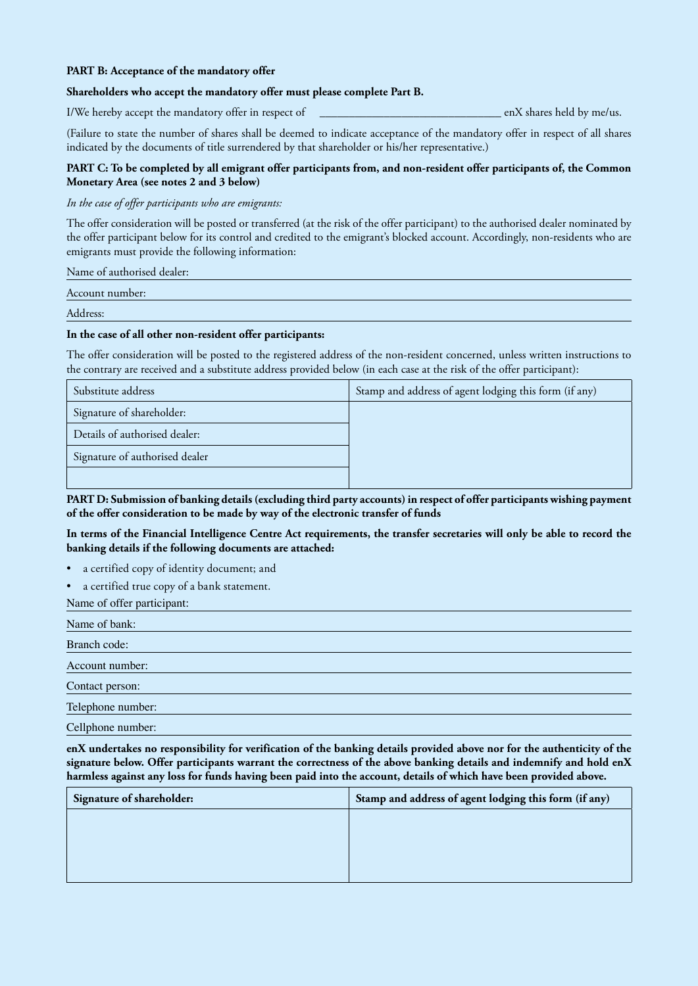#### **PART B: Acceptance of the mandatory offer**

#### **Shareholders who accept the mandatory offer must please complete Part B.**

I/We hereby accept the mandatory offer in respect of  $\qquad$  enX shares held by me/us.

(Failure to state the number of shares shall be deemed to indicate acceptance of the mandatory offer in respect of all shares indicated by the documents of title surrendered by that shareholder or his/her representative.)

### **PART C: To be completed by all emigrant offer participants from, and non-resident offer participants of, the Common Monetary Area (see notes 2 and 3 below)**

#### *In the case of offer participants who are emigrants:*

The offer consideration will be posted or transferred (at the risk of the offer participant) to the authorised dealer nominated by the offer participant below for its control and credited to the emigrant's blocked account. Accordingly, non-residents who are emigrants must provide the following information:

Name of authorised dealer:

Account number:

Address:

#### **In the case of all other non-resident offer participants:**

The offer consideration will be posted to the registered address of the non-resident concerned, unless written instructions to the contrary are received and a substitute address provided below (in each case at the risk of the offer participant):

| Substitute address             | Stamp and address of agent lodging this form (if any) |
|--------------------------------|-------------------------------------------------------|
| Signature of shareholder:      |                                                       |
| Details of authorised dealer:  |                                                       |
| Signature of authorised dealer |                                                       |
|                                |                                                       |

**PART D: Submission of banking details (excluding third party accounts) in respect of offer participants wishing payment of the offer consideration to be made by way of the electronic transfer of funds**

**In terms of the Financial Intelligence Centre Act requirements, the transfer secretaries will only be able to record the banking details if the following documents are attached:**

- a certified copy of identity document; and
- a certified true copy of a bank statement.

Name of offer participant:

Name of bank: Branch code: Account number: Contact person: Telephone number:

Cellphone number:

**enX undertakes no responsibility for verification of the banking details provided above nor for the authenticity of the signature below. Offer participants warrant the correctness of the above banking details and indemnify and hold enX harmless against any loss for funds having been paid into the account, details of which have been provided above.**

| Signature of shareholder: | Stamp and address of agent lodging this form (if any) |
|---------------------------|-------------------------------------------------------|
|                           |                                                       |
|                           |                                                       |
|                           |                                                       |
|                           |                                                       |